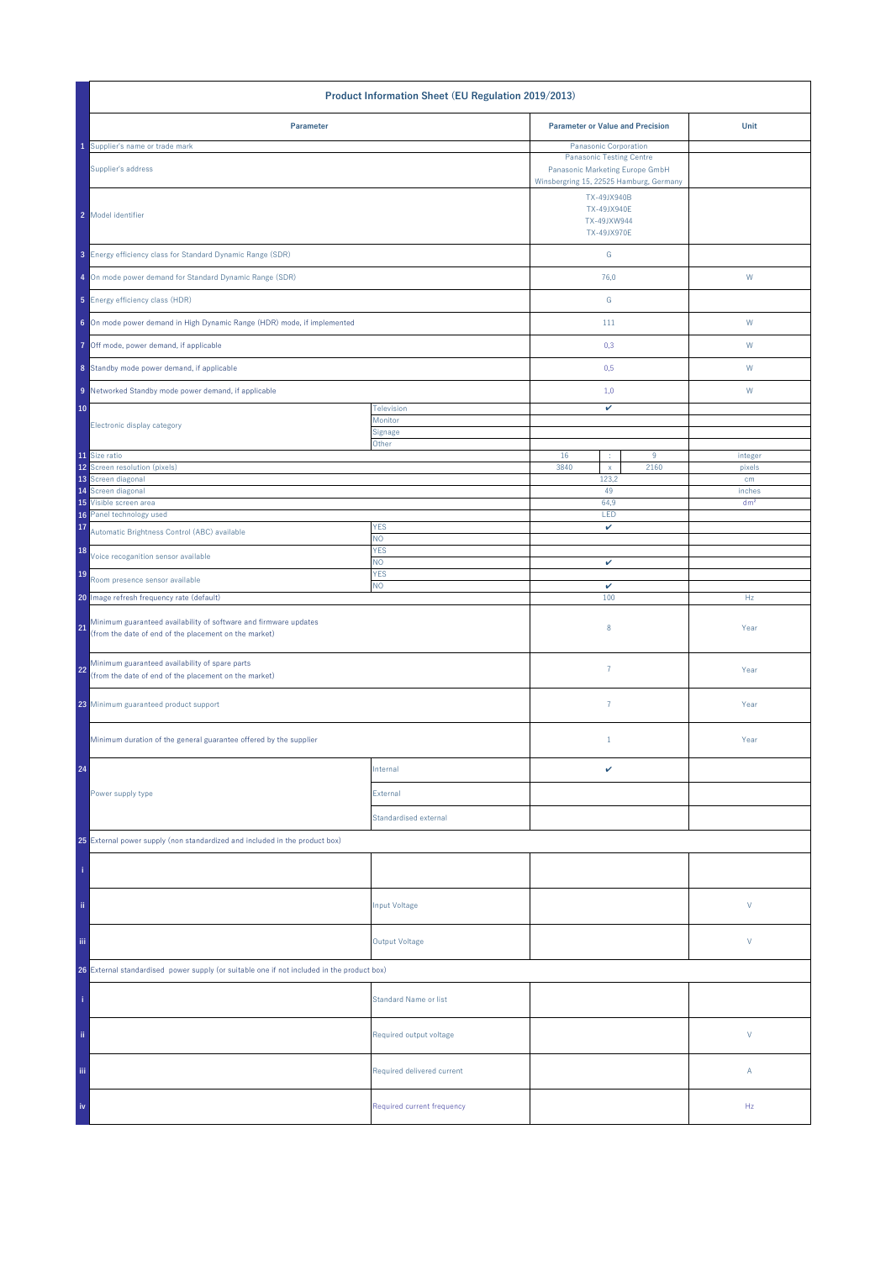| Product Information Sheet (EU Regulation 2019/2013)                                                                             |                              |                                                                                                               |  |                   |
|---------------------------------------------------------------------------------------------------------------------------------|------------------------------|---------------------------------------------------------------------------------------------------------------|--|-------------------|
| Parameter                                                                                                                       |                              | <b>Parameter or Value and Precision</b>                                                                       |  | Unit              |
| Supplier's name or trade mark                                                                                                   |                              | Panasonic Corporation                                                                                         |  |                   |
| Supplier's address                                                                                                              |                              | <b>Panasonic Testing Centre</b><br>Panasonic Marketing Europe GmbH<br>Winsbergring 15, 22525 Hamburg, Germany |  |                   |
| 2 Model identifier                                                                                                              |                              | TX-49JX940B<br>TX-49JX940E<br>TX-49JXW944<br>TX-49JX970E                                                      |  |                   |
| 3 Energy efficiency class for Standard Dynamic Range (SDR)                                                                      |                              | G                                                                                                             |  |                   |
| 4 On mode power demand for Standard Dynamic Range (SDR)                                                                         |                              | 76,0                                                                                                          |  | ${\sf W}$         |
| 5 Energy efficiency class (HDR)                                                                                                 |                              | ${\mathsf G}$                                                                                                 |  |                   |
| 6 On mode power demand in High Dynamic Range (HDR) mode, if implemented                                                         |                              | 111                                                                                                           |  | W                 |
| 7 Off mode, power demand, if applicable                                                                                         |                              | 0,3                                                                                                           |  | W                 |
| 8 Standby mode power demand, if applicable                                                                                      |                              | 0,5                                                                                                           |  | W                 |
| 9 Networked Standby mode power demand, if applicable                                                                            |                              | 1,0                                                                                                           |  | W                 |
| 10                                                                                                                              | Television                   | v                                                                                                             |  |                   |
| Electronic display category                                                                                                     | Monitor<br>Signage           |                                                                                                               |  |                   |
|                                                                                                                                 | Other                        | 16<br>9                                                                                                       |  |                   |
| 11 Size ratio<br>12 Screen resolution (pixels)                                                                                  |                              | ÷<br>3840<br>2160<br>$\mathsf X$                                                                              |  | integer<br>pixels |
| 13 Screen diagonal<br>14 Screen diagonal                                                                                        |                              | 123,2<br>49                                                                                                   |  | cm<br>inches      |
| 15 Visible screen area                                                                                                          |                              | 64,9                                                                                                          |  | dm <sup>2</sup>   |
| Panel technology used<br>16<br>17                                                                                               | <b>YES</b>                   | LED<br>v                                                                                                      |  |                   |
| Automatic Brightness Control (ABC) available                                                                                    | NO.                          |                                                                                                               |  |                   |
| 18<br>Voice recoganition sensor available                                                                                       | <b>YES</b><br>NO.            | v                                                                                                             |  |                   |
| 19<br>Room presence sensor available                                                                                            | <b>YES</b><br><b>NO</b>      |                                                                                                               |  |                   |
| 20 Image refresh frequency rate (default)                                                                                       |                              | $\checkmark$<br>100                                                                                           |  | Hz                |
| Minimum guaranteed availability of software and firmware updates<br>21<br>(from the date of end of the placement on the market) |                              | 8                                                                                                             |  | Year              |
| Minimum guaranteed availability of spare parts<br>22<br>(from the date of end of the placement on the market)                   |                              | $\overline{7}$                                                                                                |  | Year              |
| 23 Minimum guaranteed product support                                                                                           |                              | $\overline{7}$                                                                                                |  | Year              |
| Minimum duration of the general guarantee offered by the supplier                                                               |                              | $1\,$                                                                                                         |  | Year              |
| 24                                                                                                                              | Internal                     | v                                                                                                             |  |                   |
| Power supply type                                                                                                               | External                     |                                                                                                               |  |                   |
|                                                                                                                                 | Standardised external        |                                                                                                               |  |                   |
| 25 External power supply (non standardized and included in the product box)                                                     |                              |                                                                                                               |  |                   |
|                                                                                                                                 |                              |                                                                                                               |  |                   |
| ii.                                                                                                                             | <b>Input Voltage</b>         |                                                                                                               |  | V                 |
| iii.                                                                                                                            | <b>Output Voltage</b>        |                                                                                                               |  | V                 |
| 26 External standardised power supply (or suitable one if not included in the product box)                                      |                              |                                                                                                               |  |                   |
|                                                                                                                                 | <b>Standard Name or list</b> |                                                                                                               |  |                   |
| ii.                                                                                                                             | Required output voltage      |                                                                                                               |  | V                 |
| Ϊij                                                                                                                             | Required delivered current   |                                                                                                               |  | Α                 |
| iv                                                                                                                              | Required current frequency   |                                                                                                               |  | Hz                |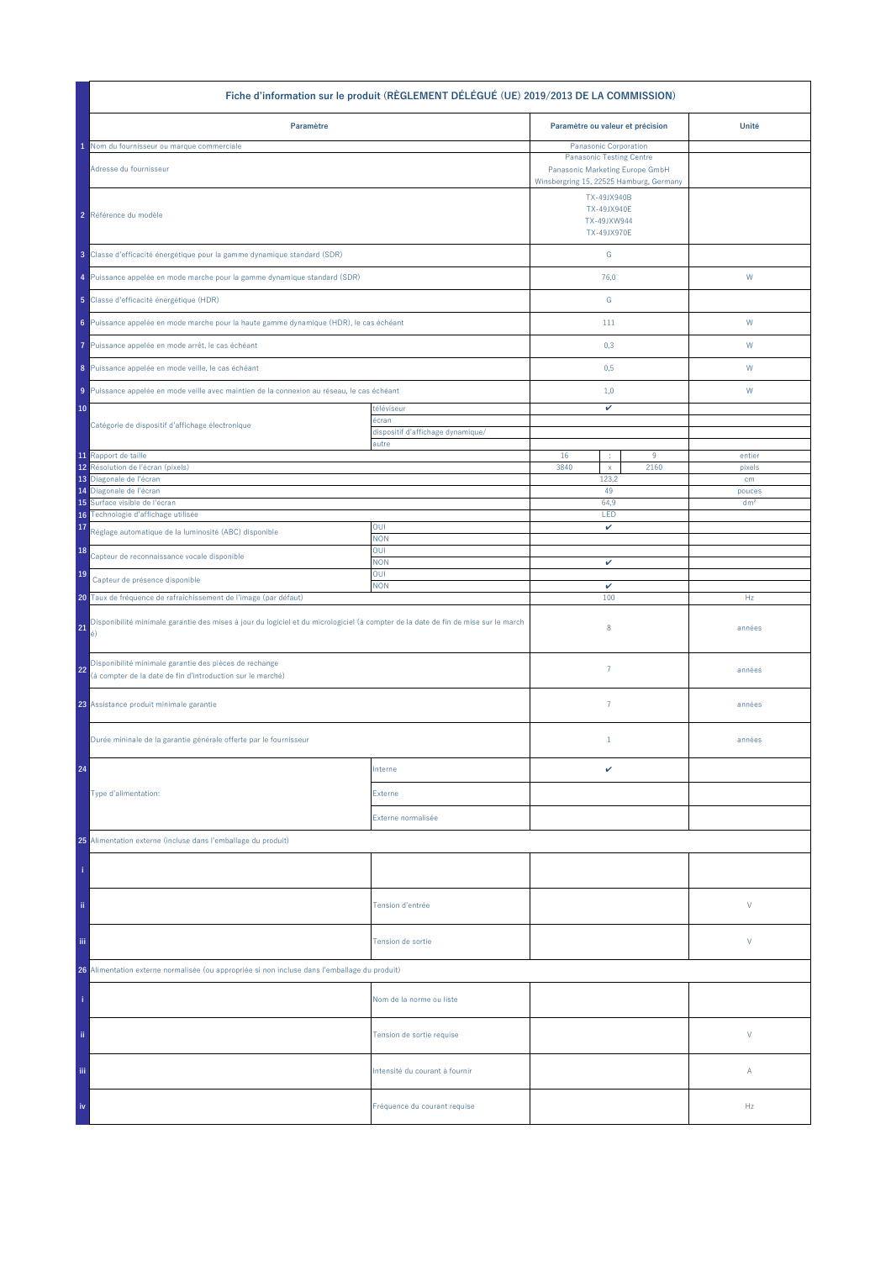| Fiche d'information sur le produit (RÈGLEMENT DÉLÉGUÉ (UE) 2019/2013 DE LA COMMISSION)                                                         |                                            |                                                                    |                                                                                                     |                 |  |
|------------------------------------------------------------------------------------------------------------------------------------------------|--------------------------------------------|--------------------------------------------------------------------|-----------------------------------------------------------------------------------------------------|-----------------|--|
| Paramètre                                                                                                                                      |                                            | Paramètre ou valeur et précision                                   |                                                                                                     | Unité           |  |
| Nom du fournisseur ou marque commerciale                                                                                                       |                                            | Panasonic Corporation                                              |                                                                                                     |                 |  |
| Adresse du fournisseur                                                                                                                         |                                            | <b>Panasonic Testing Centre</b><br>Panasonic Marketing Europe GmbH |                                                                                                     |                 |  |
| 2 Référence du modèle                                                                                                                          |                                            |                                                                    | Winsbergring 15, 22525 Hamburg, Germany<br>TX-49JX940B<br>TX-49JX940E<br>TX-49JXW944<br>TX-49JX970E |                 |  |
| 3 Classe d'efficacité énergétique pour la gamme dynamique standard (SDR)                                                                       |                                            | ${\mathsf G}$                                                      |                                                                                                     |                 |  |
| 4 Puissance appelée en mode marche pour la gamme dynamique standard (SDR)                                                                      |                                            | 76,0                                                               |                                                                                                     | W               |  |
| 5 Classe d'efficacité énergétique (HDR)                                                                                                        |                                            | ${\mathbb G}$                                                      |                                                                                                     |                 |  |
| 6 Puissance appelée en mode marche pour la haute gamme dynamique (HDR), le cas échéant                                                         |                                            | 111                                                                |                                                                                                     | W               |  |
| Puissance appelée en mode arrêt, le cas échéant<br>7                                                                                           |                                            | 0,3                                                                |                                                                                                     | W               |  |
| 8 Puissance appelée en mode veille, le cas échéant                                                                                             |                                            | 0,5                                                                |                                                                                                     | W               |  |
| 9 Puissance appelée en mode veille avec maintien de la connexion au réseau, le cas échéant                                                     |                                            | 1,0                                                                |                                                                                                     | W               |  |
| 10<br>Catégorie de dispositif d'affichage électronique                                                                                         | téléviseur<br>écran                        | v                                                                  |                                                                                                     |                 |  |
|                                                                                                                                                | dispositif d'affichage dynamique/<br>autre |                                                                    |                                                                                                     |                 |  |
| 11 Rapport de taille<br>Résolution de l'écran (pixels)<br>12                                                                                   |                                            | 16<br>÷<br>3840                                                    | 9                                                                                                   | entier          |  |
| 13 Diagonale de l'écran                                                                                                                        |                                            | $\mathsf X$<br>123,2                                               | 2160                                                                                                | pixels<br>cm    |  |
| 14 Diagonale de l'écran                                                                                                                        |                                            | 49                                                                 |                                                                                                     | pouces          |  |
| Surface visible de l'écran<br>15<br>Technologie d'affichage utilisée<br>16                                                                     |                                            | 64,9<br>LED                                                        |                                                                                                     | dm <sup>2</sup> |  |
| 17<br>Réglage automatique de la luminosité (ABC) disponible                                                                                    | OUI<br><b>NON</b>                          | v                                                                  |                                                                                                     |                 |  |
| 18<br>Capteur de reconnaissance vocale disponible                                                                                              | OUI<br><b>NON</b>                          | v                                                                  |                                                                                                     |                 |  |
| 19<br>Capteur de présence disponible                                                                                                           | OUI<br><b>NON</b>                          | $\checkmark$                                                       |                                                                                                     |                 |  |
| 20 Taux de fréquence de rafraîchissement de l'image (par défaut)                                                                               |                                            | 100                                                                |                                                                                                     | Hz              |  |
| Disponibilité minimale garantie des mises à jour du logiciel et du micrologiciel (à compter de la date de fin de mise sur le march<br>21<br>é) |                                            | 8                                                                  |                                                                                                     | années          |  |
| Disponibilité minimale garantie des pièces de rechange<br>22<br>(à compter de la date de fin d'introduction sur le marché)                     |                                            | $\overline{7}$                                                     |                                                                                                     | années          |  |
| 23 Assistance produit minimale garantie                                                                                                        |                                            | $\overline{7}$                                                     |                                                                                                     | années          |  |
| Durée mininale de la garantie générale offerte par le fournisseur                                                                              |                                            | $1\,$                                                              |                                                                                                     | années          |  |
| 24                                                                                                                                             | Interne                                    | v                                                                  |                                                                                                     |                 |  |
| Type d'alimentation:                                                                                                                           | Externe                                    |                                                                    |                                                                                                     |                 |  |
|                                                                                                                                                | Externe normalisée                         |                                                                    |                                                                                                     |                 |  |
| 25 Alimentation externe (incluse dans l'emballage du produit)                                                                                  |                                            |                                                                    |                                                                                                     |                 |  |
|                                                                                                                                                |                                            |                                                                    |                                                                                                     |                 |  |
| ii.                                                                                                                                            | Tension d'entrée                           |                                                                    |                                                                                                     | V               |  |
| iii.                                                                                                                                           | Tension de sortie                          |                                                                    |                                                                                                     | V               |  |
| 26 Alimentation externe normalisée (ou appropriée si non incluse dans l'emballage du produit)                                                  |                                            |                                                                    |                                                                                                     |                 |  |
|                                                                                                                                                | Nom de la norme ou liste                   |                                                                    |                                                                                                     |                 |  |
| ii.                                                                                                                                            | Tension de sortie requise                  |                                                                    |                                                                                                     | V               |  |
| Ϊij                                                                                                                                            | Intensité du courant à fournir             |                                                                    |                                                                                                     | Α               |  |
| iv                                                                                                                                             | Fréquence du courant requise               |                                                                    |                                                                                                     | Hz              |  |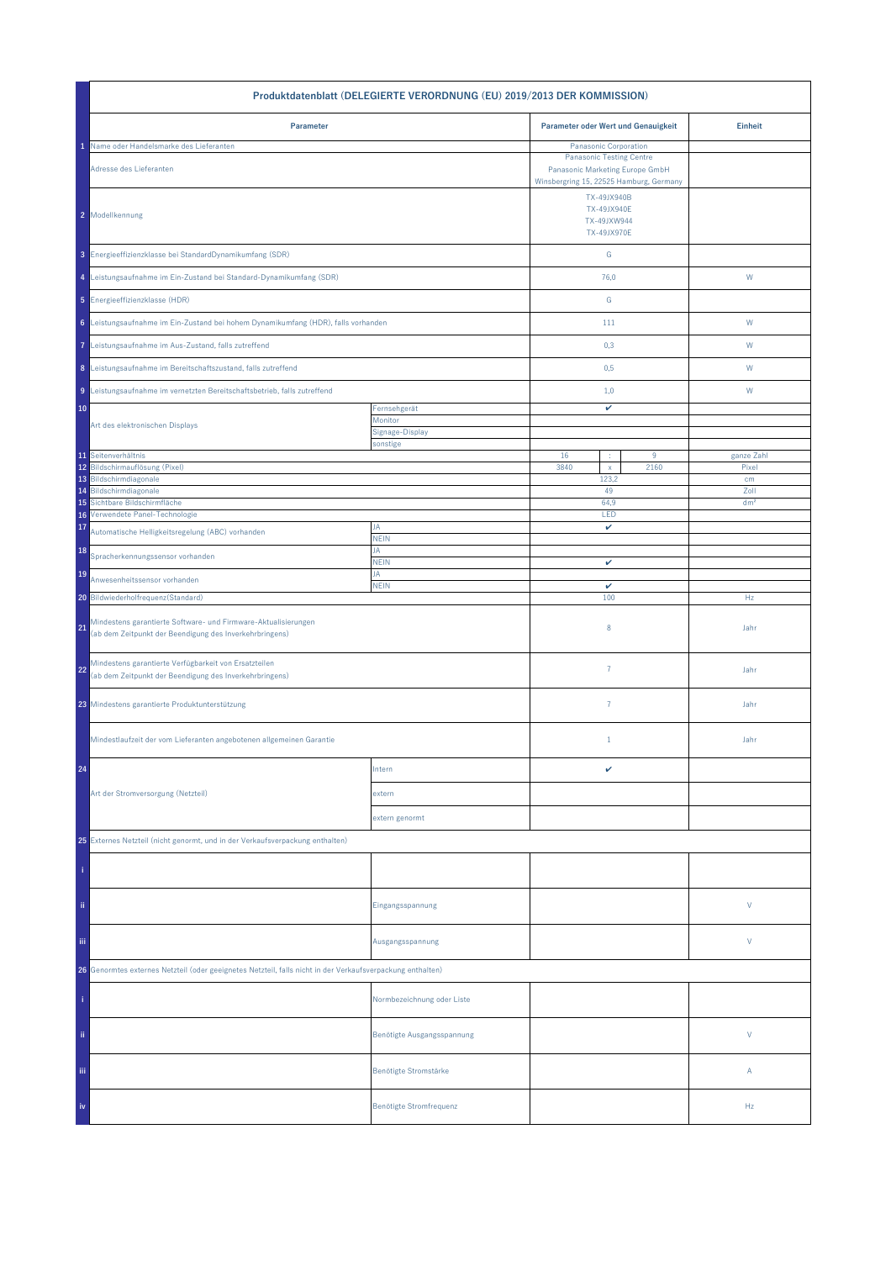| Produktdatenblatt (DELEGIERTE VERORDNUNG (EU) 2019/2013 DER KOMMISSION)                                                         |                             |                                                                                                                                        |       |                 |  |
|---------------------------------------------------------------------------------------------------------------------------------|-----------------------------|----------------------------------------------------------------------------------------------------------------------------------------|-------|-----------------|--|
| Parameter                                                                                                                       |                             | Parameter oder Wert und Genauigkeit                                                                                                    |       | <b>Einheit</b>  |  |
| Name oder Handelsmarke des Lieferanten<br>Adresse des Lieferanten                                                               |                             | Panasonic Corporation<br><b>Panasonic Testing Centre</b><br>Panasonic Marketing Europe GmbH<br>Winsbergring 15, 22525 Hamburg, Germany |       |                 |  |
| 2 Modellkennung                                                                                                                 |                             | TX-49JX940B<br>TX-49JX940E<br>TX-49JXW944<br>TX-49JX970E                                                                               |       |                 |  |
| 3 Energieeffizienzklasse bei StandardDynamikumfang (SDR)                                                                        |                             | ${\mathsf G}$                                                                                                                          |       |                 |  |
| 4 Leistungsaufnahme im Ein-Zustand bei Standard-Dynamikumfang (SDR)                                                             |                             | 76,0                                                                                                                                   |       | W               |  |
| 5 Energieeffizienzklasse (HDR)                                                                                                  |                             | G                                                                                                                                      |       |                 |  |
| 6 Leistungsaufnahme im Ein-Zustand bei hohem Dynamikumfang (HDR), falls vorhanden                                               |                             | 111                                                                                                                                    |       | W               |  |
| 7 Leistungsaufnahme im Aus-Zustand, falls zutreffend                                                                            |                             | 0,3                                                                                                                                    |       | W               |  |
| 8 Leistungsaufnahme im Bereitschaftszustand, falls zutreffend                                                                   |                             | 0,5                                                                                                                                    |       | W               |  |
| 9 Leistungsaufnahme im vernetzten Bereitschaftsbetrieb, falls zutreffend                                                        |                             | 1,0                                                                                                                                    |       | W               |  |
| 10                                                                                                                              | Fernsehgerät<br>Monitor     | v                                                                                                                                      |       |                 |  |
| Art des elektronischen Displays                                                                                                 | Signage-Display<br>sonstige |                                                                                                                                        |       |                 |  |
| 11 Seitenverhältnis                                                                                                             |                             | 16<br>÷                                                                                                                                | $9\,$ | ganze Zahl      |  |
| 12 Bildschirmauflösung (Pixel)                                                                                                  |                             | 3840<br>$\mathsf X$                                                                                                                    | 2160  | Pixel           |  |
| 13 Bildschirmdiagonale<br>Bildschirmdiagonale<br>14                                                                             |                             | 123,2<br>49                                                                                                                            |       | cm<br>Zoll      |  |
| Sichtbare Bildschirmfläche<br>15                                                                                                |                             | 64.9                                                                                                                                   |       | dm <sup>2</sup> |  |
| Verwendete Panel-Technologie<br>16<br>17                                                                                        | JA                          | LED<br>v                                                                                                                               |       |                 |  |
| Automatische Helligkeitsregelung (ABC) vorhanden                                                                                | <b>NEIN</b>                 |                                                                                                                                        |       |                 |  |
| 18<br>Spracherkennungssensor vorhanden                                                                                          | JA<br><b>NEIN</b>           | v                                                                                                                                      |       |                 |  |
| 19<br>Anwesenheitssensor vorhanden                                                                                              | JA<br><b>NEIN</b>           | $\checkmark$                                                                                                                           |       |                 |  |
| 20 Bildwiederholfrequenz(Standard)                                                                                              |                             | 100                                                                                                                                    |       | Hz              |  |
| Mindestens garantierte Software- und Firmware-Aktualisierungen<br>21<br>(ab dem Zeitpunkt der Beendigung des Inverkehrbringens) |                             | 8                                                                                                                                      |       | Jahr            |  |
| Mindestens garantierte Verfügbarkeit von Ersatzteilen<br>22<br>(ab dem Zeitpunkt der Beendigung des Inverkehrbringens)          |                             | $\overline{7}$                                                                                                                         |       | Jahr            |  |
| 23 Mindestens garantierte Produktunterstützung                                                                                  |                             | $\overline{7}$                                                                                                                         |       | Jahr            |  |
| Mindestlaufzeit der vom Lieferanten angebotenen allgemeinen Garantie                                                            |                             | $\mathbf{1}$                                                                                                                           |       | Jahr            |  |
| 24                                                                                                                              | Intern                      | v                                                                                                                                      |       |                 |  |
| Art der Stromversorgung (Netzteil)                                                                                              | extern                      |                                                                                                                                        |       |                 |  |
|                                                                                                                                 | extern genormt              |                                                                                                                                        |       |                 |  |
| 25 Externes Netzteil (nicht genormt, und in der Verkaufsverpackung enthalten)                                                   |                             |                                                                                                                                        |       |                 |  |
|                                                                                                                                 |                             |                                                                                                                                        |       |                 |  |
| ii.                                                                                                                             | Eingangsspannung            |                                                                                                                                        |       | V               |  |
| Ϊij                                                                                                                             | Ausgangsspannung            |                                                                                                                                        |       | V               |  |
| 26 Genormtes externes Netzteil (oder geeignetes Netzteil, falls nicht in der Verkaufsverpackung enthalten)                      |                             |                                                                                                                                        |       |                 |  |
|                                                                                                                                 | Normbezeichnung oder Liste  |                                                                                                                                        |       |                 |  |
| ii.                                                                                                                             | Benötigte Ausgangsspannung  |                                                                                                                                        |       | V               |  |
| Ϊij                                                                                                                             | Benötigte Stromstärke       |                                                                                                                                        |       | Α               |  |
| iv                                                                                                                              | Benötigte Stromfrequenz     |                                                                                                                                        |       | Hz              |  |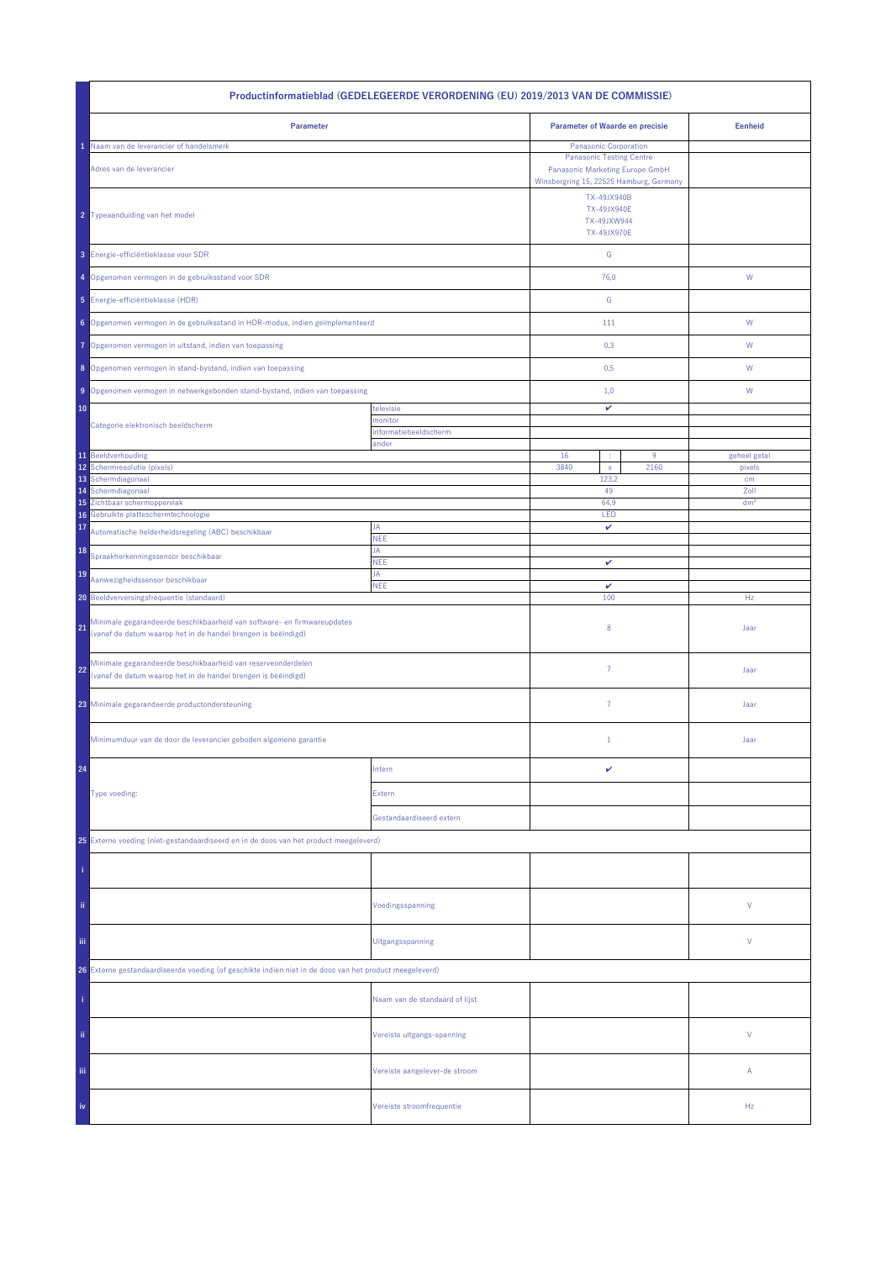| Productinformatieblad (GEDELEGEERDE VERORDENING (EU) 2019/2013 VAN DE COMMISSIE)                                                               |                                |                                                          |                 |  |  |
|------------------------------------------------------------------------------------------------------------------------------------------------|--------------------------------|----------------------------------------------------------|-----------------|--|--|
| Parameter                                                                                                                                      |                                | Parameter of Waarde en precisie                          | <b>Eenheid</b>  |  |  |
| Naam van de leverancier of handelsmerk                                                                                                         |                                | Panasonic Corporation<br><b>Panasonic Testing Centre</b> |                 |  |  |
| Adres van de leverancier                                                                                                                       |                                |                                                          |                 |  |  |
| 2 Typeaanduiding van het model                                                                                                                 |                                |                                                          |                 |  |  |
| 3 Energie-efficiëntieklasse voor SDR                                                                                                           |                                | ${\mathbb G}$                                            |                 |  |  |
| 4 Opgenomen vermogen in de gebruiksstand voor SDR                                                                                              |                                | 76,0                                                     | W               |  |  |
| 5 Energie-efficiëntieklasse (HDR)                                                                                                              |                                | ${\mathbb G}$                                            |                 |  |  |
| 6 Opgenomen vermogen in de gebruiksstand in HDR-modus, indien geïmplementeerd                                                                  |                                | 111                                                      | ${\sf W}$       |  |  |
| Opgenomen vermogen in uitstand, indien van toepassing<br>7                                                                                     |                                | 0,3                                                      | W               |  |  |
| 8 Opgenomen vermogen in stand-bystand, indien van toepassing                                                                                   |                                | 0,5                                                      | W               |  |  |
| 9 Opgenomen vermogen in netwerkgebonden stand-bystand, indien van toepassing                                                                   |                                | 1,0                                                      | W               |  |  |
| 10                                                                                                                                             | televisie                      | v                                                        |                 |  |  |
| Categorie elektronisch beeldscherm                                                                                                             | monitor                        |                                                          |                 |  |  |
|                                                                                                                                                | informatiebeeldscherm<br>ander |                                                          |                 |  |  |
| 11 Beeldverhouding                                                                                                                             |                                | 16<br>$9\,$                                              | geheel getal    |  |  |
| 12<br>Schermresolutie (pixels)                                                                                                                 |                                | 3840<br>2160<br>$\mathsf X$                              | pixels          |  |  |
| 13 Schermdiagonaal<br>Schermdiagonaal<br>14                                                                                                    |                                | 123,2<br>49                                              | cm<br>Zoll      |  |  |
| 15 Zichtbaar schermoppervlak                                                                                                                   |                                | 64,9                                                     | dm <sup>2</sup> |  |  |
| Gebruikte platteschermtechnologie<br>16                                                                                                        |                                | LED                                                      |                 |  |  |
| 17<br>Automatische helderheidsregeling (ABC) beschikbaar                                                                                       | JA<br>NEE                      | v                                                        |                 |  |  |
| 18<br>Spraakherkenningssensor beschikbaar                                                                                                      | JA<br><b>NEE</b>               | v                                                        |                 |  |  |
| 19<br>Aanwezigheidssensor beschikbaar                                                                                                          | JA<br><b>NEE</b>               | $\checkmark$                                             |                 |  |  |
| 20 Beeldverversingsfrequentie (standaard)                                                                                                      |                                | 100                                                      | Hz              |  |  |
| Minimale gegarandeerde beschikbaarheid van software- en firmwareupdates<br>21<br>(vanaf de datum waarop het in de handel brengen is beëindigd) |                                | 8                                                        | Jaar            |  |  |
| Minimale gegarandeerde beschikbaarheid van reserveonderdelen<br>22<br>(vanaf de datum waarop het in de handel brengen is beëindigd)            |                                | $\overline{7}$                                           | Jaar            |  |  |
| 23 Minimale gegarandeerde productondersteuning                                                                                                 |                                | $\overline{7}$                                           | Jaar            |  |  |
| Minimumduur van de door de leverancier geboden algemene garantie                                                                               |                                | $\mathbf{1}$                                             | Jaar            |  |  |
| 24                                                                                                                                             | Intern                         | v                                                        |                 |  |  |
| Type voeding:                                                                                                                                  | Extern                         |                                                          |                 |  |  |
|                                                                                                                                                | Gestandaardiseerd extern       |                                                          |                 |  |  |
| 25 Externe voeding (niet-gestandaardiseerd en in de doos van het product meegeleverd)                                                          |                                |                                                          |                 |  |  |
|                                                                                                                                                |                                |                                                          |                 |  |  |
| ii.                                                                                                                                            | Voedingsspanning               |                                                          | V               |  |  |
| Ϊij                                                                                                                                            | Uitgangsspanning               |                                                          | V               |  |  |
| 26 Externe gestandaardiseerde voeding (of geschikte indien niet in de doos van het product meegeleverd)                                        |                                |                                                          |                 |  |  |
|                                                                                                                                                | Naam van de standaard of lijst |                                                          |                 |  |  |
| ii.                                                                                                                                            | Vereiste uitgangs-spanning     |                                                          | V               |  |  |
| iii.                                                                                                                                           | Vereiste aangelever-de stroom  |                                                          | Α               |  |  |
| iv                                                                                                                                             | Vereiste stroomfrequentie      |                                                          | Hz              |  |  |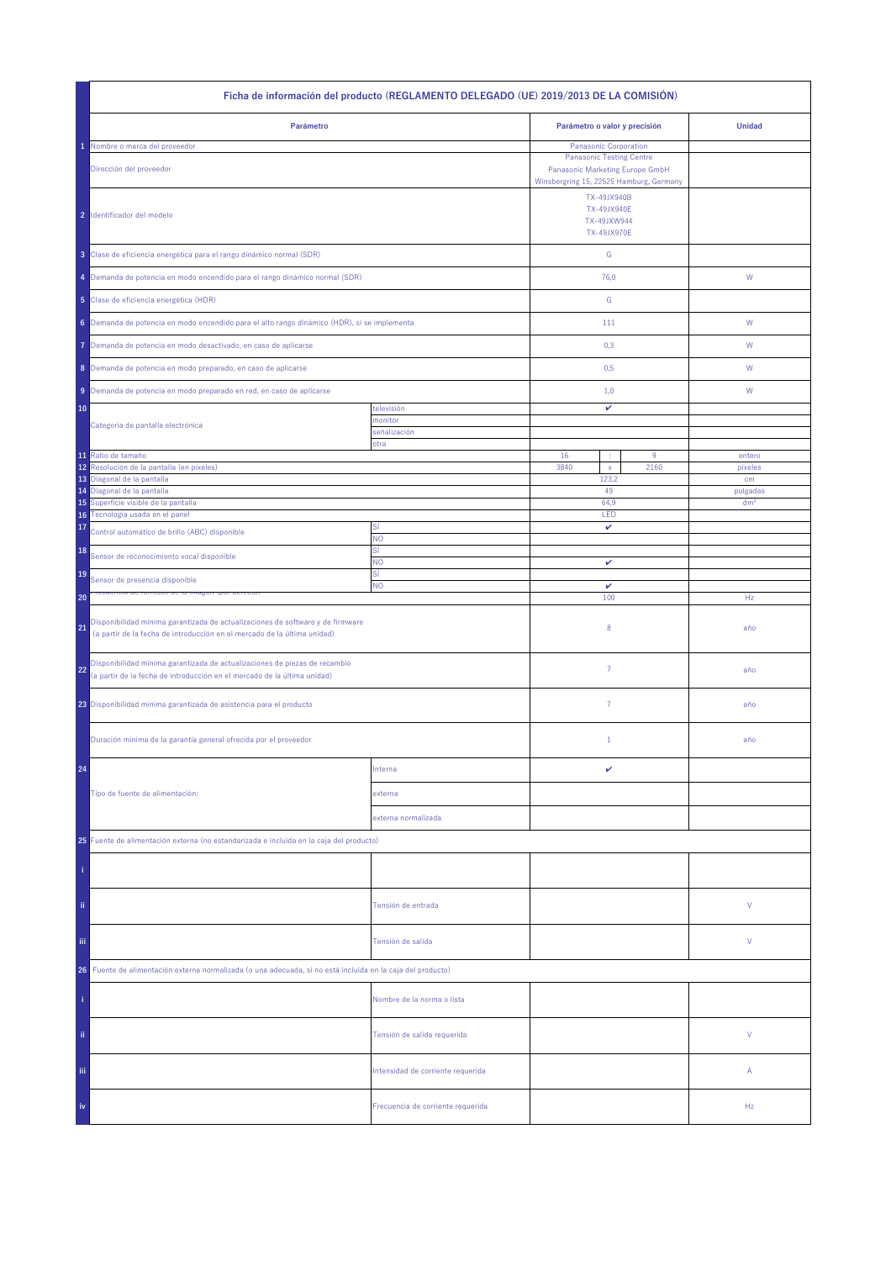|                                                                                                                                                                  | Ficha de información del producto (REGLAMENTO DELEGADO (UE) 2019/2013 DE LA COMISIÓN) |                                                                                                                                        |                                                                        |                 |
|------------------------------------------------------------------------------------------------------------------------------------------------------------------|---------------------------------------------------------------------------------------|----------------------------------------------------------------------------------------------------------------------------------------|------------------------------------------------------------------------|-----------------|
| Parámetro                                                                                                                                                        |                                                                                       | Parámetro o valor y precisión                                                                                                          |                                                                        | <b>Unidad</b>   |
| Nombre o marca del proveedor<br>Dirección del proveedor                                                                                                          |                                                                                       | Panasonic Corporation<br><b>Panasonic Testing Centre</b><br>Panasonic Marketing Europe GmbH<br>Winsbergring 15, 22525 Hamburg, Germany |                                                                        |                 |
| 2 Identificador del modelo                                                                                                                                       |                                                                                       |                                                                                                                                        | TX-49JX940B<br><b>TX-49JX940E</b><br>TX-49JXW944<br><b>TX-49JX970E</b> |                 |
| 3 Clase de eficiencia energética para el rango dinámico normal (SDR)                                                                                             |                                                                                       | ${\mathsf G}$                                                                                                                          |                                                                        |                 |
| 4 Demanda de potencia en modo encendido para el rango dinámico normal (SDR)                                                                                      |                                                                                       | 76,0                                                                                                                                   |                                                                        | W               |
| 5 Clase de eficiencia energética (HDR)                                                                                                                           |                                                                                       | G                                                                                                                                      |                                                                        |                 |
| 6 Demanda de potencia en modo encendido para el alto rango dinámico (HDR), si se implementa                                                                      |                                                                                       | 111                                                                                                                                    |                                                                        | W               |
| Demanda de potencia en modo desactivado, en caso de aplicarse<br>7                                                                                               |                                                                                       | 0,3                                                                                                                                    |                                                                        | W               |
| 8 Demanda de potencia en modo preparado, en caso de aplicarse                                                                                                    |                                                                                       | 0,5                                                                                                                                    |                                                                        | W               |
| 9 Demanda de potencia en modo preparado en red, en caso de aplicarse                                                                                             |                                                                                       | 1,0                                                                                                                                    |                                                                        | W               |
| 10                                                                                                                                                               | televisión<br>monitor                                                                 | v                                                                                                                                      |                                                                        |                 |
| Categoría de pantalla electrónica                                                                                                                                | señalización<br>otra                                                                  |                                                                                                                                        |                                                                        |                 |
| 11 Ratio de tamaño                                                                                                                                               |                                                                                       | 16<br>÷                                                                                                                                | $9\,$                                                                  | entero          |
| 12<br>Resolución de la pantalla (en píxeles)<br>13 Diagonal de la pantalla                                                                                       |                                                                                       | 3840<br>$\mathsf X$<br>123,2                                                                                                           | 2160                                                                   | pixeles<br>cm   |
| Diagonal de la pantalla<br>14                                                                                                                                    |                                                                                       | 49                                                                                                                                     |                                                                        | pulgadas        |
| 15 Superficie visible de la pantalla<br>16 Tecnología usada en el panel                                                                                          |                                                                                       | 64.9<br>LED                                                                                                                            |                                                                        | dm <sup>2</sup> |
| 17<br>Control automático de brillo (ABC) disponible                                                                                                              | Sİ<br><b>NO</b>                                                                       | v                                                                                                                                      |                                                                        |                 |
| 18<br>Sensor de reconocimiento vocal disponible                                                                                                                  | SÍ<br>NO                                                                              |                                                                                                                                        |                                                                        |                 |
| 19<br>Sensor de presencia disponible                                                                                                                             | SÍ                                                                                    | v                                                                                                                                      |                                                                        |                 |
| 20                                                                                                                                                               | NO.                                                                                   | v<br>100                                                                                                                               |                                                                        | Hz              |
| Disponibilidad mínima garantizada de actualizaciones de software y de firmware<br>21<br>(a partir de la fecha de introducción en el mercado de la última unidad) |                                                                                       | 8                                                                                                                                      |                                                                        | año             |
| Disponibilidad mínima garantizada de actualizaciones de piezas de recambio<br>22<br>(a partir de la fecha de introducción en el mercado de la última unidad)     |                                                                                       | $\overline{7}$                                                                                                                         |                                                                        | año             |
| 23 Disponibilidad mínima garantizada de asistencia para el producto                                                                                              |                                                                                       | $\overline{7}$                                                                                                                         |                                                                        | año             |
| Duración mínima de la garantía general ofrecida por el proveedor                                                                                                 |                                                                                       | $1\,$                                                                                                                                  |                                                                        | año             |
| 24                                                                                                                                                               | Interna                                                                               | v                                                                                                                                      |                                                                        |                 |
| Tipo de fuente de alimentación:                                                                                                                                  | externa                                                                               |                                                                                                                                        |                                                                        |                 |
|                                                                                                                                                                  | externa normalizada                                                                   |                                                                                                                                        |                                                                        |                 |
| 25 Fuente de alimentación externa (no estandarizada e incluida en la caja del producto)                                                                          |                                                                                       |                                                                                                                                        |                                                                        |                 |
|                                                                                                                                                                  |                                                                                       |                                                                                                                                        |                                                                        |                 |
| ii.                                                                                                                                                              | Tensión de entrada                                                                    |                                                                                                                                        |                                                                        | ٧               |
| Ϊij<br>Tensión de salida                                                                                                                                         |                                                                                       |                                                                                                                                        |                                                                        | ٧               |
| Fuente de alimentación externa normalizada (o una adecuada, si no está incluida en la caja del producto)<br>26                                                   |                                                                                       |                                                                                                                                        |                                                                        |                 |
|                                                                                                                                                                  | Nombre de la norma o lista                                                            |                                                                                                                                        |                                                                        |                 |
| ii.                                                                                                                                                              | Tensión de salida requerida                                                           |                                                                                                                                        |                                                                        | V               |
| Ϊij                                                                                                                                                              | Intensidad de corriente requerida                                                     |                                                                                                                                        |                                                                        | Α               |
| iv                                                                                                                                                               | Frecuencia de corriente requerida                                                     |                                                                                                                                        |                                                                        | Hz              |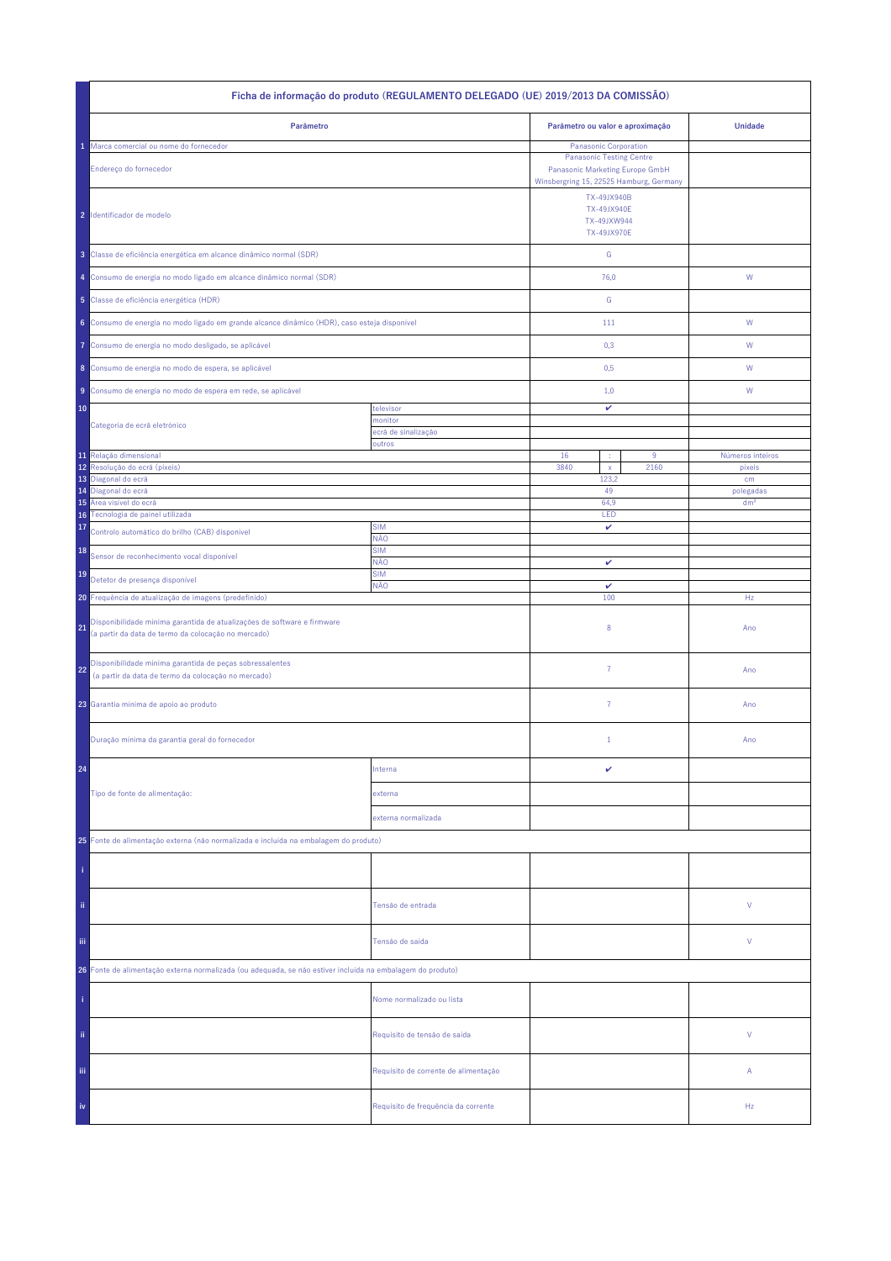| Ficha de informação do produto (REGULAMENTO DELEGADO (UE) 2019/2013 DA COMISSÃO)                                                     |                                      |                                                                        |                              |  |  |
|--------------------------------------------------------------------------------------------------------------------------------------|--------------------------------------|------------------------------------------------------------------------|------------------------------|--|--|
| Parâmetro                                                                                                                            |                                      | Parâmetro ou valor e aproximação                                       | <b>Unidade</b>               |  |  |
| Marca comercial ou nome do fornecedor                                                                                                |                                      | Panasonic Corporation<br><b>Panasonic Testing Centre</b>               |                              |  |  |
| Endereço do fornecedor                                                                                                               |                                      |                                                                        |                              |  |  |
| 2 Identificador de modelo                                                                                                            |                                      | TX-49JX940B<br><b>TX-49JX940E</b><br>TX-49JXW944<br><b>TX-49JX970E</b> |                              |  |  |
| 3 Classe de eficiência energética em alcance dinâmico normal (SDR)                                                                   |                                      | ${\mathbb G}$                                                          |                              |  |  |
| 4 Consumo de energia no modo ligado em alcance dinâmico normal (SDR)                                                                 |                                      | 76,0                                                                   | W                            |  |  |
| 5 Classe de eficiência energética (HDR)                                                                                              |                                      | ${\mathbb G}$                                                          |                              |  |  |
| 6 Consumo de energia no modo ligado em grande alcance dinâmico (HDR), caso esteja disponível                                         |                                      | 111                                                                    | ${\sf W}$                    |  |  |
| Consumo de energia no modo desligado, se aplicável<br>Ô                                                                              |                                      | 0,3                                                                    | W                            |  |  |
| 8 Consumo de energia no modo de espera, se aplicável                                                                                 |                                      | 0,5                                                                    | W                            |  |  |
| Consumo de energia no modo de espera em rede, se aplicável<br>9                                                                      |                                      | 1,0                                                                    | W                            |  |  |
| 10                                                                                                                                   | televisor                            | v                                                                      |                              |  |  |
| Categoria de ecrã eletrónico                                                                                                         | monitor<br>ecră de sinalização       |                                                                        |                              |  |  |
|                                                                                                                                      | outros                               |                                                                        |                              |  |  |
| 11 Relação dimensional<br>Resolução do ecrã (píxeis)<br>12                                                                           |                                      | 16<br>$9\,$<br>3840<br>2160<br>$\mathsf X$                             | Números inteiros<br>pixeis   |  |  |
| 13<br>Diagonal do ecrã                                                                                                               |                                      | 123,2<br>49                                                            | cm                           |  |  |
| Diagonal do ecrã<br>14<br>Área visível do ecrã<br>15                                                                                 |                                      | 64,9                                                                   | polegadas<br>dm <sup>2</sup> |  |  |
| Tecnologia de painel utilizada<br>16 <sup>°</sup>                                                                                    |                                      | LED                                                                    |                              |  |  |
| 17<br>Controlo automático do brilho (CAB) disponível                                                                                 | <b>SIM</b><br>NÃO                    | v                                                                      |                              |  |  |
| 18<br>Sensor de reconhecimento vocal disponível                                                                                      | <b>SIM</b><br>NÃO                    | v                                                                      |                              |  |  |
| 19<br>Detetor de presença disponível                                                                                                 | <b>SIM</b><br>NÃO                    | $\checkmark$                                                           |                              |  |  |
| 20 Frequência de atualização de imagens (predefinido)                                                                                |                                      | 100                                                                    | Hz                           |  |  |
| Disponibilidade mínima garantida de atualizações de software e firmware<br>21<br>(a partir da data de termo da colocação no mercado) |                                      | 8                                                                      | Ano                          |  |  |
| Disponibilidade mínima garantida de peças sobressalentes<br>22<br>(a partir da data de termo da colocação no mercado)                |                                      | $\overline{7}$                                                         | Ano                          |  |  |
| 23 Garantia mínima de apoio ao produto                                                                                               |                                      | 7                                                                      | Ano                          |  |  |
| Duração mínima da garantia geral do fornecedor                                                                                       |                                      | $\mathbf{1}$                                                           | Ano                          |  |  |
| 24                                                                                                                                   | Interna                              | v                                                                      |                              |  |  |
| Tipo de fonte de alimentação:                                                                                                        | externa                              |                                                                        |                              |  |  |
|                                                                                                                                      | externa normalizada                  |                                                                        |                              |  |  |
| 25 Fonte de alimentação externa (não normalizada e incluída na embalagem do produto)                                                 |                                      |                                                                        |                              |  |  |
|                                                                                                                                      |                                      |                                                                        |                              |  |  |
| ii.                                                                                                                                  | Tensão de entrada                    |                                                                        | V                            |  |  |
| Ϊij                                                                                                                                  | Tensão de saída                      |                                                                        | V                            |  |  |
| 26 Fonte de alimentação externa normalizada (ou adequada, se não estiver incluída na embalagem do produto)                           |                                      |                                                                        |                              |  |  |
|                                                                                                                                      | Nome normalizado ou lista            |                                                                        |                              |  |  |
| ii.                                                                                                                                  | Requisito de tensão de saída         |                                                                        | V                            |  |  |
| Ϊij                                                                                                                                  | Requisito de corrente de alimentação |                                                                        | Α                            |  |  |
| iv                                                                                                                                   | Requisito de frequência da corrente  |                                                                        | Hz                           |  |  |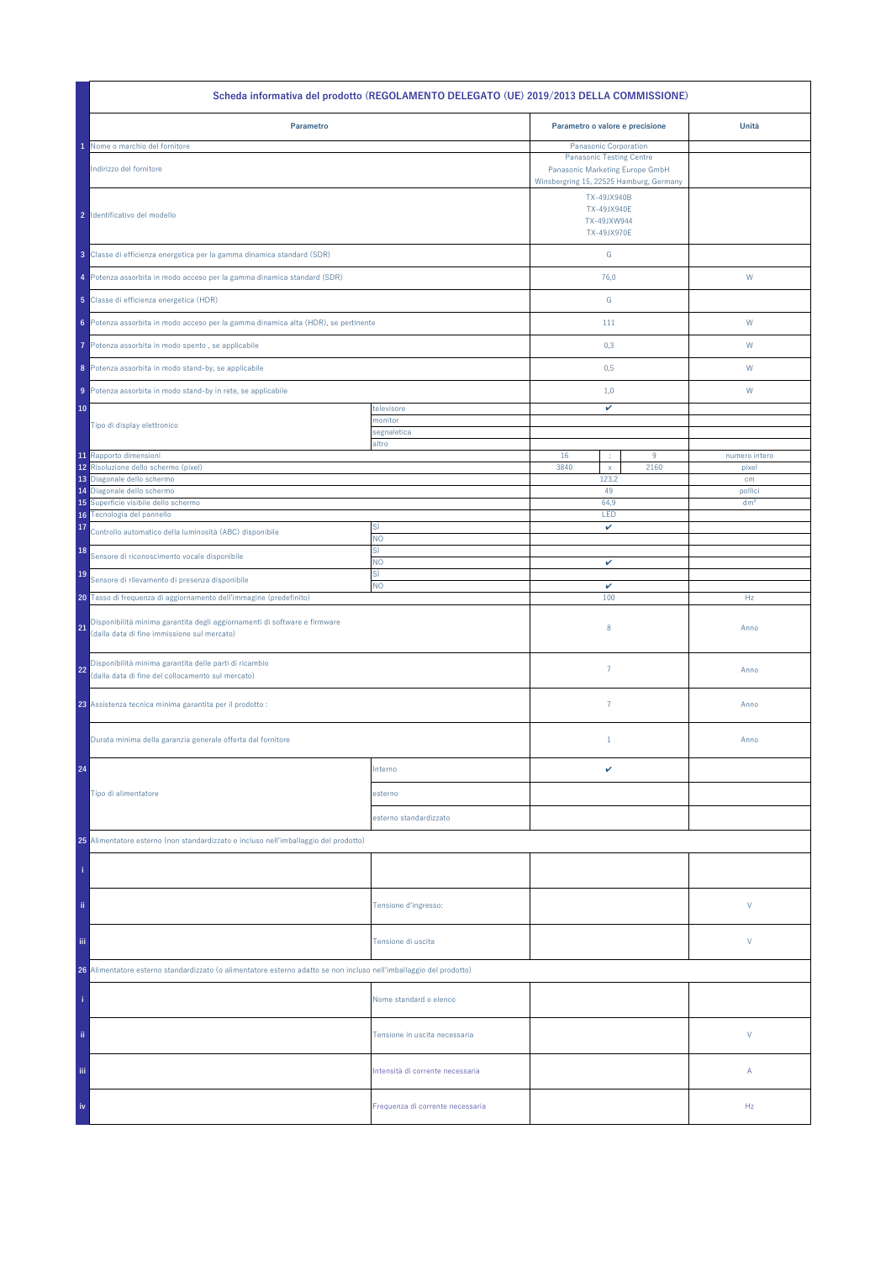| Scheda informativa del prodotto (REGOLAMENTO DELEGATO (UE) 2019/2013 DELLA COMMISSIONE)                                        |                                  |                                           |                                                                                                                              |                 |  |
|--------------------------------------------------------------------------------------------------------------------------------|----------------------------------|-------------------------------------------|------------------------------------------------------------------------------------------------------------------------------|-----------------|--|
| Parametro                                                                                                                      |                                  | Parametro o valore e precisione           |                                                                                                                              | Unità           |  |
| Nome o marchio del fornitore                                                                                                   |                                  | Panasonic Corporation                     |                                                                                                                              |                 |  |
| Indirizzo del fornitore                                                                                                        |                                  |                                           | <b>Panasonic Testing Centre</b><br>Panasonic Marketing Europe GmbH<br>Winsbergring 15, 22525 Hamburg, Germany<br>TX-49JX940B |                 |  |
| 2 Identificativo del modello                                                                                                   |                                  | TX-49JX940E<br>TX-49JXW944<br>TX-49JX970E |                                                                                                                              |                 |  |
| 3 Classe di efficienza energetica per la gamma dinamica standard (SDR)                                                         |                                  | G                                         |                                                                                                                              |                 |  |
| 4 Potenza assorbita in modo acceso per la gamma dinamica standard (SDR)                                                        |                                  | 76,0                                      |                                                                                                                              | W               |  |
| 5 Classe di efficienza energetica (HDR)                                                                                        |                                  | G                                         |                                                                                                                              |                 |  |
| 6 Potenza assorbita in modo acceso per la gamma dinamica alta (HDR), se pertinente                                             |                                  | 111                                       |                                                                                                                              | W               |  |
| Potenza assorbita in modo spento, se applicabile<br>7<br>8 Potenza assorbita in modo stand-by, se applicabile                  |                                  | 0,3<br>0,5                                |                                                                                                                              | W<br>W          |  |
| 9 Potenza assorbita in modo stand-by in rete, se applicabile                                                                   |                                  | 1,0                                       |                                                                                                                              | W               |  |
|                                                                                                                                |                                  |                                           |                                                                                                                              |                 |  |
| 10                                                                                                                             | televisore<br>monitor            | v                                         |                                                                                                                              |                 |  |
| Tipo di display elettronico                                                                                                    | segnaletica                      |                                           |                                                                                                                              |                 |  |
|                                                                                                                                | altro                            |                                           |                                                                                                                              |                 |  |
| 11 Rapporto dimensioni                                                                                                         |                                  | 16<br>÷                                   | 9                                                                                                                            | numero intero   |  |
| 12 Risoluzione dello schermo (pixel)                                                                                           |                                  | 3840<br>$\mathsf X$                       | 2160                                                                                                                         | pixel           |  |
| 13 Diagonale dello schermo<br>14 Diagonale dello schermo                                                                       |                                  | 123,2<br>49                               |                                                                                                                              | cm<br>pollici   |  |
| Superficie visibile dello schermo<br>15                                                                                        |                                  | 64,9                                      |                                                                                                                              | dm <sup>2</sup> |  |
| 16 Tecnologia del pannello                                                                                                     |                                  | LED                                       |                                                                                                                              |                 |  |
| 17<br>Controllo automatico della luminosità (ABC) disponibile                                                                  | SÌ<br><b>NO</b>                  | v                                         |                                                                                                                              |                 |  |
| 18<br>Sensore di riconoscimento vocale disponibile                                                                             | sì<br><b>NO</b>                  | $\checkmark$                              |                                                                                                                              |                 |  |
| 19<br>Sensore di rilevamento di presenza disponibile                                                                           | sì                               |                                           |                                                                                                                              |                 |  |
|                                                                                                                                | <b>NO</b>                        | v                                         |                                                                                                                              |                 |  |
| 20 Tasso di frequenza di aggiornamento dell'immagine (predefinito)                                                             |                                  | 100                                       |                                                                                                                              | Hz              |  |
| Disponibilità minima garantita degli aggiornamenti di software e firmware<br>21<br>(dalla data di fine immissione sul mercato) |                                  | 8                                         |                                                                                                                              | Anno            |  |
| Disponibilità minima garantita delle parti di ricambio<br>22<br>(dalla data di fine del collocamento sul mercato)              |                                  | $\overline{7}$                            |                                                                                                                              | Anno            |  |
| 23 Assistenza tecnica minima garantita per il prodotto :                                                                       |                                  | $\overline{7}$                            |                                                                                                                              | Anno            |  |
| Durata minima della garanzia generale offerta dal fornitore                                                                    |                                  | $1\,$                                     |                                                                                                                              | Anno            |  |
| 24                                                                                                                             | Interno                          | v                                         |                                                                                                                              |                 |  |
| Tipo di alimentatore                                                                                                           | esterno                          |                                           |                                                                                                                              |                 |  |
|                                                                                                                                | esterno standardizzato           |                                           |                                                                                                                              |                 |  |
| 25 Alimentatore esterno (non standardizzato e incluso nell'imballaggio del prodotto)                                           |                                  |                                           |                                                                                                                              |                 |  |
|                                                                                                                                |                                  |                                           |                                                                                                                              |                 |  |
| ii.                                                                                                                            | Tensione d'ingresso:             |                                           |                                                                                                                              | V               |  |
| iii.                                                                                                                           | Tensione di uscita               |                                           |                                                                                                                              | V               |  |
| 26 Alimentatore esterno standardizzato (o alimentatore esterno adatto se non incluso nell'imballaggio del prodotto)            |                                  |                                           |                                                                                                                              |                 |  |
|                                                                                                                                | Nome standard o elenco           |                                           |                                                                                                                              |                 |  |
| ii.                                                                                                                            | Tensione in uscita necessaria    |                                           |                                                                                                                              | V               |  |
| Ϊij                                                                                                                            | Intensità di corrente necessaria |                                           |                                                                                                                              | Α               |  |
| iv                                                                                                                             | Frequenza di corrente necessaria |                                           |                                                                                                                              | Hz              |  |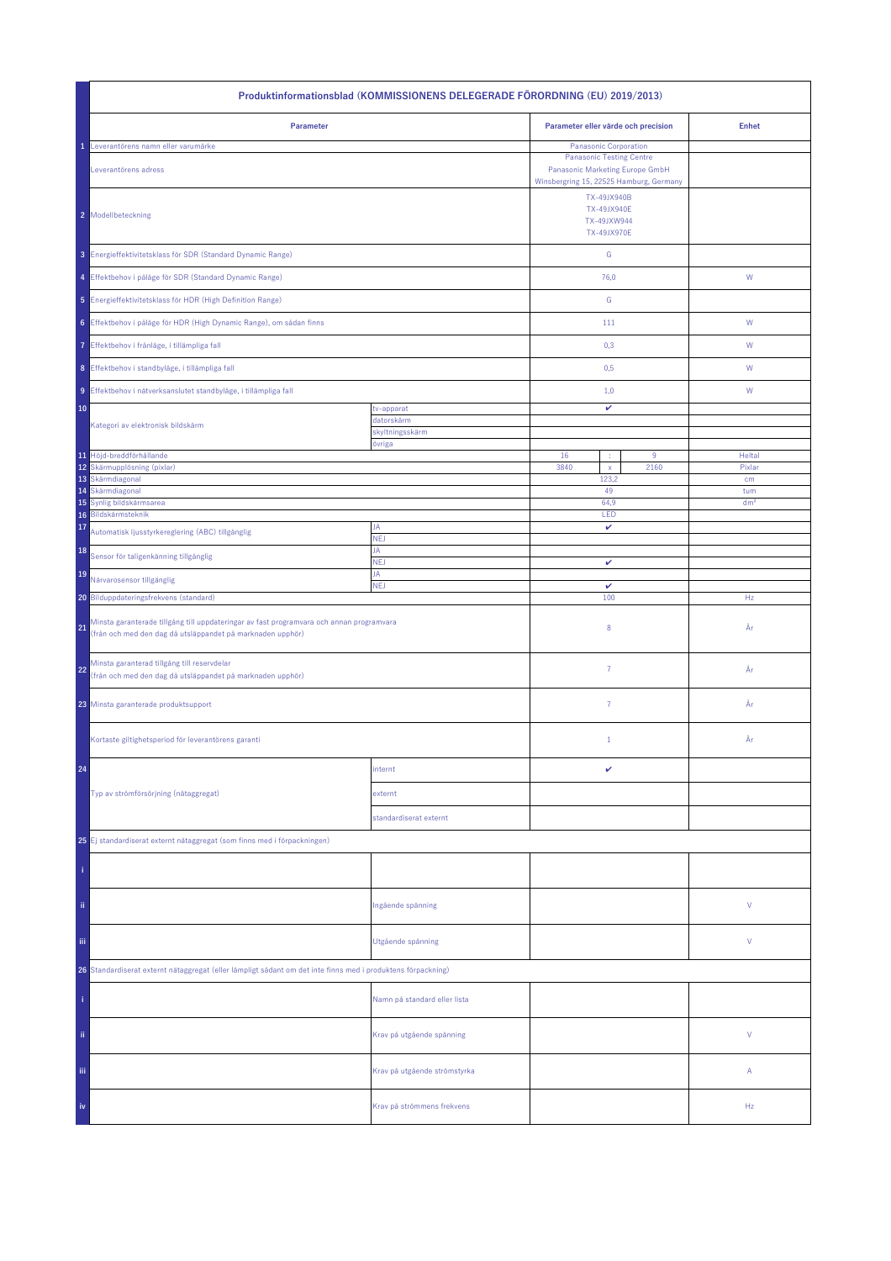| Produktinformationsblad (KOMMISSIONENS DELEGERADE FÖRORDNING (EU) 2019/2013)                                                                                 |                              |                                     |                                                                                                                                               |                 |  |
|--------------------------------------------------------------------------------------------------------------------------------------------------------------|------------------------------|-------------------------------------|-----------------------------------------------------------------------------------------------------------------------------------------------|-----------------|--|
| Parameter                                                                                                                                                    |                              | Parameter eller värde och precision |                                                                                                                                               | <b>Enhet</b>    |  |
| Leverantörens namn eller varumärke<br>Leverantörens adress                                                                                                   |                              |                                     | <b>Panasonic Corporation</b><br><b>Panasonic Testing Centre</b><br>Panasonic Marketing Europe GmbH<br>Winsbergring 15, 22525 Hamburg, Germany |                 |  |
| 2 Modellbeteckning                                                                                                                                           |                              |                                     | TX-49JX940B<br><b>TX-49JX940E</b><br>TX-49JXW944<br><b>TX-49JX970E</b>                                                                        |                 |  |
| 3 Energieffektivitetsklass för SDR (Standard Dynamic Range)                                                                                                  |                              | ${\mathsf G}$                       |                                                                                                                                               |                 |  |
| 4 Effektbehov i påläge för SDR (Standard Dynamic Range)                                                                                                      |                              | 76,0                                |                                                                                                                                               | ${\mathsf W}$   |  |
| 5 Energieffektivitetsklass för HDR (High Definition Range)                                                                                                   |                              | ${\mathbb G}$                       |                                                                                                                                               |                 |  |
| 6 Effektbehov i påläge för HDR (High Dynamic Range), om sådan finns                                                                                          |                              | 111                                 |                                                                                                                                               | W               |  |
| 7 Effektbehov i frånläge, i tillämpliga fall                                                                                                                 |                              | 0,3                                 |                                                                                                                                               | W               |  |
| 8 Effektbehov i standbyläge, i tillämpliga fall                                                                                                              |                              | 0,5                                 |                                                                                                                                               | W               |  |
| 9 Effektbehov i nätverksanslutet standbyläge, i tillämpliga fall                                                                                             |                              | 1,0                                 |                                                                                                                                               | W               |  |
| 10                                                                                                                                                           | tv-apparat<br>datorskärm     | v                                   |                                                                                                                                               |                 |  |
| Kategori av elektronisk bildskärm                                                                                                                            | skyltningsskärm<br>övriga    |                                     |                                                                                                                                               |                 |  |
| 11 Höjd-breddförhållande                                                                                                                                     |                              | 16<br>÷                             | $9\,$                                                                                                                                         | Heltal          |  |
| 12 Skärmupplösning (pixlar)<br>13 Skärmdiagonal                                                                                                              |                              | 3840<br>$\mathsf{x}$<br>123,2       | 2160                                                                                                                                          | Pixlar<br>cm    |  |
| Skärmdiagonal<br>14                                                                                                                                          |                              | 49                                  |                                                                                                                                               | tum             |  |
| Synlig bildskärmsarea<br>15<br>Bildskärmsteknik<br>16                                                                                                        |                              | 64.9<br>LED                         |                                                                                                                                               | dm <sup>2</sup> |  |
| 17<br>Automatisk ljusstyrkereglering (ABC) tillgänglig                                                                                                       | JA<br><b>NEJ</b>             | v                                   |                                                                                                                                               |                 |  |
| 18<br>Sensor för taligenkänning tillgänglig                                                                                                                  | JA<br><b>NEJ</b>             |                                     |                                                                                                                                               |                 |  |
| 19<br>Närvarosensor tillgänglig                                                                                                                              | JA                           | v                                   |                                                                                                                                               |                 |  |
| 20 Bilduppdateringsfrekvens (standard)                                                                                                                       | <b>NEJ</b>                   | $\checkmark$<br>100                 |                                                                                                                                               | Hz              |  |
| Minsta garanterade tillgång till uppdateringar av fast programvara och annan programvara<br>21<br>(från och med den dag då utsläppandet på marknaden upphör) |                              | 8                                   |                                                                                                                                               | År              |  |
| Minsta garanterad tillgång till reservdelar<br>22<br>(från och med den dag då utsläppandet på marknaden upphör)                                              |                              | $\overline{7}$                      |                                                                                                                                               | År              |  |
| 23 Minsta garanterade produktsupport                                                                                                                         |                              | $\overline{7}$                      |                                                                                                                                               | År              |  |
| Kortaste giltighetsperiod för leverantörens garanti                                                                                                          |                              | $\mathbf{1}$                        |                                                                                                                                               | År              |  |
| 24                                                                                                                                                           | internt                      | v                                   |                                                                                                                                               |                 |  |
| Typ av strömförsörjning (nätaggregat)                                                                                                                        | externt                      |                                     |                                                                                                                                               |                 |  |
|                                                                                                                                                              | standardiserat externt       |                                     |                                                                                                                                               |                 |  |
| 25 Ej standardiserat externt nätaggregat (som finns med i förpackningen)                                                                                     |                              |                                     |                                                                                                                                               |                 |  |
|                                                                                                                                                              |                              |                                     |                                                                                                                                               |                 |  |
| ii.                                                                                                                                                          | Ingående spänning            |                                     |                                                                                                                                               | ٧               |  |
| Utgående spänning<br>Ϊij                                                                                                                                     |                              |                                     |                                                                                                                                               | ٧               |  |
| 26 Standardiserat externt nätaggregat (eller lämpligt sådant om det inte finns med i produktens förpackning)                                                 |                              |                                     |                                                                                                                                               |                 |  |
|                                                                                                                                                              | Namn på standard eller lista |                                     |                                                                                                                                               |                 |  |
| ii.                                                                                                                                                          | Krav på utgående spänning    |                                     |                                                                                                                                               | V               |  |
| Ϊij                                                                                                                                                          | Krav på utgående strömstyrka |                                     |                                                                                                                                               | Α               |  |
| iv                                                                                                                                                           | Krav på strömmens frekvens   |                                     |                                                                                                                                               | Hz              |  |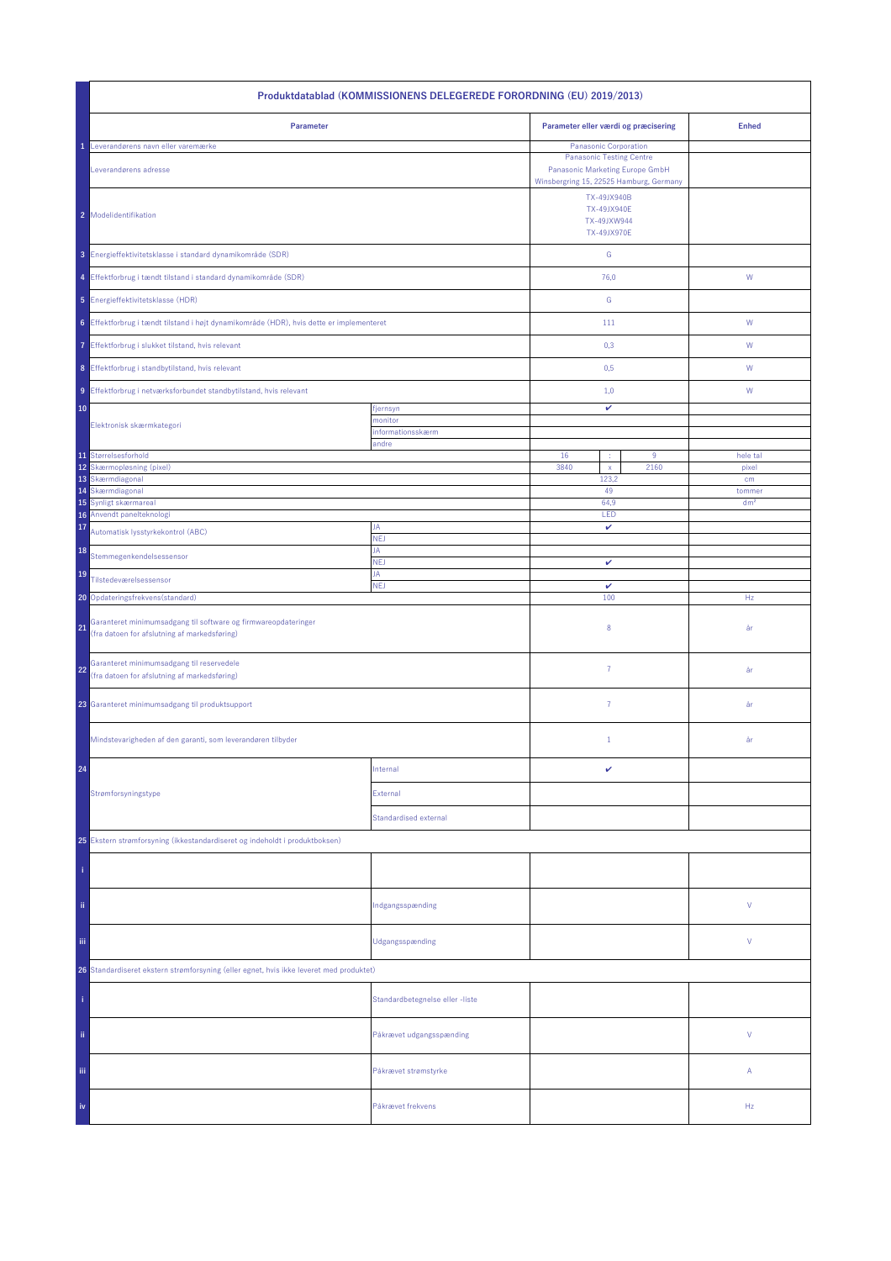| Produktdatablad (KOMMISSIONENS DELEGEREDE FORORDNING (EU) 2019/2013)                                                 |                                         |                                                                 |                           |  |  |
|----------------------------------------------------------------------------------------------------------------------|-----------------------------------------|-----------------------------------------------------------------|---------------------------|--|--|
| Parameter                                                                                                            |                                         | Parameter eller værdi og præcisering                            | <b>Enhed</b>              |  |  |
| Leverandørens navn eller varemærke                                                                                   |                                         | Panasonic Corporation<br><b>Panasonic Testing Centre</b>        |                           |  |  |
| Leverandørens adresse                                                                                                | Winsbergring 15, 22525 Hamburg, Germany |                                                                 |                           |  |  |
| 2 Modelidentifikation                                                                                                |                                         | TX-49JX940B<br><b>TX-49JX940E</b><br>TX-49JXW944<br>TX-49JX970E |                           |  |  |
| 3 Energieffektivitetsklasse i standard dynamikområde (SDR)                                                           |                                         | ${\mathbb G}$                                                   |                           |  |  |
| 4 Effektforbrug i tændt tilstand i standard dynamikområde (SDR)                                                      |                                         | 76,0                                                            | W                         |  |  |
| 5 Energieffektivitetsklasse (HDR)                                                                                    |                                         | ${\mathbb G}$                                                   |                           |  |  |
| 6 Effektforbrug i tændt tilstand i højt dynamikområde (HDR), hvis dette er implementeret                             |                                         | 111                                                             | ${\sf W}$                 |  |  |
| 7 Effektforbrug i slukket tilstand, hvis relevant                                                                    |                                         | 0,3                                                             | W                         |  |  |
| 8 Effektforbrug i standbytilstand, hvis relevant                                                                     |                                         | 0,5                                                             | W                         |  |  |
| 9 Effektforbrug i netværksforbundet standbytilstand, hvis relevant                                                   |                                         | 1,0                                                             | W                         |  |  |
| 10                                                                                                                   | fjernsyn                                | $\checkmark$                                                    |                           |  |  |
| Elektronisk skærmkategori                                                                                            | monitor<br>informationsskærm            |                                                                 |                           |  |  |
|                                                                                                                      | andre                                   |                                                                 |                           |  |  |
| 11 Størrelsesforhold<br>12<br>Skærmopløsning (pixel)                                                                 |                                         | 16<br>$9\,$<br>3840<br>2160<br>$\mathsf X$                      | hele tal<br>pixel         |  |  |
| 13 Skærmdiagonal                                                                                                     |                                         | 123,2                                                           | cm                        |  |  |
| Skærmdiagonal<br>14<br>15<br>Synligt skærmareal                                                                      |                                         | 49<br>64,9                                                      | tommer<br>dm <sup>2</sup> |  |  |
| 16 Anvendt panelteknologi                                                                                            |                                         | LED                                                             |                           |  |  |
| 17<br>Automatisk lysstyrkekontrol (ABC)                                                                              | JA<br>NEJ                               | v                                                               |                           |  |  |
| 18<br>Stemmegenkendelsessensor                                                                                       | JA<br><b>NEJ</b>                        | $\checkmark$                                                    |                           |  |  |
| 19<br>Tilstedeværelsessensor                                                                                         | JA<br><b>NEJ</b>                        | v                                                               |                           |  |  |
| 20 Opdateringsfrekvens (standard)                                                                                    |                                         | 100                                                             | Hz                        |  |  |
| Garanteret minimumsadgang til software og firmwareopdateringer<br>21<br>(fra datoen for afslutning af markedsføring) |                                         | 8                                                               | år                        |  |  |
| Garanteret minimumsadgang til reservedele<br>22<br>(fra datoen for afslutning af markedsføring)                      |                                         | $\overline{7}$                                                  | år                        |  |  |
| 23 Garanteret minimumsadgang til produktsupport                                                                      |                                         | $\overline{7}$                                                  | år                        |  |  |
| Mindstevarigheden af den garanti, som leverandøren tilbyder                                                          |                                         | $\mathbf{1}$                                                    | år                        |  |  |
| 24                                                                                                                   | Internal                                | v                                                               |                           |  |  |
| Strømforsyningstype                                                                                                  | External                                |                                                                 |                           |  |  |
|                                                                                                                      | <b>Standardised external</b>            |                                                                 |                           |  |  |
| 25 Ekstern strømforsyning (ikkestandardiseret og indeholdt i produktboksen)                                          |                                         |                                                                 |                           |  |  |
|                                                                                                                      |                                         |                                                                 |                           |  |  |
| ii.                                                                                                                  | Indgangsspænding                        |                                                                 | V                         |  |  |
| Ϊij                                                                                                                  | Udgangsspænding                         |                                                                 | V                         |  |  |
| 26 Standardiseret ekstern strømforsyning (eller egnet, hvis ikke leveret med produktet)                              |                                         |                                                                 |                           |  |  |
|                                                                                                                      | Standardbetegnelse eller -liste         |                                                                 |                           |  |  |
| ii.                                                                                                                  | Påkrævet udgangsspænding                |                                                                 | V                         |  |  |
| iii.                                                                                                                 | Påkrævet strømstyrke                    |                                                                 | Α                         |  |  |
| iv                                                                                                                   | Påkrævet frekvens                       |                                                                 | Hz                        |  |  |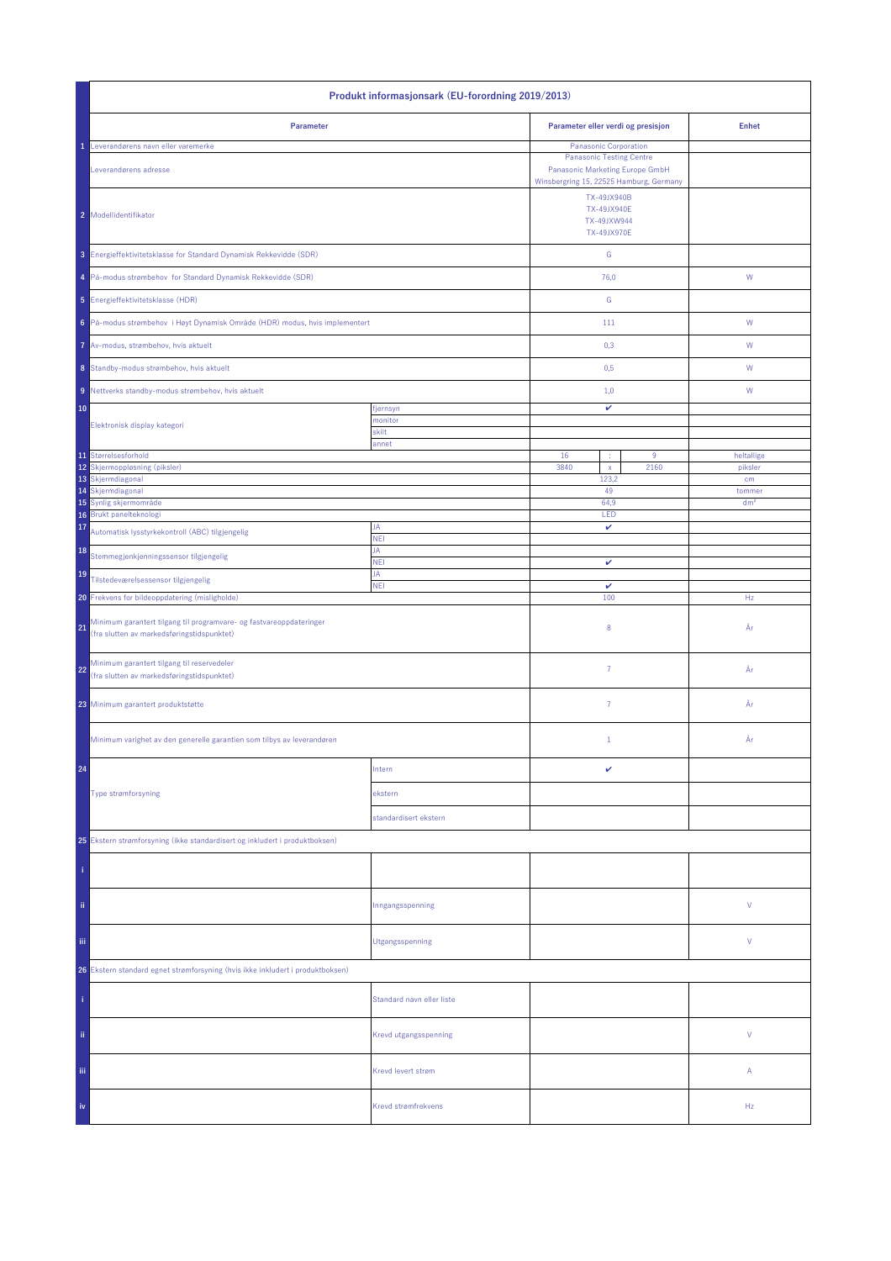| Produkt informasjonsark (EU-forordning 2019/2013)                                                                       |                           |                                                                        |                                                                                                                                        |                 |
|-------------------------------------------------------------------------------------------------------------------------|---------------------------|------------------------------------------------------------------------|----------------------------------------------------------------------------------------------------------------------------------------|-----------------|
| Parameter                                                                                                               |                           |                                                                        | Parameter eller verdi og presisjon                                                                                                     | <b>Enhet</b>    |
| Leverandørens navn eller varemerke<br>Leverandørens adresse                                                             |                           |                                                                        | Panasonic Corporation<br><b>Panasonic Testing Centre</b><br>Panasonic Marketing Europe GmbH<br>Winsbergring 15, 22525 Hamburg, Germany |                 |
| 2 Modellidentifikator                                                                                                   |                           | TX-49JX940B<br><b>TX-49JX940E</b><br>TX-49JXW944<br><b>TX-49JX970E</b> |                                                                                                                                        |                 |
| 3 Energieffektivitetsklasse for Standard Dynamisk Rekkevidde (SDR)                                                      |                           | ${\mathsf G}$                                                          |                                                                                                                                        |                 |
| 4 På-modus strømbehov for Standard Dynamisk Rekkevidde (SDR)                                                            |                           | 76,0                                                                   |                                                                                                                                        | ${\mathsf W}$   |
| 5 Energieffektivitetsklasse (HDR)                                                                                       |                           | G                                                                      |                                                                                                                                        |                 |
| 6 På-modus strømbehov i Høyt Dynamisk Område (HDR) modus, hvis implementert                                             |                           | 111                                                                    |                                                                                                                                        | W               |
| 7 Av-modus, strømbehov, hvis aktuelt                                                                                    |                           | 0,3                                                                    |                                                                                                                                        | W               |
| 8 Standby-modus strømbehov, hvis aktuelt                                                                                |                           | 0,5                                                                    |                                                                                                                                        | W               |
| 9 Nettverks standby-modus strømbehov, hvis aktuelt                                                                      |                           | 1,0                                                                    |                                                                                                                                        | W               |
| 10                                                                                                                      | fjernsyn<br>monitor       | v                                                                      |                                                                                                                                        |                 |
| Elektronisk display kategori                                                                                            | skilt                     |                                                                        |                                                                                                                                        |                 |
| 11 Størrelsesforhold                                                                                                    | annet                     | 16<br>÷                                                                | $9\,$                                                                                                                                  | heltallige      |
| 12<br>Skjermoppløsning (piksler)<br>13 Skjermdiagonal                                                                   |                           | 3840<br>$\mathsf{x}$<br>123,2                                          | 2160                                                                                                                                   | piksler<br>cm   |
| 14 Skjermdiagonal                                                                                                       |                           | 49                                                                     |                                                                                                                                        | tommer          |
| 15 Synlig skjermområde                                                                                                  |                           | 64,9                                                                   |                                                                                                                                        | dm <sup>2</sup> |
| 16 Brukt panelteknologi<br>17                                                                                           | JA                        | LED<br>v                                                               |                                                                                                                                        |                 |
| Automatisk lysstyrkekontroll (ABC) tilgjengelig                                                                         | <b>NEI</b>                |                                                                        |                                                                                                                                        |                 |
| 18<br>Stemmegjenkjenningssensor tilgjengelig                                                                            | JA<br><b>NEI</b>          | $\checkmark$                                                           |                                                                                                                                        |                 |
| 19<br>Tilstedeværelsessensor tilgjengelig                                                                               | JA<br><b>NEI</b>          | $\checkmark$                                                           |                                                                                                                                        |                 |
| 20 Frekvens for bildeoppdatering (misligholde)                                                                          |                           | 100                                                                    |                                                                                                                                        | Hz              |
| Minimum garantert tilgang til programvare- og fastvareoppdateringer<br>21<br>(fra slutten av markedsføringstidspunktet) |                           | 8                                                                      |                                                                                                                                        | År              |
| Minimum garantert tilgang til reservedeler<br>22<br>(fra slutten av markedsføringstidspunktet)                          |                           | $\overline{7}$                                                         |                                                                                                                                        | År              |
| 23 Minimum garantert produktstøtte                                                                                      |                           | $\overline{7}$                                                         |                                                                                                                                        | År              |
| Minimum varighet av den generelle garantien som tilbys av leverandøren                                                  |                           | $\mathbf{1}$                                                           |                                                                                                                                        | År              |
| 24                                                                                                                      | Intern                    | v                                                                      |                                                                                                                                        |                 |
| Type strømforsyning                                                                                                     | ekstern                   |                                                                        |                                                                                                                                        |                 |
|                                                                                                                         | standardisert ekstern     |                                                                        |                                                                                                                                        |                 |
| 25 Ekstern strømforsyning (ikke standardisert og inkludert i produktboksen)                                             |                           |                                                                        |                                                                                                                                        |                 |
|                                                                                                                         |                           |                                                                        |                                                                                                                                        |                 |
| ii.                                                                                                                     | Inngangsspenning          |                                                                        |                                                                                                                                        | V               |
| iii.                                                                                                                    | Utgangsspenning           |                                                                        |                                                                                                                                        | V               |
| 26 Ekstern standard egnet strømforsyning (hvis ikke inkludert i produktboksen)                                          |                           |                                                                        |                                                                                                                                        |                 |
|                                                                                                                         | Standard navn eller liste |                                                                        |                                                                                                                                        |                 |
| ii.                                                                                                                     | Krevd utgangsspenning     |                                                                        |                                                                                                                                        | V               |
| Ϊij                                                                                                                     | Krevd levert strøm        |                                                                        |                                                                                                                                        | Α               |
| iv                                                                                                                      | Krevd strømfrekvens       |                                                                        |                                                                                                                                        | Hz              |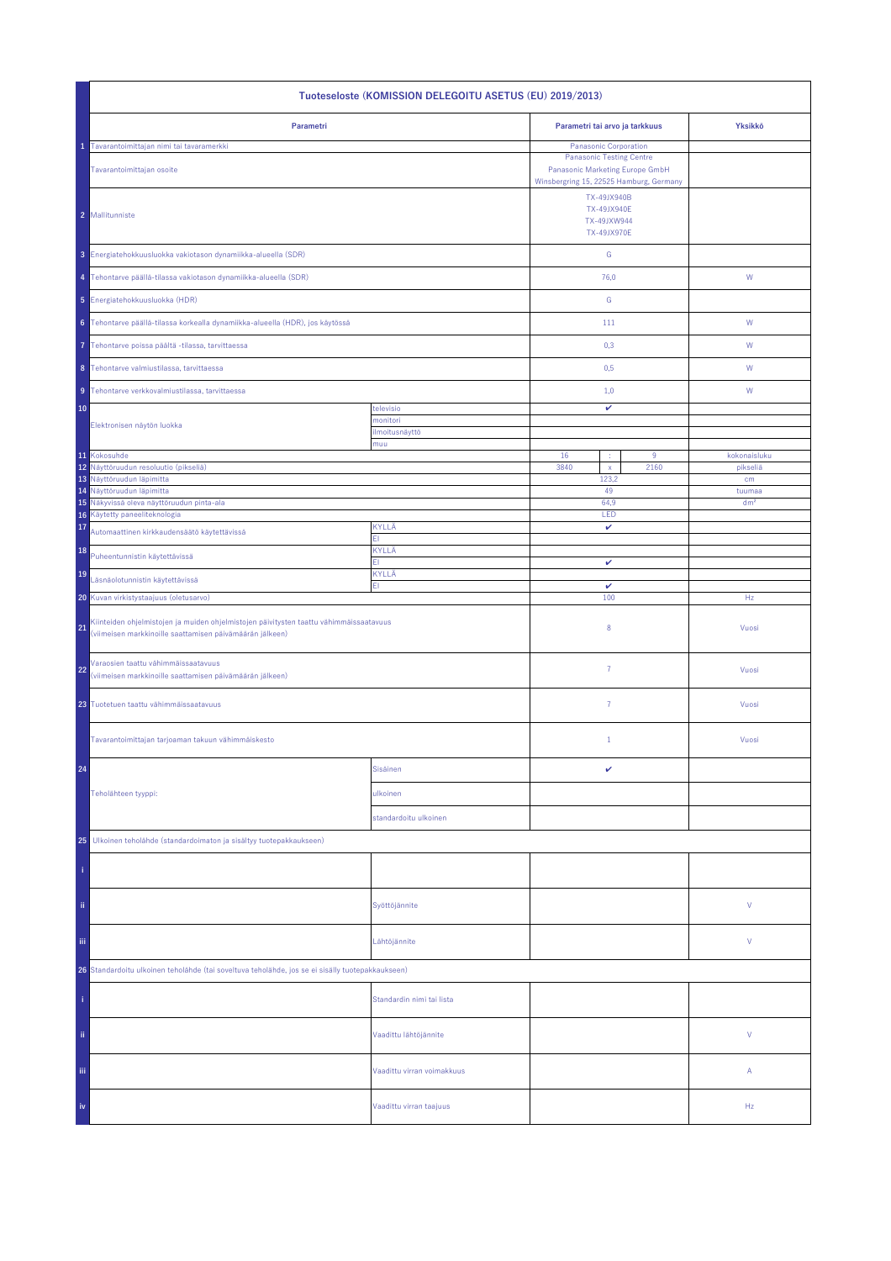| Tuoteseloste (KOMISSION DELEGOITU ASETUS (EU) 2019/2013)                                                                                                 |                            |                                                                 |                           |  |  |
|----------------------------------------------------------------------------------------------------------------------------------------------------------|----------------------------|-----------------------------------------------------------------|---------------------------|--|--|
| Parametri                                                                                                                                                |                            | Parametri tai arvo ja tarkkuus                                  | Yksikkö                   |  |  |
| Tavarantoimittajan nimi tai tavaramerkki<br>Tavarantoimittajan osoite                                                                                    |                            |                                                                 |                           |  |  |
| 2 Mallitunniste                                                                                                                                          |                            | TX-49JX940B<br>TX-49JX940E<br>TX-49JXW944<br><b>TX-49JX970E</b> |                           |  |  |
| 3 Energiatehokkuusluokka vakiotason dynamiikka-alueella (SDR)                                                                                            |                            | G                                                               |                           |  |  |
| 4 Tehontarve päällä-tilassa vakiotason dynamiikka-alueella (SDR)                                                                                         |                            | 76,0                                                            | W                         |  |  |
| 5 Energiatehokkuusluokka (HDR)                                                                                                                           |                            | ${\mathsf G}$                                                   |                           |  |  |
| 6 Tehontarve päällä-tilassa korkealla dynamiikka-alueella (HDR), jos käytössä                                                                            |                            | 111                                                             | ${\sf W}$                 |  |  |
| Tehontarve poissa päältä -tilassa, tarvittaessa<br>7                                                                                                     |                            | 0,3                                                             | W                         |  |  |
| 8 Tehontarve valmiustilassa, tarvittaessa                                                                                                                |                            | 0,5                                                             | W                         |  |  |
| 9 Tehontarve verkkovalmiustilassa, tarvittaessa                                                                                                          |                            | 1,0                                                             | W                         |  |  |
| 10                                                                                                                                                       | televisio<br>monitori      | v                                                               |                           |  |  |
| Elektronisen näytön luokka                                                                                                                               | ilmoitusnäyttö<br>muu      |                                                                 |                           |  |  |
| 11 Kokosuhde<br>12 Näyttöruudun resoluutio (pikseliä)                                                                                                    |                            | 16<br>9<br>÷                                                    | kokonaisluku              |  |  |
| 13 Näyttöruudun läpimitta                                                                                                                                |                            | 3840<br>2160<br>$\bar{\mathsf{x}}$<br>123,2                     | pikseliä<br>cm            |  |  |
| 14 Näyttöruudun läpimitta<br>15 Näkyvissä oleva näyttöruudun pinta-ala                                                                                   |                            | 49<br>64,9                                                      | tuumaa<br>dm <sup>2</sup> |  |  |
| Käytetty paneeliteknologia<br>16                                                                                                                         |                            | LED                                                             |                           |  |  |
| 17<br>Automaattinen kirkkaudensäätö käytettävissä                                                                                                        | KYLLÄ<br>FI.               | $\checkmark$                                                    |                           |  |  |
| 18<br>Puheentunnistin käytettävissä                                                                                                                      | KYLLÄ<br>FI                | v                                                               |                           |  |  |
| 19<br>Läsnäolotunnistin käytettävissä                                                                                                                    | KYLLÄ<br>ΕIΙ               |                                                                 |                           |  |  |
| Kuvan virkistystaajuus (oletusarvo)<br>20                                                                                                                |                            | v<br>100                                                        | Hz                        |  |  |
| Kiinteiden ohjelmistojen ja muiden ohjelmistojen päivitysten taattu vähimmäissaatavuus<br>21<br>(viimeisen markkinoille saattamisen päivämäärän jälkeen) |                            | 8                                                               | Vuosi                     |  |  |
| Varaosien taattu vähimmäissaatavuus<br>22<br>(viimeisen markkinoille saattamisen päivämäärän jälkeen)                                                    |                            | 7                                                               | Vuosi                     |  |  |
| 23 Tuotetuen taattu vähimmäissaatavuus                                                                                                                   |                            | $\overline{7}$                                                  | Vuosi                     |  |  |
| Tavarantoimittajan tarjoaman takuun vähimmäiskesto                                                                                                       |                            | $\mathbf{1}$                                                    | Vuosi                     |  |  |
| 24                                                                                                                                                       | Sisäinen                   | v                                                               |                           |  |  |
| Teholähteen tyyppi:                                                                                                                                      | ulkoinen                   |                                                                 |                           |  |  |
|                                                                                                                                                          | standardoitu ulkoinen      |                                                                 |                           |  |  |
| Ulkoinen teholähde (standardoimaton ja sisältyy tuotepakkaukseen)<br>25                                                                                  |                            |                                                                 |                           |  |  |
|                                                                                                                                                          |                            |                                                                 |                           |  |  |
| ii.                                                                                                                                                      | Syöttöjännite              |                                                                 | V                         |  |  |
| Ϊij                                                                                                                                                      | Lähtöjännite               |                                                                 | V                         |  |  |
| 26 Standardoitu ulkoinen teholähde (tai soveltuva teholähde, jos se ei sisälly tuotepakkaukseen)                                                         |                            |                                                                 |                           |  |  |
|                                                                                                                                                          | Standardin nimi tai lista  |                                                                 |                           |  |  |
| ii.                                                                                                                                                      | Vaadittu lähtöjännite      |                                                                 | V                         |  |  |
| Ϊij                                                                                                                                                      | Vaadittu virran voimakkuus |                                                                 | A                         |  |  |
| iv                                                                                                                                                       | Vaadittu virran taajuus    |                                                                 | Hz                        |  |  |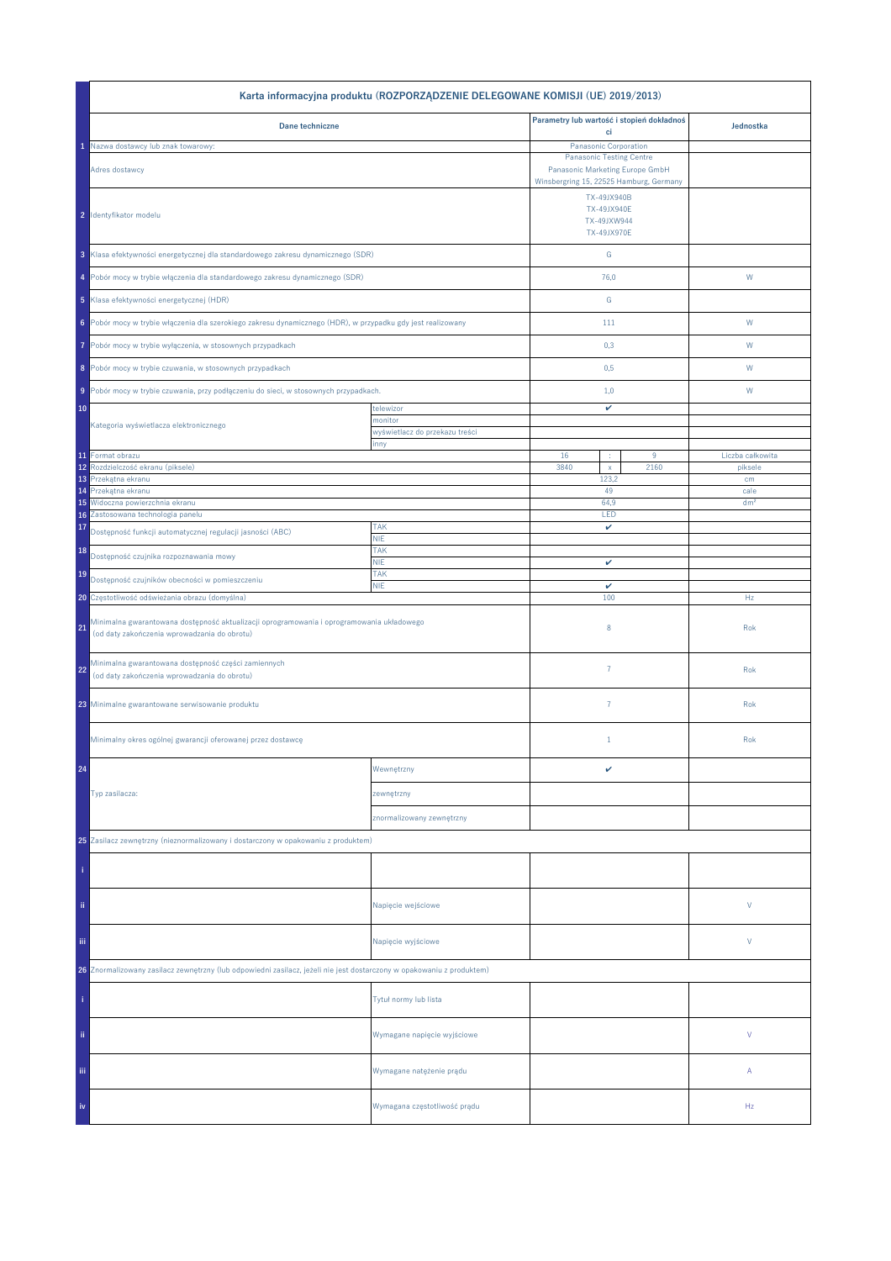|                                                                                                                                           | Karta informacyjna produktu (ROZPORZĄDZENIE DELEGOWANE KOMISJI (UE) 2019/2013) |                                                                    |      |                  |
|-------------------------------------------------------------------------------------------------------------------------------------------|--------------------------------------------------------------------------------|--------------------------------------------------------------------|------|------------------|
| Dane techniczne                                                                                                                           |                                                                                | Parametry lub wartość i stopień dokładnoś                          |      | Jednostka        |
| Nazwa dostawcy lub znak towarowy:                                                                                                         |                                                                                | ci<br>Panasonic Corporation                                        |      |                  |
| Adres dostawcy                                                                                                                            |                                                                                | <b>Panasonic Testing Centre</b><br>Panasonic Marketing Europe GmbH |      |                  |
|                                                                                                                                           |                                                                                | Winsbergring 15, 22525 Hamburg, Germany                            |      |                  |
| 2 Identyfikator modelu                                                                                                                    |                                                                                | TX-49JX940B<br>TX-49JX940E<br>TX-49JXW944<br>TX-49JX970E           |      |                  |
| 3 Klasa efektywności energetycznej dla standardowego zakresu dynamicznego (SDR)                                                           |                                                                                | ${\mathbb G}$                                                      |      |                  |
| 4 Pobór mocy w trybie włączenia dla standardowego zakresu dynamicznego (SDR)                                                              |                                                                                | 76,0                                                               |      | W                |
| 5 Klasa efektywności energetycznej (HDR)                                                                                                  |                                                                                | ${\mathbb G}$                                                      |      |                  |
| 6 Pobór mocy w trybie włączenia dla szerokiego zakresu dynamicznego (HDR), w przypadku gdy jest realizowany                               |                                                                                | 111                                                                |      | W                |
| Pobór mocy w trybie wyłączenia, w stosownych przypadkach<br>7                                                                             |                                                                                | 0,3                                                                |      | W                |
| 8 Pobór mocy w trybie czuwania, w stosownych przypadkach                                                                                  |                                                                                | 0,5                                                                |      | W                |
| 9 Pobór mocy w trybie czuwania, przy podłączeniu do sieci, w stosownych przypadkach.                                                      |                                                                                | 1,0                                                                |      | W                |
| 10                                                                                                                                        | telewizor                                                                      | v                                                                  |      |                  |
| Kategoria wyświetlacza elektronicznego                                                                                                    | monitor<br>wyświetlacz do przekazu treści                                      |                                                                    |      |                  |
| 11 Format obrazu                                                                                                                          | inny                                                                           | 16<br>÷                                                            | 9    | Liczba całkowita |
| Rozdzielczość ekranu (piksele)<br>12                                                                                                      |                                                                                | 3840<br>$\mathsf X$                                                | 2160 | piksele          |
| Przekątna ekranu<br>13<br>Przekątna ekranu<br>14                                                                                          |                                                                                | 123,2<br>49                                                        |      | cm<br>cale       |
| Widoczna powierzchnia ekranu<br>15                                                                                                        |                                                                                | 64,9                                                               |      | dm <sup>2</sup>  |
| Zastosowana technologia panelu<br>16                                                                                                      |                                                                                | LED                                                                |      |                  |
| 17<br>Dostępność funkcji automatycznej regulacji jasności (ABC)                                                                           | <b>TAK</b><br><b>NIE</b>                                                       | v                                                                  |      |                  |
| 18<br>Dostępność czujnika rozpoznawania mowy                                                                                              | <b>TAK</b><br><b>NIE</b>                                                       | v                                                                  |      |                  |
| <b>TAK</b><br>19<br>Dostępność czujników obecności w pomieszczeniu<br><b>NIE</b>                                                          |                                                                                | v                                                                  |      |                  |
| 20 Częstotliwość odświeżania obrazu (domyślna)                                                                                            |                                                                                | 100                                                                |      | Hz               |
| Minimalna gwarantowana dostępność aktualizacji oprogramowania i oprogramowania układowego<br>(od daty zakończenia wprowadzania do obrotu) |                                                                                | 8                                                                  |      | Rok              |
| Minimalna gwarantowana dostępność części zamiennych<br>22<br>(od daty zakończenia wprowadzania do obrotu)                                 |                                                                                | $\overline{7}$                                                     |      | Rok              |
| 23 Minimalne gwarantowane serwisowanie produktu                                                                                           |                                                                                | $\overline{7}$                                                     |      | Rok              |
| Minimalny okres ogólnej gwarancji oferowanej przez dostawcę                                                                               |                                                                                | $1\,$                                                              |      | Rok              |
| 24                                                                                                                                        | Wewnętrzny                                                                     | v                                                                  |      |                  |
| Typ zasilacza:                                                                                                                            | zewnętrzny                                                                     |                                                                    |      |                  |
|                                                                                                                                           | znormalizowany zewnętrzny                                                      |                                                                    |      |                  |
| 25 Zasilacz zewnętrzny (nieznormalizowany i dostarczony w opakowaniu z produktem)                                                         |                                                                                |                                                                    |      |                  |
|                                                                                                                                           |                                                                                |                                                                    |      |                  |
| ii.                                                                                                                                       | Napięcie wejściowe                                                             |                                                                    |      | V                |
| iii.                                                                                                                                      | Napięcie wyjściowe                                                             |                                                                    |      | V                |
| 26 Znormalizowany zasilacz zewnętrzny (lub odpowiedni zasilacz, jeżeli nie jest dostarczony w opakowaniu z produktem)                     |                                                                                |                                                                    |      |                  |
|                                                                                                                                           | Tytuł normy lub lista                                                          |                                                                    |      |                  |
| ii.                                                                                                                                       | Wymagane napięcie wyjściowe                                                    |                                                                    |      | V                |
| Ϊij                                                                                                                                       | Wymagane natężenie prądu                                                       |                                                                    |      | Α                |
| iv                                                                                                                                        | Wymagana częstotliwość prądu                                                   |                                                                    |      | Hz               |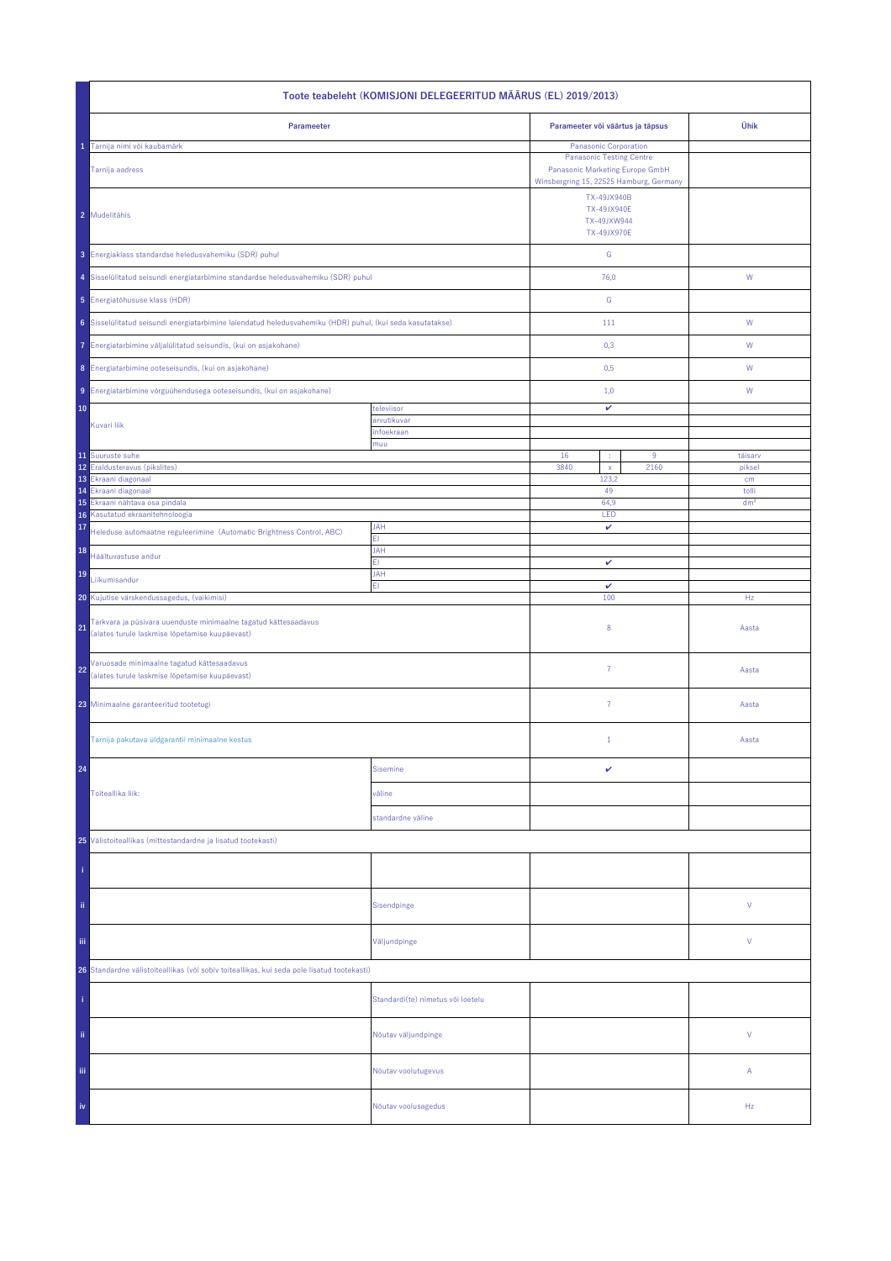| Toote teabeleht (KOMISJONI DELEGEERITUD MÄÄRUS (EL) 2019/2013)                                                          |                                   |                                                                                                                                        |      |                          |  |
|-------------------------------------------------------------------------------------------------------------------------|-----------------------------------|----------------------------------------------------------------------------------------------------------------------------------------|------|--------------------------|--|
| Parameeter                                                                                                              |                                   | Parameeter või väärtus ja täpsus                                                                                                       | Ühik |                          |  |
| Tarnija nimi või kaubamärk<br>Tarnija aadress                                                                           |                                   | Panasonic Corporation<br><b>Panasonic Testing Centre</b><br>Panasonic Marketing Europe GmbH<br>Winsbergring 15, 22525 Hamburg, Germany |      |                          |  |
| 2 Mudelitähis                                                                                                           |                                   | TX-49JX940B<br>TX-49JX940E<br>TX-49JXW944<br>TX-49JX970E                                                                               |      |                          |  |
| 3 Energiaklass standardse heledusvahemiku (SDR) puhul                                                                   |                                   | ${\mathsf G}$                                                                                                                          |      |                          |  |
| 4 Sisselülitatud seisundi energiatarbimine standardse heledusvahemiku (SDR) puhul                                       |                                   | 76,0                                                                                                                                   |      | W                        |  |
| 5 Energiatõhususe klass (HDR)                                                                                           |                                   | ${\mathsf G}$                                                                                                                          |      |                          |  |
| 6 Sisselülitatud seisundi energiatarbimine laiendatud heledusvahemiku (HDR) puhul, (kui seda kasutatakse)               |                                   | 111                                                                                                                                    |      | W                        |  |
| 7 Energiatarbimine väljalülitatud seisundis, (kui on asjakohane)                                                        |                                   | 0,3                                                                                                                                    |      | W                        |  |
| 8 Energiatarbimine ooteseisundis, (kui on asjakohane)                                                                   |                                   | 0,5                                                                                                                                    |      | W                        |  |
| 9 Energiatarbimine võrguühendusega ooteseisundis, (kui on asjakohane)                                                   |                                   | 1,0                                                                                                                                    |      | W                        |  |
| 10                                                                                                                      | televiisor                        | v                                                                                                                                      |      |                          |  |
| Kuvari liik                                                                                                             | arvutikuvar<br>infoekraan         |                                                                                                                                        |      |                          |  |
| 11 Suuruste suhe                                                                                                        | muu                               | 16                                                                                                                                     | 9    | täisarv                  |  |
| 12 Eraldusteravus (pikslites)<br>13 Ekraani diagonaal                                                                   |                                   | 3840<br>$\bar{\mathbf{x}}$<br>2160<br>123,2<br>49<br>64,9                                                                              |      | piksel<br>cm             |  |
| Ekraani diagonaal<br>14<br>15<br>Ekraani nähtava osa pindala                                                            |                                   |                                                                                                                                        |      | tolli<br>dm <sup>2</sup> |  |
| Kasutatud ekraanitehnoloogia<br>16                                                                                      |                                   | LED                                                                                                                                    |      |                          |  |
| 17<br>Heleduse automaatne reguleerimine (Automatic Brightness Control, ABC)                                             | <b>JAH</b><br>ΕI                  | v                                                                                                                                      |      |                          |  |
| 18<br>Häältuvastuse andur                                                                                               | <b>JAH</b><br>FI.                 | v                                                                                                                                      |      |                          |  |
| 19<br>Liikumisandur                                                                                                     | JAH<br>EI.                        | $\checkmark$                                                                                                                           |      |                          |  |
| 20 Kujutise värskendussagedus, (vaikimisi)                                                                              |                                   | 100                                                                                                                                    |      | Hz                       |  |
| Tarkvara ja püsivara uuenduste minimaalne tagatud kättesaadavus<br>21<br>(alates turule laskmise lõpetamise kuupäevast) |                                   | 8                                                                                                                                      |      | Aasta                    |  |
| Varuosade minimaalne tagatud kättesaadavus<br>22<br>(alates turule laskmise lõpetamise kuupäevast)                      |                                   | $\overline{7}$                                                                                                                         |      | Aasta                    |  |
| 23 Minimaalne garanteeritud tootetugi                                                                                   |                                   | 7                                                                                                                                      |      | Aasta                    |  |
| Tarnija pakutava üldgarantii minimaalne kestus                                                                          |                                   | $\mathbf{1}$                                                                                                                           |      | Aasta                    |  |
| 24                                                                                                                      | <b>Sisemine</b>                   | v                                                                                                                                      |      |                          |  |
| Toiteallika liik:                                                                                                       | väline                            |                                                                                                                                        |      |                          |  |
|                                                                                                                         | standardne väline                 |                                                                                                                                        |      |                          |  |
| 25 Välistoiteallikas (mittestandardne ja lisatud tootekasti)                                                            |                                   |                                                                                                                                        |      |                          |  |
|                                                                                                                         |                                   |                                                                                                                                        |      |                          |  |
| ii.                                                                                                                     | Sisendpinge                       |                                                                                                                                        |      | ٧                        |  |
| iij                                                                                                                     | Väljundpinge                      |                                                                                                                                        |      | ٧                        |  |
| 26 Standardne välistoiteallikas (või sobiv toiteallikas, kui seda pole lisatud tootekasti)                              |                                   |                                                                                                                                        |      |                          |  |
|                                                                                                                         | Standardi(te) nimetus või loetelu |                                                                                                                                        |      |                          |  |
| ii.                                                                                                                     | Nõutav väljundpinge               |                                                                                                                                        |      | V                        |  |
| Ϊij                                                                                                                     | Nõutav voolutugevus               |                                                                                                                                        |      | Α                        |  |
| iv                                                                                                                      | Nõutav voolusagedus               |                                                                                                                                        |      | Hz                       |  |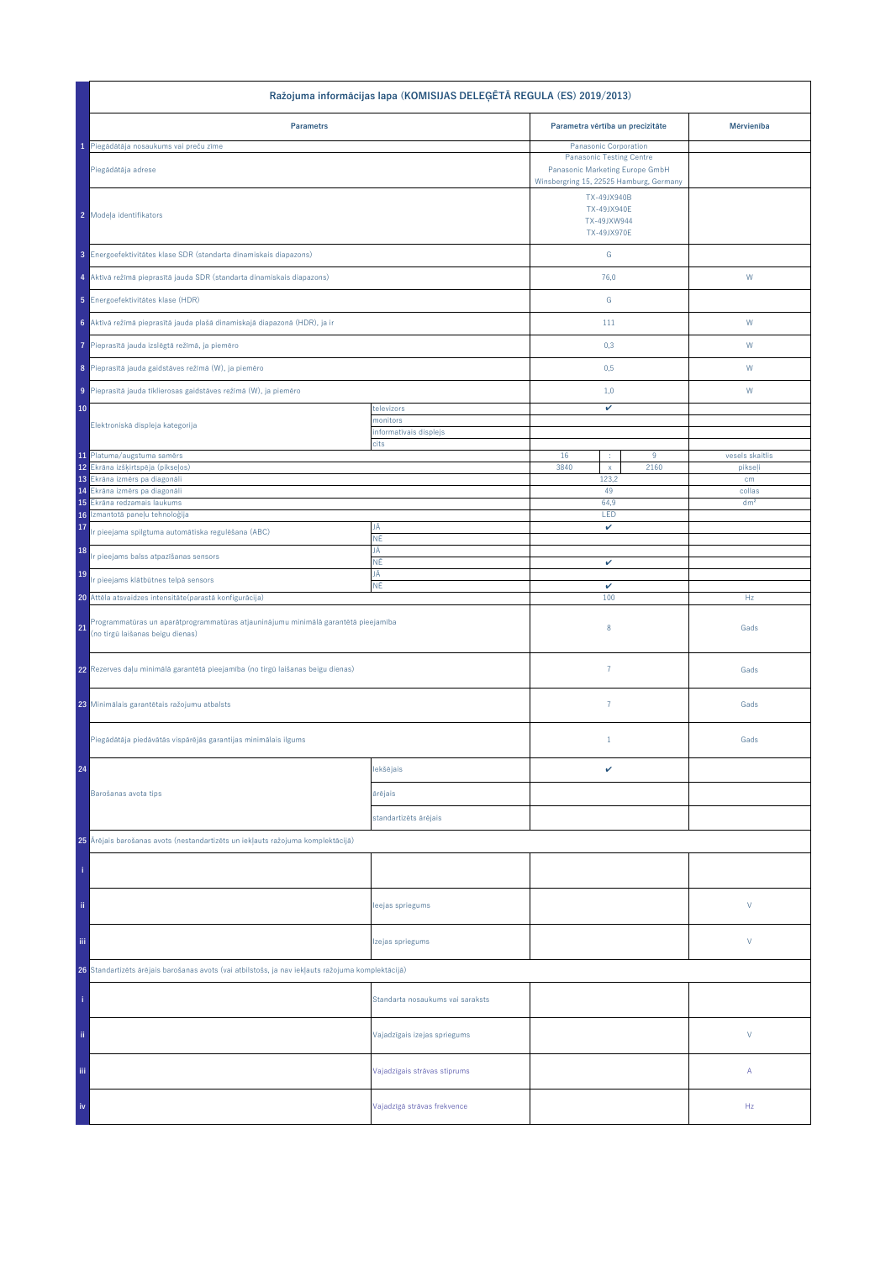| Ražojuma informācijas lapa (KOMISIJAS DELEĢĒTĀ REGULA (ES) 2019/2013)                                                        |                                    |                                                                    |      |                 |  |
|------------------------------------------------------------------------------------------------------------------------------|------------------------------------|--------------------------------------------------------------------|------|-----------------|--|
| <b>Parametrs</b>                                                                                                             |                                    | Parametra vērtība un precizitāte                                   |      | Mērvienība      |  |
| 1 Piegādātāja nosaukums vai preču zīme                                                                                       |                                    | Panasonic Corporation                                              |      |                 |  |
| Piegādātāja adrese                                                                                                           |                                    | <b>Panasonic Testing Centre</b><br>Panasonic Marketing Europe GmbH |      |                 |  |
|                                                                                                                              |                                    | Winsbergring 15, 22525 Hamburg, Germany                            |      |                 |  |
| 2 Modeļa identifikators                                                                                                      |                                    | TX-49JX940B<br>TX-49JX940E<br>TX-49JXW944<br>TX-49JX970E           |      |                 |  |
|                                                                                                                              |                                    |                                                                    |      |                 |  |
| 3 Energoefektivitätes klase SDR (standarta dinamiskais diapazons)                                                            |                                    | ${\mathsf G}$                                                      |      |                 |  |
| 4 Aktīvā režīmā pieprasītā jauda SDR (standarta dinamiskais diapazons)                                                       |                                    | 76,0                                                               |      | W               |  |
| 5 Energoefektivitätes klase (HDR)                                                                                            |                                    | G                                                                  |      |                 |  |
| 6 Aktīvā režīmā pieprasītā jauda plašā dinamiskajā diapazonā (HDR), ja ir                                                    |                                    | 111                                                                |      | ${\sf W}$       |  |
| Pieprasītā jauda izslēgtā režīmā, ja piemēro                                                                                 |                                    | 0,3                                                                |      | W               |  |
| 8 Pieprasītā jauda gaidstāves režīmā (W), ja piemēro                                                                         |                                    | 0,5                                                                |      | W               |  |
| 9 Pieprasītā jauda tīklierosas gaidstāves režīmā (W), ja piemēro                                                             |                                    | 1,0                                                                |      | W               |  |
| 10                                                                                                                           | televizors                         | v                                                                  |      |                 |  |
| Elektroniskā displeja kategorija                                                                                             | monitors<br>informatīvais displejs |                                                                    |      |                 |  |
|                                                                                                                              | cits                               |                                                                    |      |                 |  |
| 11 Platuma/augstuma samērs                                                                                                   |                                    | 16<br>9                                                            |      | vesels skaitlis |  |
| 12 Ekrāna izšķirtspēja (pikseļos)<br>13 Ekrâna izmêrs pa diagonâli                                                           |                                    | 3840<br>$\bar{\mathbf{x}}$<br>123,2                                | 2160 | pikseļi<br>cm   |  |
| 14 Ekrâna izmêrs pa diagonâli                                                                                                |                                    | 49                                                                 |      | collas          |  |
| Ekrāna redzamais laukums<br>15                                                                                               |                                    | 64,9                                                               |      | dm <sup>2</sup> |  |
| Izmantotā paneļu tehnoloģija<br>16                                                                                           | JĀ                                 | LED                                                                |      |                 |  |
| 17<br>Ir pieejama spilgtuma automātiska regulēšana (ABC)                                                                     | ΝĒ<br>JĀ                           | v                                                                  |      |                 |  |
| 18<br>r pieejams balss atpazīšanas sensors                                                                                   | ΝĒ                                 | v                                                                  |      |                 |  |
| 19<br>Ir pieejams klātbūtnes telpā sensors                                                                                   | JĀ<br>ΝĒ                           | v                                                                  |      |                 |  |
| 20 Attēla atsvaidzes intensitāte (parastā konfigurācija)                                                                     |                                    | 100                                                                |      | Hz              |  |
| Programmatūras un aparātprogrammatūras atjauninājumu minimālā garantētā pieejamība<br>21<br>(no tirgū laišanas beigu dienas) |                                    | 8                                                                  |      | Gads            |  |
| 22 Rezerves daļu minimālā garantētā pieejamība (no tirgū laišanas beigu dienas)                                              |                                    | $\overline{7}$                                                     |      | Gads            |  |
| 23 Minimālais garantētais ražojumu atbalsts                                                                                  |                                    | $\overline{7}$                                                     |      | Gads            |  |
| Piegādātāja piedāvātās vispārējās garantijas minimālais ilgums                                                               |                                    | $\mathbf{1}$                                                       |      | Gads            |  |
| 24                                                                                                                           | lekšējais                          | v                                                                  |      |                 |  |
| Barošanas avota tips                                                                                                         | ārējais                            |                                                                    |      |                 |  |
|                                                                                                                              | standartizēts ārējais              |                                                                    |      |                 |  |
| 25 Ārējais barošanas avots (nestandartizēts un iekļauts ražojuma komplektācijā)                                              |                                    |                                                                    |      |                 |  |
|                                                                                                                              |                                    |                                                                    |      |                 |  |
| ii.                                                                                                                          | leejas spriegums                   |                                                                    |      | V               |  |
| Ϊij                                                                                                                          | Izejas spriegums                   |                                                                    |      | V               |  |
| 26 Standartizēts ārējais barošanas avots (vai atbilstošs, ja nav iekļauts ražojuma komplektācijā)                            |                                    |                                                                    |      |                 |  |
|                                                                                                                              | Standarta nosaukums vai saraksts   |                                                                    |      |                 |  |
| ii.                                                                                                                          | Vajadzīgais izejas spriegums       |                                                                    |      | $\vee$          |  |
| Ϊij                                                                                                                          | Vajadzīgais strāvas stiprums       |                                                                    |      | А               |  |
| iv                                                                                                                           | Vajadzīgā strāvas frekvence        |                                                                    |      | Hz              |  |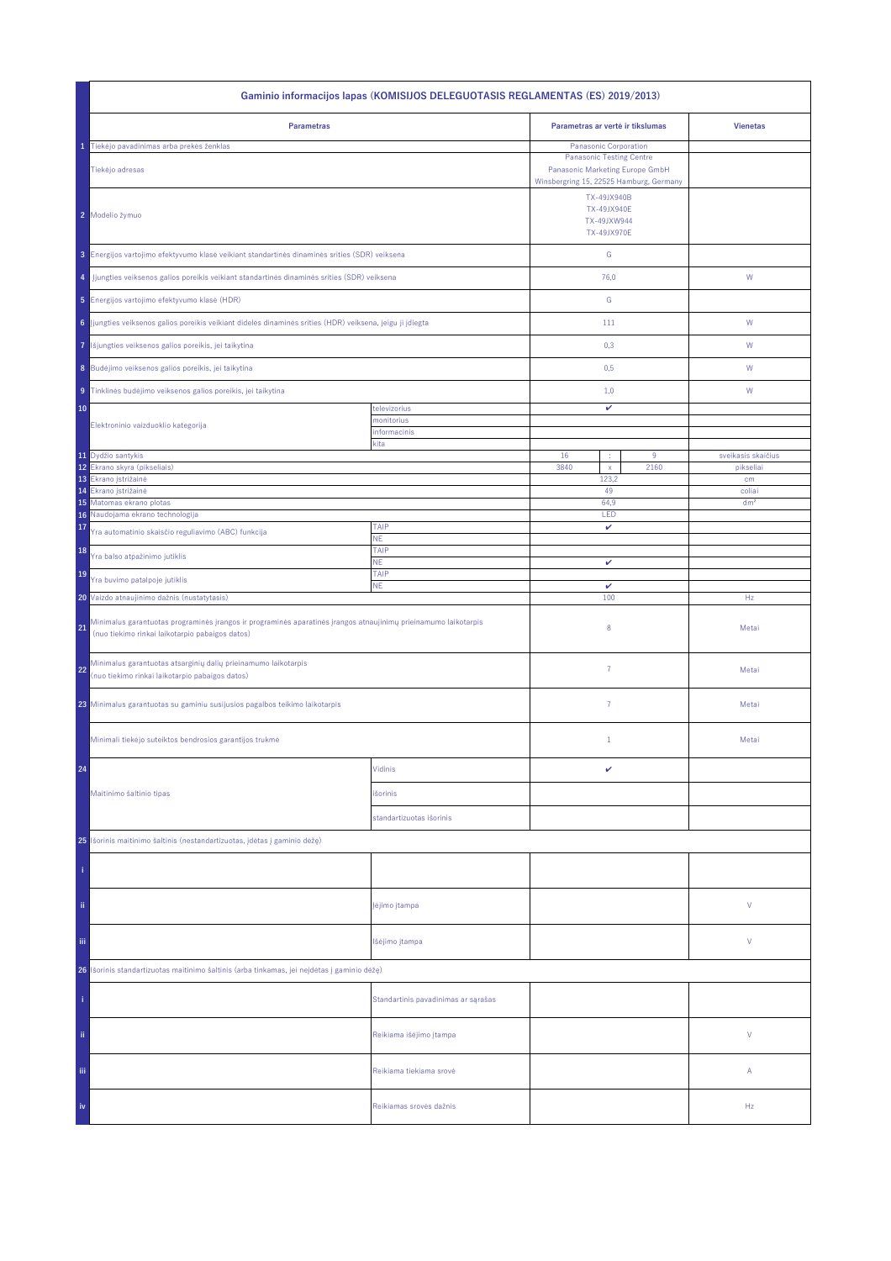| Gaminio informacijos lapas (KOMISIJOS DELEGUOTASIS REGLAMENTAS (ES) 2019/2013)                                                                                           |                                     |                                                                                                                                        |                                 |  |
|--------------------------------------------------------------------------------------------------------------------------------------------------------------------------|-------------------------------------|----------------------------------------------------------------------------------------------------------------------------------------|---------------------------------|--|
| <b>Parametras</b>                                                                                                                                                        |                                     | Parametras ar vertė ir tikslumas                                                                                                       | <b>Vienetas</b>                 |  |
| Tiekėjo pavadinimas arba prekės ženklas<br>Tiekėjo adresas                                                                                                               |                                     | Panasonic Corporation<br><b>Panasonic Testing Centre</b><br>Panasonic Marketing Europe GmbH<br>Winsbergring 15, 22525 Hamburg, Germany |                                 |  |
| 2 Modelio žymuo                                                                                                                                                          |                                     |                                                                                                                                        |                                 |  |
| 3 Energijos vartojimo efektyvumo klasė veikiant standartinės dinaminės srities (SDR) veiksena                                                                            |                                     | ${\mathsf G}$                                                                                                                          |                                 |  |
| Jjungties veiksenos galios poreikis veikiant standartinės dinaminės srities (SDR) veiksena<br>4                                                                          |                                     | 76,0                                                                                                                                   | ${\mathsf W}$                   |  |
| 5 Energijos vartojimo efektyvumo klasė (HDR)                                                                                                                             |                                     | G                                                                                                                                      |                                 |  |
| 6 Jjungties veiksenos galios poreikis veikiant didelės dinaminės srities (HDR) veiksena, jeigu ji įdiegta                                                                |                                     | 111                                                                                                                                    | W                               |  |
| Išjungties veiksenos galios poreikis, jei taikytina<br>7                                                                                                                 |                                     | 0,3                                                                                                                                    | W                               |  |
| 8 Budėjimo veiksenos galios poreikis, jei taikytina                                                                                                                      |                                     | 0,5                                                                                                                                    | W                               |  |
| 9 Tinklinės budėjimo veiksenos galios poreikis, jei taikytina                                                                                                            |                                     | 1,0                                                                                                                                    | W                               |  |
| 10<br>Elektroninio vaizduoklio kategorija                                                                                                                                | televizorius<br>monitorius          | v                                                                                                                                      |                                 |  |
|                                                                                                                                                                          | informacinis<br>kita                | 16<br>9<br>÷                                                                                                                           |                                 |  |
| 11 Dydžio santykis<br>12<br>Ekrano skyra (pikseliais)                                                                                                                    |                                     |                                                                                                                                        | sveikasis skaičius<br>pikseliai |  |
| Ekrano įstrižainė                                                                                                                                                        |                                     | 123,2<br>49                                                                                                                            | cm<br>coliai                    |  |
| 14<br>Ekrano įstrižainė<br>15 Matomas ekrano plotas                                                                                                                      |                                     | 64.9                                                                                                                                   | dm <sup>2</sup>                 |  |
| Naudojama ekrano technologija<br>16                                                                                                                                      |                                     | LED                                                                                                                                    |                                 |  |
| 17<br>Yra automatinio skaisčio reguliavimo (ABC) funkcija                                                                                                                | TAIP<br>NE.                         | v                                                                                                                                      |                                 |  |
| 18<br>Yra balso atpažinimo jutiklis                                                                                                                                      | TAIP<br><b>NE</b>                   | v                                                                                                                                      |                                 |  |
| 19<br>Yra buvimo patalpoje jutiklis                                                                                                                                      | TAIP<br><b>NE</b>                   | $\checkmark$                                                                                                                           |                                 |  |
| 20 Vaizdo atnaujinimo dažnis (nustatytasis)                                                                                                                              |                                     | 100                                                                                                                                    | Hz                              |  |
| Minimalus garantuotas programinės įrangos ir programinės aparatinės įrangos atnaujinimų prieinamumo laikotarpis<br>21<br>(nuo tiekimo rinkai laikotarpio pabaigos datos) |                                     | 8                                                                                                                                      | Metai                           |  |
| Minimalus garantuotas atsarginių dalių prieinamumo laikotarpis<br>22<br>(nuo tiekimo rinkai laikotarpio pabaigos datos)                                                  |                                     | $\overline{7}$                                                                                                                         | Metai                           |  |
| 23 Minimalus garantuotas su gaminiu susijusios pagalbos teikimo laikotarpis                                                                                              |                                     | $\overline{7}$                                                                                                                         | Metai                           |  |
| Minimali tiekėjo suteiktos bendrosios garantijos trukmė                                                                                                                  |                                     | $1\,$                                                                                                                                  | Metai                           |  |
| 24                                                                                                                                                                       | Vidinis                             | v                                                                                                                                      |                                 |  |
| Maitinimo šaltinio tipas                                                                                                                                                 | išorinis                            |                                                                                                                                        |                                 |  |
|                                                                                                                                                                          | standartizuotas išorinis            |                                                                                                                                        |                                 |  |
| 25 Išorinis maitinimo šaltinis (nestandartizuotas, įdėtas į gaminio dėžę)                                                                                                |                                     |                                                                                                                                        |                                 |  |
|                                                                                                                                                                          |                                     |                                                                                                                                        |                                 |  |
| ii.                                                                                                                                                                      | įėjimo įtampa                       |                                                                                                                                        | ٧                               |  |
| Ϊij                                                                                                                                                                      | Išėjimo įtampa                      |                                                                                                                                        | ٧                               |  |
| Išorinis standartizuotas maitinimo šaltinis (arba tinkamas, jei neįdėtas į gaminio dėžę)<br>26                                                                           |                                     |                                                                                                                                        |                                 |  |
|                                                                                                                                                                          | Standartinis pavadinimas ar sąrašas |                                                                                                                                        |                                 |  |
| ii.                                                                                                                                                                      | Reikiama išėjimo įtampa             |                                                                                                                                        | V                               |  |
| Ϊij                                                                                                                                                                      | Reikiama tiekiama srovė             |                                                                                                                                        | Α                               |  |
| iv                                                                                                                                                                       | Reikiamas srovės dažnis             |                                                                                                                                        | Hz                              |  |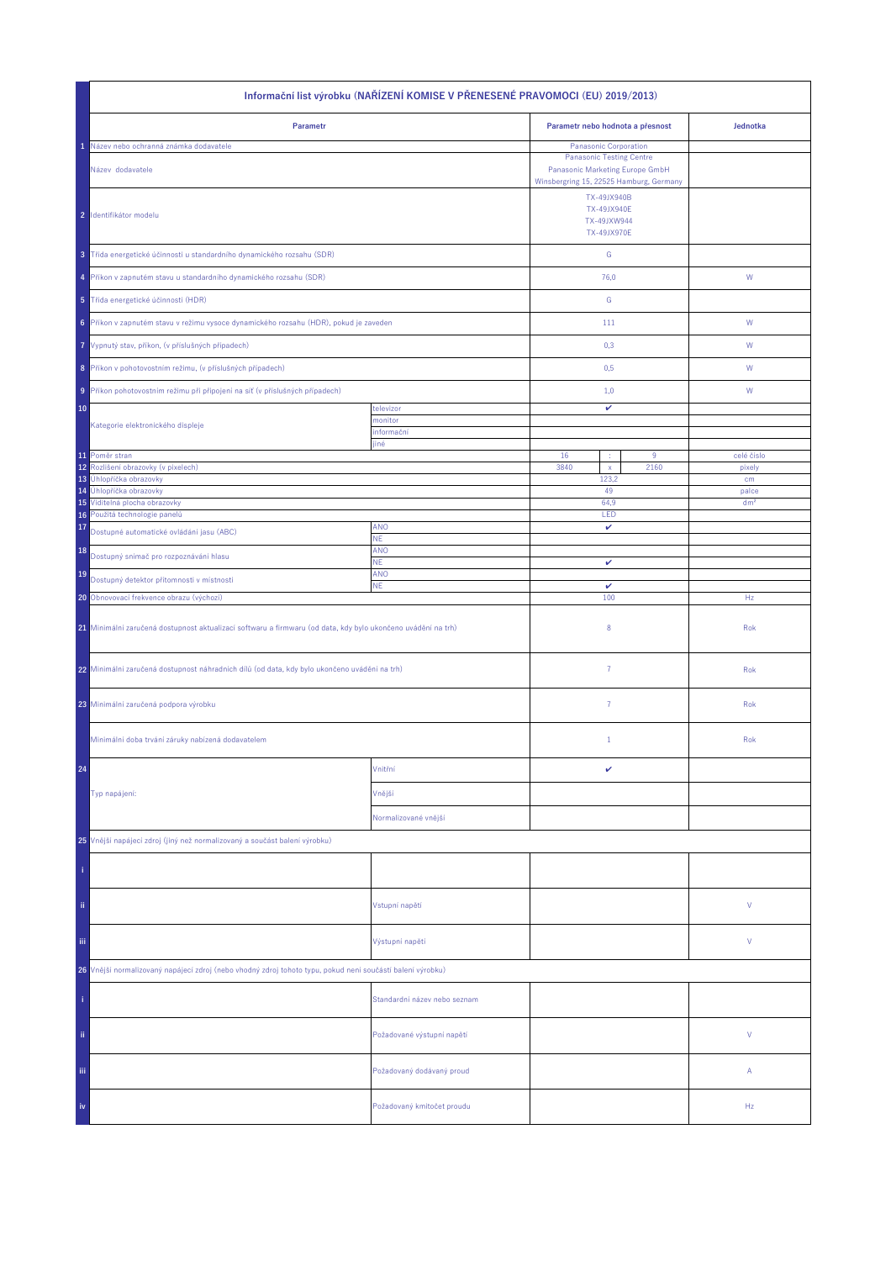| Informační list výrobku (NAŘÍZENÍ KOMISE V PŘENESENÉ PRAVOMOCI (EU) 2019/2013)                               |                                  |                                                                 |                                                                                                                                        |                 |  |
|--------------------------------------------------------------------------------------------------------------|----------------------------------|-----------------------------------------------------------------|----------------------------------------------------------------------------------------------------------------------------------------|-----------------|--|
| Parametr                                                                                                     | Parametr nebo hodnota a přesnost |                                                                 | Jednotka                                                                                                                               |                 |  |
| Název nebo ochranná známka dodavatele<br>Název dodavatele                                                    |                                  |                                                                 | Panasonic Corporation<br><b>Panasonic Testing Centre</b><br>Panasonic Marketing Europe GmbH<br>Winsbergring 15, 22525 Hamburg, Germany |                 |  |
| 2 Identifikátor modelu                                                                                       |                                  | TX-49JX940B<br><b>TX-49JX940E</b><br>TX-49JXW944<br>TX-49JX970E |                                                                                                                                        |                 |  |
| 3 Třída energetické účinnosti u standardního dynamického rozsahu (SDR)                                       |                                  | ${\mathsf G}$                                                   |                                                                                                                                        |                 |  |
| 4 Příkon v zapnutém stavu u standardního dynamického rozsahu (SDR)                                           |                                  | 76,0                                                            |                                                                                                                                        | ${\mathsf W}$   |  |
| 5 Třída energetické účinnosti (HDR)                                                                          |                                  | G                                                               |                                                                                                                                        |                 |  |
| 6 Příkon v zapnutém stavu v režimu vysoce dynamického rozsahu (HDR), pokud je zaveden                        |                                  | 111                                                             |                                                                                                                                        | W               |  |
| 7 Vypnutý stav, příkon, (v příslušných případech)                                                            |                                  | 0,3                                                             |                                                                                                                                        | W               |  |
| 8 Příkon v pohotovostním režimu, (v příslušných případech)                                                   |                                  | 0,5                                                             |                                                                                                                                        | W               |  |
| 9 Příkon pohotovostním režimu při připojení na síť (v příslušných případech)                                 |                                  | 1,0                                                             |                                                                                                                                        | W               |  |
| 10                                                                                                           | televizor<br>monitor             | v                                                               |                                                                                                                                        |                 |  |
| Kategorie elektronického displeje                                                                            | informační<br>jiné               |                                                                 |                                                                                                                                        |                 |  |
| 11 Poměr stran                                                                                               |                                  | 16<br>÷                                                         | 9                                                                                                                                      | celé číslo      |  |
| 12<br>Rozlišení obrazovky (v pixelech)<br>13 Úhlopříčka obrazovky                                            |                                  | 3840<br>$\mathsf X$<br>123,2                                    | 2160                                                                                                                                   | pixely<br>cm    |  |
| 14 Úhlopříčka obrazovky                                                                                      |                                  | 49                                                              |                                                                                                                                        | palce           |  |
| 15 Viditelná plocha obrazovky                                                                                |                                  | 64,9                                                            |                                                                                                                                        | dm <sup>2</sup> |  |
| Použitá technologie panelů<br>16<br>17                                                                       | <b>ANO</b>                       | LED<br>v                                                        |                                                                                                                                        |                 |  |
| Dostupné automatické ovládání jasu (ABC)                                                                     | NE.                              |                                                                 |                                                                                                                                        |                 |  |
| 18<br>Dostupný snímač pro rozpoznávání hlasu                                                                 | ANO<br>ΝE.                       | v                                                               |                                                                                                                                        |                 |  |
| 19<br>Dostupný detektor přítomnosti v místnosti                                                              | ANO                              |                                                                 |                                                                                                                                        |                 |  |
| 20 Obnovovací frekvence obrazu (výchozí)                                                                     | <b>NE</b>                        | $\checkmark$<br>100                                             |                                                                                                                                        | Hz              |  |
| 21 Minimální zaručená dostupnost aktualizací softwaru a firmwaru (od data, kdy bylo ukončeno uvádění na trh) |                                  | 8                                                               |                                                                                                                                        | Rok             |  |
| 22 Minimální zaručená dostupnost náhradních dílů (od data, kdy bylo ukončeno uvádění na trh)                 |                                  | $\overline{7}$                                                  |                                                                                                                                        | Rok             |  |
| 23 Minimální zaručená podpora výrobku                                                                        |                                  | $\overline{7}$                                                  |                                                                                                                                        | Rok             |  |
| Minimální doba trvání záruky nabízená dodavatelem                                                            |                                  | $\mathbf{1}$                                                    |                                                                                                                                        | Rok             |  |
| 24                                                                                                           | Vnitřní                          | v                                                               |                                                                                                                                        |                 |  |
| Typ napájení:                                                                                                | Vnější                           |                                                                 |                                                                                                                                        |                 |  |
|                                                                                                              | Normalizované vnější             |                                                                 |                                                                                                                                        |                 |  |
| 25 Vnější napájecí zdroj (jiný než normalizovaný a součást balení výrobku)                                   |                                  |                                                                 |                                                                                                                                        |                 |  |
|                                                                                                              |                                  |                                                                 |                                                                                                                                        |                 |  |
| ii.                                                                                                          | Vstupní napětí                   |                                                                 |                                                                                                                                        | ٧               |  |
| Ϊij                                                                                                          | Výstupní napětí                  |                                                                 |                                                                                                                                        | ٧               |  |
| 26 Vnější normalizovaný napájecí zdroj (nebo vhodný zdroj tohoto typu, pokud není součástí balení výrobku)   |                                  |                                                                 |                                                                                                                                        |                 |  |
|                                                                                                              | Standardní název nebo seznam     |                                                                 |                                                                                                                                        |                 |  |
| ii.                                                                                                          | Požadované výstupní napětí       |                                                                 |                                                                                                                                        | V               |  |
| Ϊij                                                                                                          | Požadovaný dodávaný proud        |                                                                 |                                                                                                                                        | Α               |  |
| iv                                                                                                           | Požadovaný kmitočet proudu       |                                                                 |                                                                                                                                        | Hz              |  |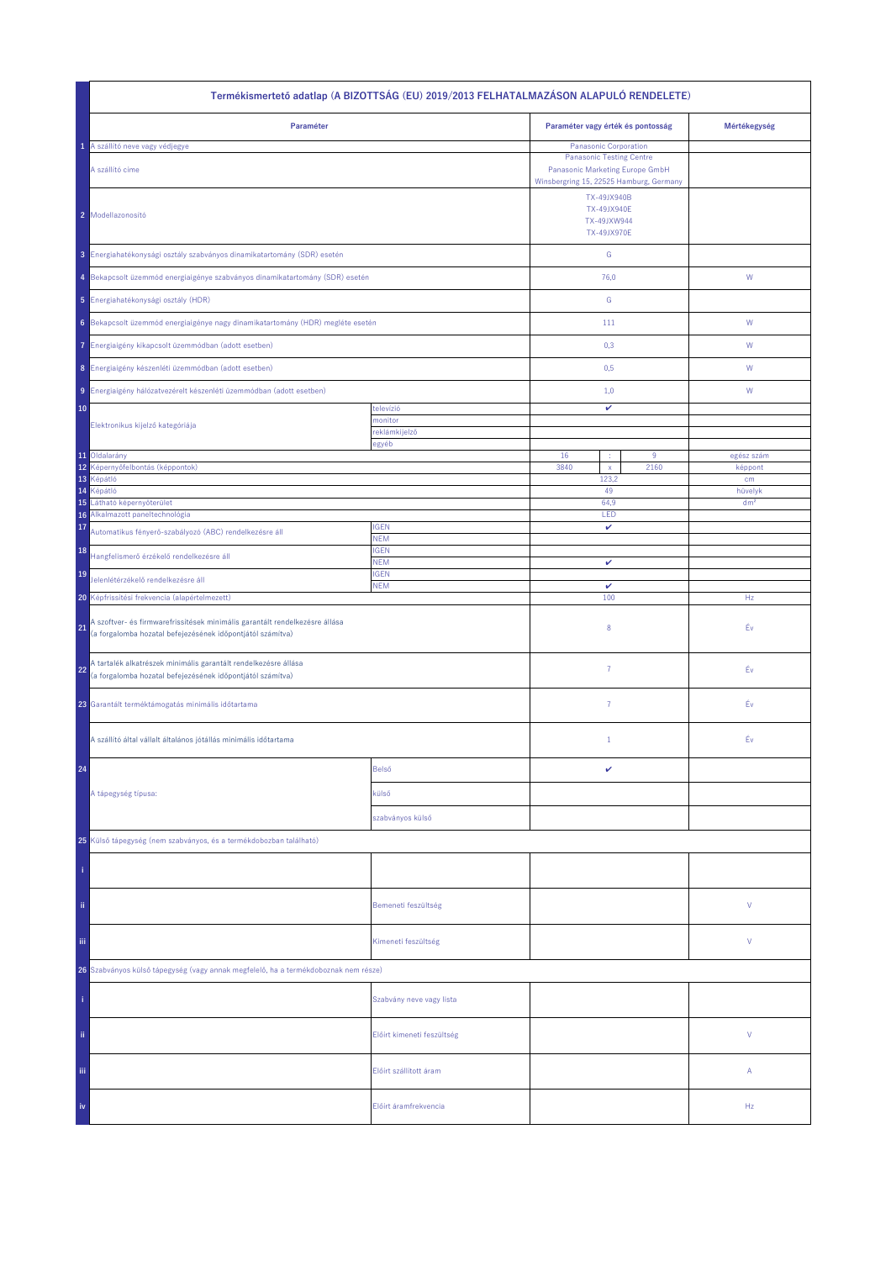| Termékismertető adatlap (A BIZOTTSÁG (EU) 2019/2013 FELHATALMAZÁSON ALAPULÓ RENDELETE)                                                          |                            |                                                                                                                   |                                   |                            |  |
|-------------------------------------------------------------------------------------------------------------------------------------------------|----------------------------|-------------------------------------------------------------------------------------------------------------------|-----------------------------------|----------------------------|--|
| Paraméter                                                                                                                                       |                            |                                                                                                                   | Paraméter vagy érték és pontosság | Mértékegység               |  |
| 1 A szállító neve vagy védjegye                                                                                                                 |                            | <b>Panasonic Corporation</b>                                                                                      |                                   |                            |  |
| A szállító címe                                                                                                                                 |                            | <b>Panasonic Testing Centre</b><br>Panasonic Marketing Europe GmbH                                                |                                   |                            |  |
| 2 Modellazonosító                                                                                                                               |                            | Winsbergring 15, 22525 Hamburg, Germany<br>TX-49JX940B<br><b>TX-49JX940E</b><br>TX-49JXW944<br><b>TX-49JX970E</b> |                                   |                            |  |
| 3 Energiahatékonysági osztály szabványos dinamikatartomány (SDR) esetén                                                                         |                            | ${\mathsf G}$                                                                                                     |                                   |                            |  |
| 4 Bekapcsolt üzemmód energiaigénye szabványos dinamikatartomány (SDR) esetén                                                                    |                            | 76,0                                                                                                              |                                   | ${\mathsf W}$              |  |
| 5 Energiahatékonysági osztály (HDR)                                                                                                             |                            | ${\mathbb G}$                                                                                                     |                                   |                            |  |
| 6 Bekapcsolt üzemmód energiaigénye nagy dinamikatartomány (HDR) megléte esetén                                                                  |                            | 111                                                                                                               |                                   | ${\mathsf W}$              |  |
| Energiaigény kikapcsolt üzemmódban (adott esetben)<br>7.                                                                                        |                            | 0,3                                                                                                               |                                   | W                          |  |
| 8 Energiaigény készenléti üzemmódban (adott esetben)                                                                                            |                            | 0,5                                                                                                               |                                   | W                          |  |
| 9 Energiaigény hálózatvezérelt készenléti üzemmódban (adott esetben)                                                                            |                            | 1,0                                                                                                               |                                   | W                          |  |
| 10                                                                                                                                              | televízió<br>monitor       | v                                                                                                                 |                                   |                            |  |
| Elektronikus kijelző kategóriája                                                                                                                | reklámkijelző              |                                                                                                                   |                                   |                            |  |
| 11 Oldalarány                                                                                                                                   | egyéb                      | 16<br>÷                                                                                                           | 9                                 | egész szám                 |  |
| 12<br>Képernyőfelbontás (képpontok)                                                                                                             |                            | 3840<br>$\mathsf{x}$                                                                                              | 2160                              | képpont                    |  |
| 13<br>Képátló                                                                                                                                   |                            | 123,2                                                                                                             |                                   | cm                         |  |
| 14<br>Képátló<br>15<br>Látható képernyőterület                                                                                                  |                            | 49                                                                                                                |                                   | hüvelyk<br>dm <sup>2</sup> |  |
| Alkalmazott paneltechnológia<br>16                                                                                                              |                            | 64,9<br>LED                                                                                                       |                                   |                            |  |
| 17<br>Automatikus fényerő-szabályozó (ABC) rendelkezésre áll                                                                                    | <b>IGEN</b><br><b>NEM</b>  | v                                                                                                                 |                                   |                            |  |
| 18<br>Hangfelismerő érzékelő rendelkezésre áll                                                                                                  | <b>IGEN</b><br><b>NEM</b>  | v                                                                                                                 |                                   |                            |  |
| 19<br>Jelenlétérzékelő rendelkezésre áll                                                                                                        | <b>IGEN</b><br><b>NEM</b>  | v                                                                                                                 |                                   |                            |  |
| 20 Képfrissítési frekvencia (alapértelmezett)                                                                                                   |                            | 100                                                                                                               |                                   | Hz                         |  |
| A szoftver- és firmwarefrissítések minimális garantált rendelkezésre állása<br>21<br>(a forgalomba hozatal befejezésének időpontjától számítva) |                            | 8                                                                                                                 |                                   | Év                         |  |
| A tartalék alkatrészek minimális garantált rendelkezésre állása<br>22<br>(a forgalomba hozatal befejezésének időpontjától számítva)             |                            | 7                                                                                                                 |                                   | Éν                         |  |
| 23 Garantált terméktámogatás minimális időtartama                                                                                               |                            | $\overline{7}$                                                                                                    |                                   | Éν                         |  |
| A szállító által vállalt általános jótállás minimális időtartama                                                                                |                            | $\mathbf{1}$                                                                                                      |                                   | Év                         |  |
| 24                                                                                                                                              | Belső                      | v                                                                                                                 |                                   |                            |  |
| A tápegység típusa:                                                                                                                             | külső                      |                                                                                                                   |                                   |                            |  |
|                                                                                                                                                 | szabványos külső           |                                                                                                                   |                                   |                            |  |
| 25 Külső tápegység (nem szabványos, és a termékdobozban található)                                                                              |                            |                                                                                                                   |                                   |                            |  |
|                                                                                                                                                 |                            |                                                                                                                   |                                   |                            |  |
| ii.                                                                                                                                             | Bemeneti feszültség        |                                                                                                                   |                                   | V                          |  |
| Ϊij                                                                                                                                             | Kimeneti feszültség        |                                                                                                                   |                                   | V                          |  |
| 26 Szabványos külső tápegység (vagy annak megfelelő, ha a termékdoboznak nem része)                                                             |                            |                                                                                                                   |                                   |                            |  |
|                                                                                                                                                 | Szabvány neve vagy lista   |                                                                                                                   |                                   |                            |  |
| ii.                                                                                                                                             | Előírt kimeneti feszültség |                                                                                                                   |                                   | V                          |  |
| Ϊij                                                                                                                                             | Előírt szállított áram     |                                                                                                                   |                                   | Α                          |  |
| iv                                                                                                                                              | Előírt áramfrekvencia      |                                                                                                                   |                                   | Hz                         |  |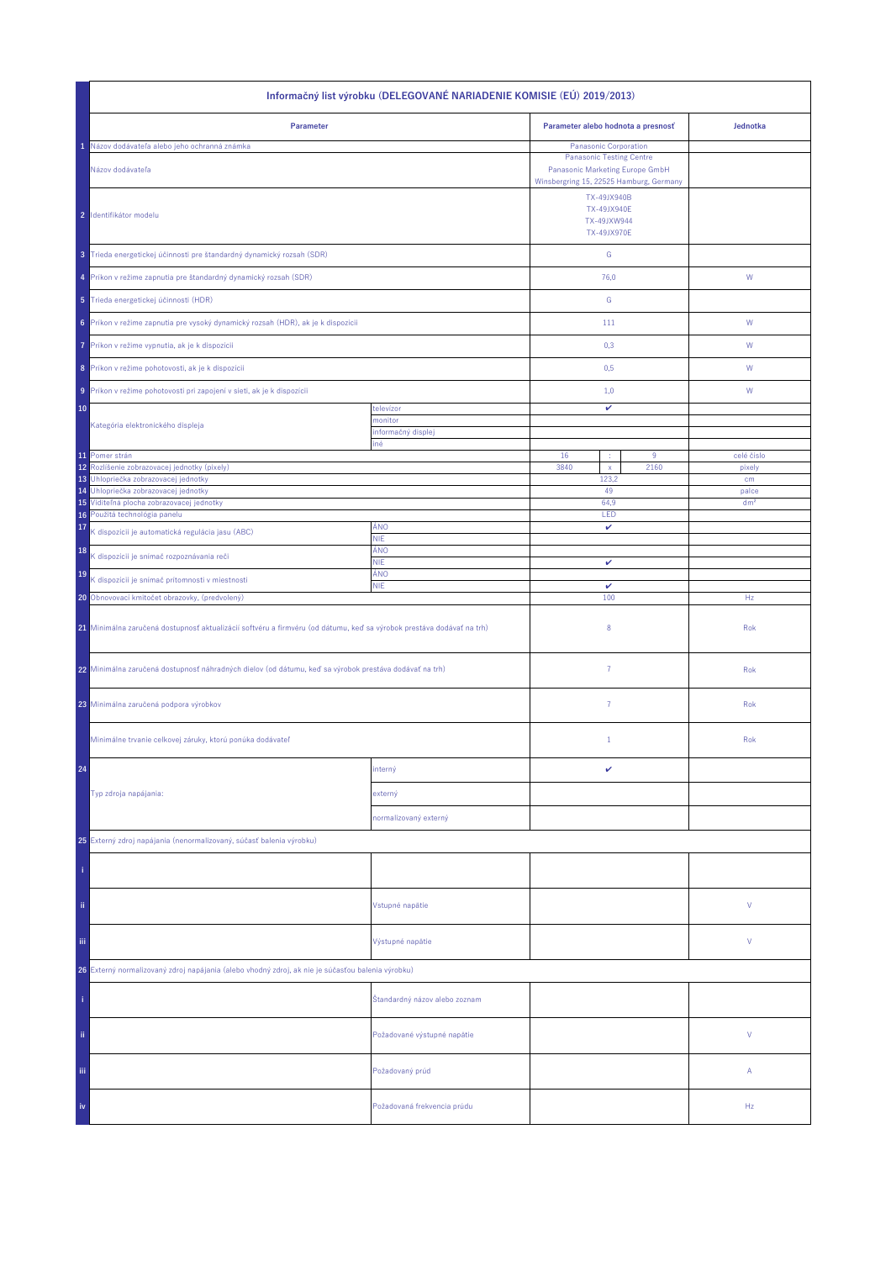| Informačný list výrobku (DELEGOVANÉ NARIADENIE KOMISIE (EÚ) 2019/2013)                                                |                               |                                                                                                                              |      |                 |  |
|-----------------------------------------------------------------------------------------------------------------------|-------------------------------|------------------------------------------------------------------------------------------------------------------------------|------|-----------------|--|
| Parameter                                                                                                             |                               | Parameter alebo hodnota a presnosť                                                                                           |      | Jednotka        |  |
| Názov dodávateľa alebo jeho ochranná známka                                                                           |                               | Panasonic Corporation                                                                                                        |      |                 |  |
| Názov dodávateľa                                                                                                      |                               | <b>Panasonic Testing Centre</b><br>Panasonic Marketing Europe GmbH<br>Winsbergring 15, 22525 Hamburg, Germany<br>TX-49JX940B |      |                 |  |
| 2 Identifikátor modelu                                                                                                |                               | <b>TX-49JX940E</b><br>TX-49JXW944<br><b>TX-49JX970E</b>                                                                      |      |                 |  |
| 3 Trieda energetickej účinnosti pre štandardný dynamický rozsah (SDR)                                                 |                               | ${\mathbb G}$                                                                                                                |      |                 |  |
| 4 Príkon v režime zapnutia pre štandardný dynamický rozsah (SDR)                                                      |                               | 76,0                                                                                                                         |      | W               |  |
| 5 Trieda energetickej účinnosti (HDR)                                                                                 |                               | G                                                                                                                            |      |                 |  |
| 6 Príkon v režime zapnutia pre vysoký dynamický rozsah (HDR), ak je k dispozícii                                      |                               | 111                                                                                                                          |      | W               |  |
| Príkon v režime vypnutia, ak je k dispozícii<br>7                                                                     |                               | 0,3                                                                                                                          |      | W               |  |
| 8 Príkon v režime pohotovosti, ak je k dispozícii                                                                     |                               | 0,5                                                                                                                          |      | W               |  |
| 9 Príkon v režime pohotovosti pri zapojení v sieti, ak je k dispozícii                                                |                               | 1,0                                                                                                                          |      | W               |  |
| 10<br>Kategória elektronického displeja                                                                               | televízor<br>monitor          | v                                                                                                                            |      |                 |  |
|                                                                                                                       | informačný displej<br>iné     |                                                                                                                              |      |                 |  |
| 11 Pomer strán                                                                                                        |                               | 16<br>×                                                                                                                      | 9    | celé číslo      |  |
| 12<br>Rozlíšenie zobrazovacej jednotky (pixely)                                                                       |                               | 3840<br>$\mathsf X$                                                                                                          | 2160 | pixely          |  |
| Uhlopriečka zobrazovacej jednotky<br>13<br>Uhlopriečka zobrazovacej jednotky<br>14                                    |                               | 123,2<br>49                                                                                                                  |      | cm<br>palce     |  |
| 15 Viditeľná plocha zobrazovacej jednotky                                                                             |                               | 64,9                                                                                                                         |      | dm <sup>2</sup> |  |
| 16 Použitá technológia panelu                                                                                         |                               | LED                                                                                                                          |      |                 |  |
| 17<br>K dispozícii je automatická regulácia jasu (ABC)                                                                | ÁNO<br><b>NIE</b>             | v                                                                                                                            |      |                 |  |
| 18<br>K dispozícii je snímač rozpoznávania reči                                                                       | ÁNO<br><b>NIE</b>             | v                                                                                                                            |      |                 |  |
| 19<br>K dispozícii je snímač prítomnosti v miestnosti                                                                 | ÁNO<br><b>NIE</b>             |                                                                                                                              |      |                 |  |
| 20 Obnovovací kmitočet obrazovky, (predvolený)                                                                        |                               | $\checkmark$<br>100                                                                                                          |      | Hz              |  |
| 21 Minimálna zaručená dostupnosť aktualizácií softvéru a firmvéru (od dátumu, keď sa výrobok prestáva dodávať na trh) |                               | 8                                                                                                                            |      | Rok             |  |
| 22 Minimálna zaručená dostupnosť náhradných dielov (od dátumu, keď sa výrobok prestáva dodávať na trh)                |                               | $\overline{7}$                                                                                                               |      | Rok             |  |
| 23 Minimálna zaručená podpora výrobkov                                                                                |                               | 7                                                                                                                            |      | Rok             |  |
| Minimálne trvanie celkovej záruky, ktorú ponúka dodávateľ                                                             |                               | $\mathbf{1}$                                                                                                                 |      | Rok             |  |
| 24                                                                                                                    | interný                       | v                                                                                                                            |      |                 |  |
| Typ zdroja napájania:                                                                                                 | externý                       |                                                                                                                              |      |                 |  |
|                                                                                                                       | normalizovaný externý         |                                                                                                                              |      |                 |  |
| 25 Externý zdroj napájania (nenormalizovaný, súčasť balenia výrobku)                                                  |                               |                                                                                                                              |      |                 |  |
|                                                                                                                       |                               |                                                                                                                              |      |                 |  |
| ii.                                                                                                                   | Vstupné napätie               |                                                                                                                              |      | V               |  |
| Ϊij                                                                                                                   | Výstupné napätie              |                                                                                                                              |      | V               |  |
| 26 Externý normalizovaný zdroj napájania (alebo vhodný zdroj, ak nie je súčasťou balenia výrobku)                     |                               |                                                                                                                              |      |                 |  |
|                                                                                                                       | Štandardný názov alebo zoznam |                                                                                                                              |      |                 |  |
| ij,                                                                                                                   | Požadované výstupné napätie   |                                                                                                                              |      | V               |  |
| Ϊij                                                                                                                   | Požadovaný prúd               |                                                                                                                              |      | Α               |  |
| iv                                                                                                                    | Požadovaná frekvencia prúdu   |                                                                                                                              |      | Hz              |  |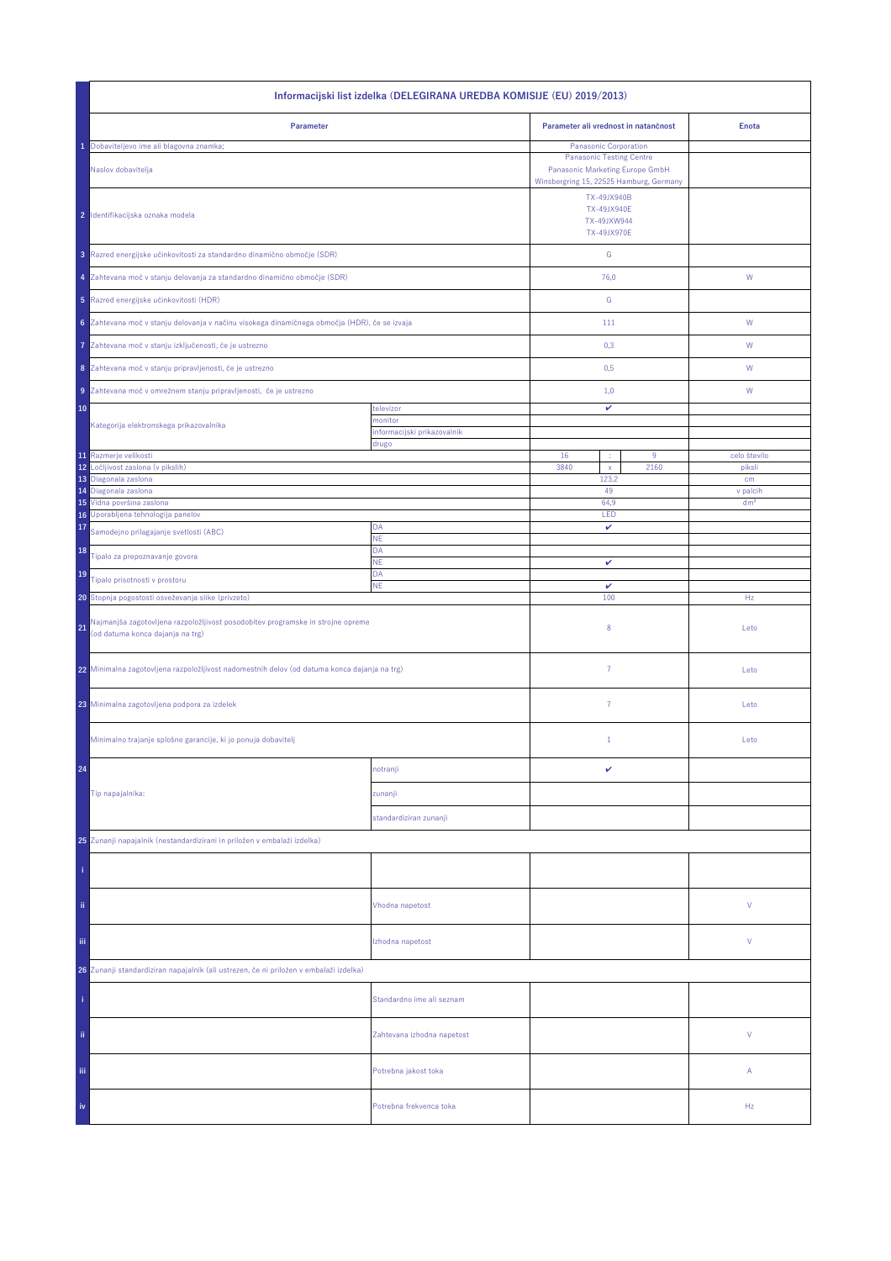| Informacijski list izdelka (DELEGIRANA UREDBA KOMISIJE (EU) 2019/2013)                                                    |                                      |                                                                                                               |                 |  |  |
|---------------------------------------------------------------------------------------------------------------------------|--------------------------------------|---------------------------------------------------------------------------------------------------------------|-----------------|--|--|
| Parameter                                                                                                                 |                                      | Parameter ali vrednost in natančnost                                                                          | <b>Enota</b>    |  |  |
| Dobaviteljevo ime ali blagovna znamka;                                                                                    |                                      | Panasonic Corporation                                                                                         |                 |  |  |
| Naslov dobavitelja                                                                                                        |                                      | <b>Panasonic Testing Centre</b><br>Panasonic Marketing Europe GmbH<br>Winsbergring 15, 22525 Hamburg, Germany |                 |  |  |
| 2 Identifikacijska oznaka modela                                                                                          |                                      | TX-49JX940B<br><b>TX-49JX940E</b><br>TX-49JXW944<br><b>TX-49JX970E</b>                                        |                 |  |  |
| 3 Razred energijske učinkovitosti za standardno dinamično območje (SDR)                                                   |                                      | ${\mathbb G}$                                                                                                 |                 |  |  |
| 4 Zahtevana moč v stanju delovanja za standardno dinamično območje (SDR)                                                  |                                      | 76,0                                                                                                          | W               |  |  |
| 5 Razred energijske učinkovitosti (HDR)                                                                                   |                                      | ${\mathbb G}$                                                                                                 |                 |  |  |
| 6 Zahtevana moč v stanju delovanja v načinu visokega dinamičnega območja (HDR), če se izvaja                              |                                      | 111                                                                                                           | ${\sf W}$       |  |  |
| Zahtevana moč v stanju izključenosti, če je ustrezno<br>7                                                                 |                                      | 0,3                                                                                                           | W               |  |  |
| 8 Zahtevana moč v stanju pripravljenosti, če je ustrezno                                                                  |                                      | 0,5                                                                                                           | W               |  |  |
| 9 Zahtevana moč v omrežnem stanju pripravljenosti, če je ustrezno                                                         |                                      | 1,0                                                                                                           | W               |  |  |
| 10                                                                                                                        | televizor<br>monitor                 | v                                                                                                             |                 |  |  |
| Kategorija elektronskega prikazovalnika                                                                                   | informacijski prikazovalnik<br>drugo |                                                                                                               |                 |  |  |
| 11 Razmerje velikosti                                                                                                     |                                      | 16<br>9                                                                                                       | celo število    |  |  |
| 12<br>Ločljivost zaslona (v pikslih)                                                                                      |                                      | 3840<br>2160<br>$\mathsf X$                                                                                   | piksli          |  |  |
| 13 Diagonala zaslona<br>14 Diagonala zaslona                                                                              |                                      | 123,2<br>49                                                                                                   | cm<br>v palcih  |  |  |
| 15 Vidna površina zaslona                                                                                                 |                                      | 64,9                                                                                                          | dm <sup>2</sup> |  |  |
| 16 Uporabljena tehnologija panelov                                                                                        |                                      | LED<br>v                                                                                                      |                 |  |  |
| 17<br>Samodejno prilagajanje svetlosti (ABC)                                                                              | DA<br>NE                             |                                                                                                               |                 |  |  |
| 18<br>Tipalo za prepoznavanje govora                                                                                      | DA<br><b>NE</b>                      | v                                                                                                             |                 |  |  |
| 19<br>Tipalo prisotnosti v prostoru                                                                                       | DA<br><b>NE</b>                      | $\checkmark$                                                                                                  |                 |  |  |
| 20 Stopnja pogostosti osveževanja slike (privzeto)                                                                        |                                      | 100                                                                                                           | Hz              |  |  |
| Najmanjša zagotovljena razpoložljivost posodobitev programske in strojne opreme<br>21<br>(od datuma konca dajanja na trg) |                                      | 8                                                                                                             | Leto            |  |  |
| 22 Minimalna zagotovljena razpoložljivost nadomestnih delov (od datuma konca dajanja na trg)                              |                                      | $\overline{7}$                                                                                                | Leto            |  |  |
| 23 Minimalna zagotovljena podpora za izdelek                                                                              |                                      | $\overline{7}$                                                                                                | Leto            |  |  |
| Minimalno trajanje splošne garancije, ki jo ponuja dobavitelj                                                             |                                      | $\mathbf{1}$                                                                                                  | Leto            |  |  |
| 24                                                                                                                        | notranji                             | v                                                                                                             |                 |  |  |
| Tip napajalnika:                                                                                                          | zunanji                              |                                                                                                               |                 |  |  |
|                                                                                                                           | standardiziran zunanji               |                                                                                                               |                 |  |  |
| 25 Zunanji napajalnik (nestandardizirani in priložen v embalaži izdelka)                                                  |                                      |                                                                                                               |                 |  |  |
|                                                                                                                           |                                      |                                                                                                               |                 |  |  |
| ii.                                                                                                                       | Vhodna napetost                      |                                                                                                               | ٧               |  |  |
| Ϊij                                                                                                                       | Izhodna napetost                     |                                                                                                               | ٧               |  |  |
| 26 Zunanji standardiziran napajalnik (ali ustrezen, če ni priložen v embalaži izdelka)                                    |                                      |                                                                                                               |                 |  |  |
|                                                                                                                           | Standardno ime ali seznam            |                                                                                                               |                 |  |  |
| ii.                                                                                                                       | Zahtevana izhodna napetost           |                                                                                                               | V               |  |  |
| iii.                                                                                                                      | Potrebna jakost toka                 |                                                                                                               | Α               |  |  |
| iv                                                                                                                        | Potrebna frekvenca toka              |                                                                                                               | Hz              |  |  |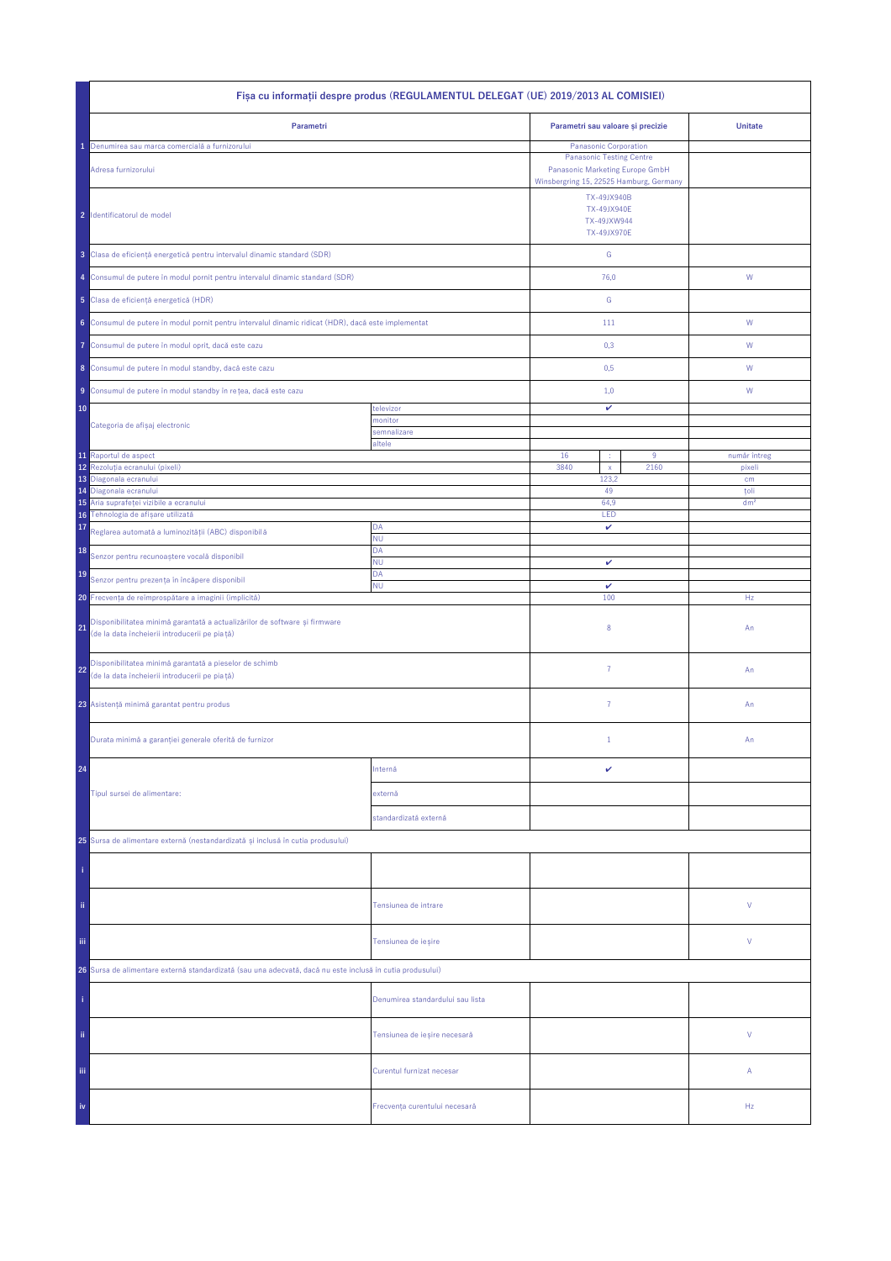| Fișa cu informații despre produs (REGULAMENTUL DELEGAT (UE) 2019/2013 AL COMISIEI)                                                |                                  |                                                                                                                                        |                                                                        |                         |  |
|-----------------------------------------------------------------------------------------------------------------------------------|----------------------------------|----------------------------------------------------------------------------------------------------------------------------------------|------------------------------------------------------------------------|-------------------------|--|
| Parametri                                                                                                                         |                                  | Parametri sau valoare și precizie                                                                                                      |                                                                        | <b>Unitate</b>          |  |
| Denumirea sau marca comercială a furnizorului<br>Adresa furnizorului                                                              |                                  | Panasonic Corporation<br><b>Panasonic Testing Centre</b><br>Panasonic Marketing Europe GmbH<br>Winsbergring 15, 22525 Hamburg, Germany |                                                                        |                         |  |
| 2 Identificatorul de model                                                                                                        |                                  |                                                                                                                                        | TX-49JX940B<br><b>TX-49JX940E</b><br>TX-49JXW944<br><b>TX-49JX970E</b> |                         |  |
| 3 Clasa de eficiență energetică pentru intervalul dinamic standard (SDR)                                                          |                                  | ${\mathsf G}$                                                                                                                          |                                                                        |                         |  |
| 4 Consumul de putere în modul pornit pentru intervalul dinamic standard (SDR)                                                     |                                  | 76,0                                                                                                                                   |                                                                        | W                       |  |
| 5 Clasa de eficiență energetică (HDR)                                                                                             |                                  | G                                                                                                                                      |                                                                        |                         |  |
| 6 Consumul de putere în modul pornit pentru intervalul dinamic ridicat (HDR), dacă este implementat                               |                                  | 111                                                                                                                                    |                                                                        | W                       |  |
| Consumul de putere în modul oprit, dacă este cazu<br>7                                                                            |                                  | 0,3                                                                                                                                    |                                                                        | W                       |  |
| 8 Consumul de putere în modul standby, dacă este cazu                                                                             |                                  | 0,5                                                                                                                                    |                                                                        | W                       |  |
| 9 Consumul de putere în modul standby în rețea, dacă este cazu                                                                    |                                  | 1,0                                                                                                                                    |                                                                        | W                       |  |
| 10                                                                                                                                | televizor                        | v                                                                                                                                      |                                                                        |                         |  |
| Categoria de afișaj electronic                                                                                                    | monitor<br>semnalizare           |                                                                                                                                        |                                                                        |                         |  |
| 11 Raportul de aspect                                                                                                             | altele                           | 16<br>÷                                                                                                                                | 9                                                                      | număr întreg            |  |
| 12<br>Rezolutia ecranului (pixeli)                                                                                                |                                  | 3840<br>$\mathsf{x}$                                                                                                                   | 2160                                                                   | pixeli                  |  |
| 13<br>Diagonala ecranului                                                                                                         |                                  | 123,2                                                                                                                                  |                                                                        | cm                      |  |
| Diagonala ecranului<br>14<br>Aria suprafeței vizibile a ecranului<br>15                                                           |                                  | 49<br>64.9                                                                                                                             |                                                                        | toli<br>dm <sup>2</sup> |  |
| Tehnologia de afișare utilizată<br>16                                                                                             |                                  | LED                                                                                                                                    |                                                                        |                         |  |
| 17<br>Reglarea automată a luminozității (ABC) disponibilă                                                                         | DA                               | v                                                                                                                                      |                                                                        |                         |  |
| 18                                                                                                                                | <b>NU</b><br>DA                  |                                                                                                                                        |                                                                        |                         |  |
| Senzor pentru recunoaștere vocală disponibil                                                                                      | <b>NU</b><br>DA                  | v                                                                                                                                      |                                                                        |                         |  |
| 19<br>Senzor pentru prezența în încăpere disponibil                                                                               | <b>NU</b>                        | $\checkmark$                                                                                                                           |                                                                        |                         |  |
| 20 Frecvența de reîmprospătare a imaginii (implicită)                                                                             |                                  | 100                                                                                                                                    |                                                                        | Hz                      |  |
| Disponibilitatea minimă garantată a actualizărilor de software și firmware<br>21<br>(de la data încheierii introducerii pe piață) |                                  | 8                                                                                                                                      |                                                                        | An                      |  |
| Disponibilitatea minimă garantată a pieselor de schimb<br>22<br>(de la data încheierii introducerii pe piață)                     |                                  | $\overline{7}$                                                                                                                         |                                                                        | An                      |  |
| 23 Asistență minimă garantat pentru produs                                                                                        |                                  | $\overline{7}$                                                                                                                         |                                                                        | An                      |  |
| Durata minimă a garanției generale oferită de furnizor                                                                            |                                  | $1\,$                                                                                                                                  |                                                                        | An                      |  |
| 24                                                                                                                                | Internă                          | v                                                                                                                                      |                                                                        |                         |  |
| Tipul sursei de alimentare:                                                                                                       | externă                          |                                                                                                                                        |                                                                        |                         |  |
|                                                                                                                                   | standardizată externă            |                                                                                                                                        |                                                                        |                         |  |
| 25 Sursa de alimentare externă (nestandardizată și inclusă în cutia produsului)                                                   |                                  |                                                                                                                                        |                                                                        |                         |  |
|                                                                                                                                   |                                  |                                                                                                                                        |                                                                        |                         |  |
| ii.                                                                                                                               | Tensiunea de intrare             |                                                                                                                                        |                                                                        | ٧                       |  |
| Ϊij                                                                                                                               | Tensiunea de ieșire              |                                                                                                                                        |                                                                        | ٧                       |  |
| 26 Sursa de alimentare externă standardizată (sau una adecvată, dacă nu este inclusă în cutia produsului)                         |                                  |                                                                                                                                        |                                                                        |                         |  |
|                                                                                                                                   | Denumirea standardului sau lista |                                                                                                                                        |                                                                        |                         |  |
| ii.                                                                                                                               | Tensiunea de ieșire necesară     |                                                                                                                                        |                                                                        | V                       |  |
| Ϊij                                                                                                                               | Curentul furnizat necesar        |                                                                                                                                        |                                                                        | Α                       |  |
| iv                                                                                                                                | Frecvența curentului necesară    |                                                                                                                                        |                                                                        | Hz                      |  |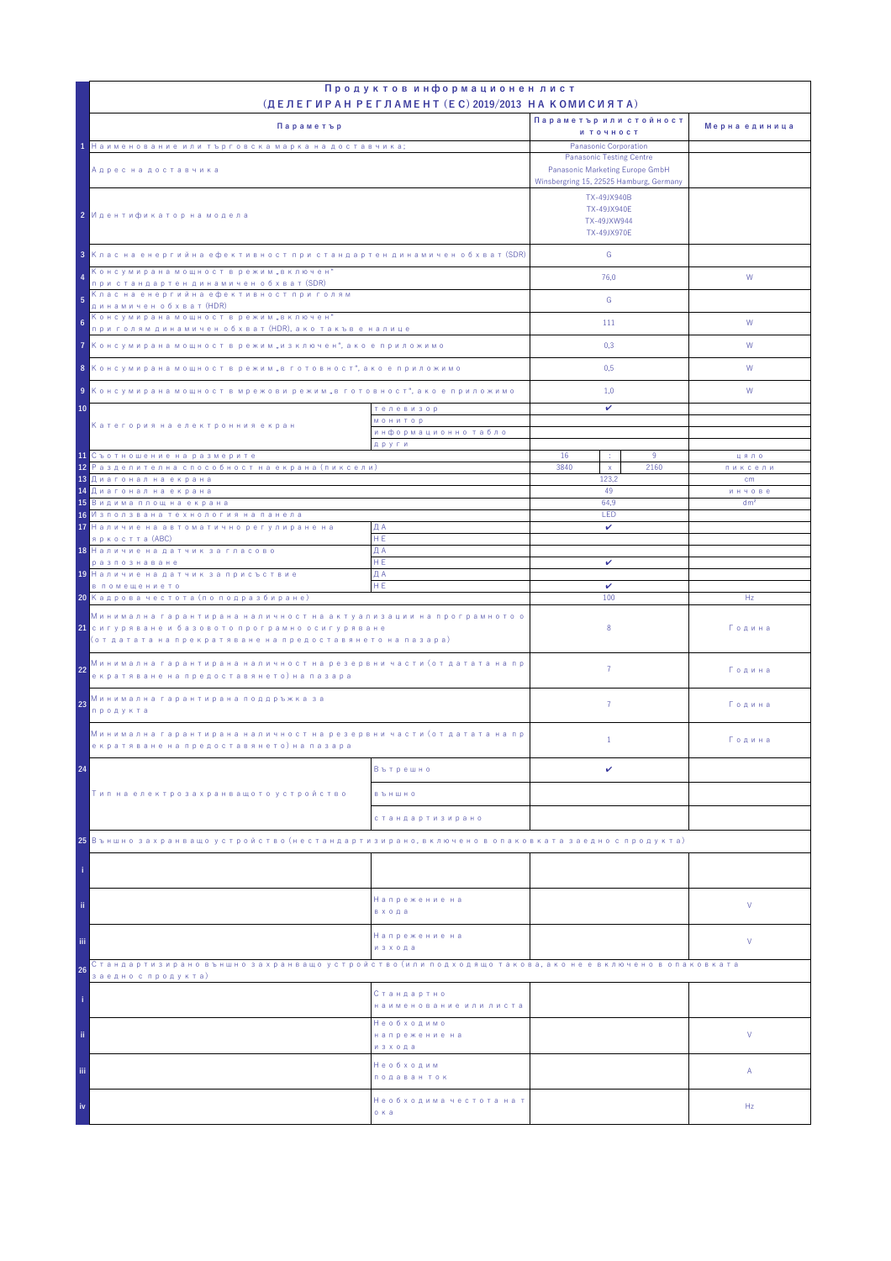|                                                                                                                                                                                            | Продуктов информационен лист<br>(ДЕЛЕГИРАН РЕГЛАМЕНТ (EC) 2019/2013 НА КОМИСИЯТА) |                                                                                                                              |      |                           |
|--------------------------------------------------------------------------------------------------------------------------------------------------------------------------------------------|-----------------------------------------------------------------------------------|------------------------------------------------------------------------------------------------------------------------------|------|---------------------------|
|                                                                                                                                                                                            |                                                                                   | Параметър или стойност                                                                                                       |      |                           |
| Параметър                                                                                                                                                                                  |                                                                                   | и точност                                                                                                                    |      | Мерна единица             |
| 1 Наименование или търговска марка на доставчика;                                                                                                                                          |                                                                                   | Panasonic Corporation                                                                                                        |      |                           |
| Адрес на доставчика                                                                                                                                                                        |                                                                                   | <b>Panasonic Testing Centre</b><br>Panasonic Marketing Europe GmbH<br>Winsbergring 15, 22525 Hamburg, Germany<br>TX-49JX940B |      |                           |
| 2 Идентификатор на модела                                                                                                                                                                  |                                                                                   | TX-49JX940E<br>TX-49JXW944<br>TX-49JX970E                                                                                    |      |                           |
| 3 Клас на енергийна ефективност при стандартен динамичен обхват (SDR)                                                                                                                      |                                                                                   | G                                                                                                                            |      |                           |
| Консумирана мощност в режим "включен"<br>4<br>при стандартен динамичен обхват (SDR)                                                                                                        |                                                                                   | 76.0                                                                                                                         |      | W                         |
| Клас на енергийна ефективност при голям<br>5<br>динамичен обхват (HDR)                                                                                                                     |                                                                                   | G                                                                                                                            |      |                           |
| Консумирана мощност в режим "включен"<br>6<br>при голям динамичен обхват (HDR), ако такъв е налице                                                                                         |                                                                                   | 111                                                                                                                          |      | W                         |
| 7 Консумирана мощност в режим "изключен", ако е приложимо                                                                                                                                  |                                                                                   | 0,3                                                                                                                          |      | W                         |
| 8 Консумирана мощност в режим "в готовност", ако е приложимо                                                                                                                               |                                                                                   | 0,5                                                                                                                          |      | W                         |
| 9 Консумирана мощност в мрежови режим "в готовност", ако е приложимо                                                                                                                       |                                                                                   | 1,0                                                                                                                          |      | W                         |
| 10<br>телевизор                                                                                                                                                                            |                                                                                   | v                                                                                                                            |      |                           |
| Категория на електронния екран                                                                                                                                                             | <b>МОНИТОР</b><br>информационно табло                                             |                                                                                                                              |      |                           |
| 11 Съотношение на размерите                                                                                                                                                                | други                                                                             | 16<br>÷                                                                                                                      | 9    | цяло                      |
| <mark>12</mark> Разделителна способност на екрана (пиксели)                                                                                                                                |                                                                                   | 3840<br>$\mathsf X$                                                                                                          | 2160 | пиксели                   |
| 13 Диагонал на екрана                                                                                                                                                                      |                                                                                   | 123.2                                                                                                                        |      | cm                        |
| <mark>14 Диагонал на екрана</mark><br><mark>15</mark> Видима площ на екрана                                                                                                                |                                                                                   | 49<br>64,9                                                                                                                   |      | инчове<br>dm <sup>2</sup> |
| 16 Използвана технология на панела                                                                                                                                                         |                                                                                   | LED                                                                                                                          |      |                           |
| 17 Наличие на автоматично регулиране на                                                                                                                                                    | ДА                                                                                | $\checkmark$                                                                                                                 |      |                           |
| яркостта (ABC)<br>18 Наличие на датчик за гласово                                                                                                                                          | HE.<br>ДА                                                                         |                                                                                                                              |      |                           |
| разпознаване                                                                                                                                                                               | HE.                                                                               | v                                                                                                                            |      |                           |
| 19 Наличие на датчик за присъствие                                                                                                                                                         | ДА                                                                                |                                                                                                                              |      |                           |
| в помещението<br>20 Кадрова честота (по подразбиране)                                                                                                                                      | HE                                                                                | v<br>100                                                                                                                     |      | Hz                        |
| Минимална гарантирана наличност на актуализации на програмното о<br><mark>21</mark> сигуряване и базовото програмно осигуряване<br>(от датата на прекратяване на предоставянето на пазара) |                                                                                   | 8                                                                                                                            |      | Година                    |
| Минимална гарантирана наличност на резервни части (от датата на пр<br>22<br>екратяване на предоставянето) на пазара                                                                        |                                                                                   | $\overline{7}$                                                                                                               |      | Година                    |
| Минимална гарантирана поддръжка за<br>23<br>продукта                                                                                                                                       |                                                                                   | $\overline{7}$                                                                                                               |      | Година                    |
| Минимална гарантирана наличност на резервни части (от датата на пр<br>екратяване на предоставянето) на пазара                                                                              |                                                                                   | $\mathbf{1}$                                                                                                                 |      | Година                    |
| 24                                                                                                                                                                                         | Вътрешно                                                                          | v                                                                                                                            |      |                           |
| Тип на електрозахранващото устройство                                                                                                                                                      | <b>B Ъ Н Ш Н О</b>                                                                |                                                                                                                              |      |                           |
|                                                                                                                                                                                            | стандартизирано                                                                   |                                                                                                                              |      |                           |
| 25 Външно захранващо устройство (нестандартизирано, включено в опаковката заедно с продукта)                                                                                               |                                                                                   |                                                                                                                              |      |                           |
|                                                                                                                                                                                            |                                                                                   |                                                                                                                              |      |                           |
| ii.                                                                                                                                                                                        | Напрежение на<br>входа                                                            |                                                                                                                              |      | V                         |
| iii.                                                                                                                                                                                       | Напрежение на<br>изхода                                                           |                                                                                                                              |      | V                         |
| Стандартизирано външно захранващо устройство (или подходящо такова, ако не е включено в опаковката<br>26                                                                                   |                                                                                   |                                                                                                                              |      |                           |
| заедно с продукта)                                                                                                                                                                         | Стандартно<br>наименование или листа                                              |                                                                                                                              |      |                           |
| ii.                                                                                                                                                                                        | Необходимо<br>напрежение на<br>изхода                                             |                                                                                                                              |      | V                         |
| iii.                                                                                                                                                                                       | Необходим<br>подаван ток                                                          |                                                                                                                              |      | Α                         |
| iv                                                                                                                                                                                         | Необходима честота на т<br>о ка                                                   |                                                                                                                              |      | Hz                        |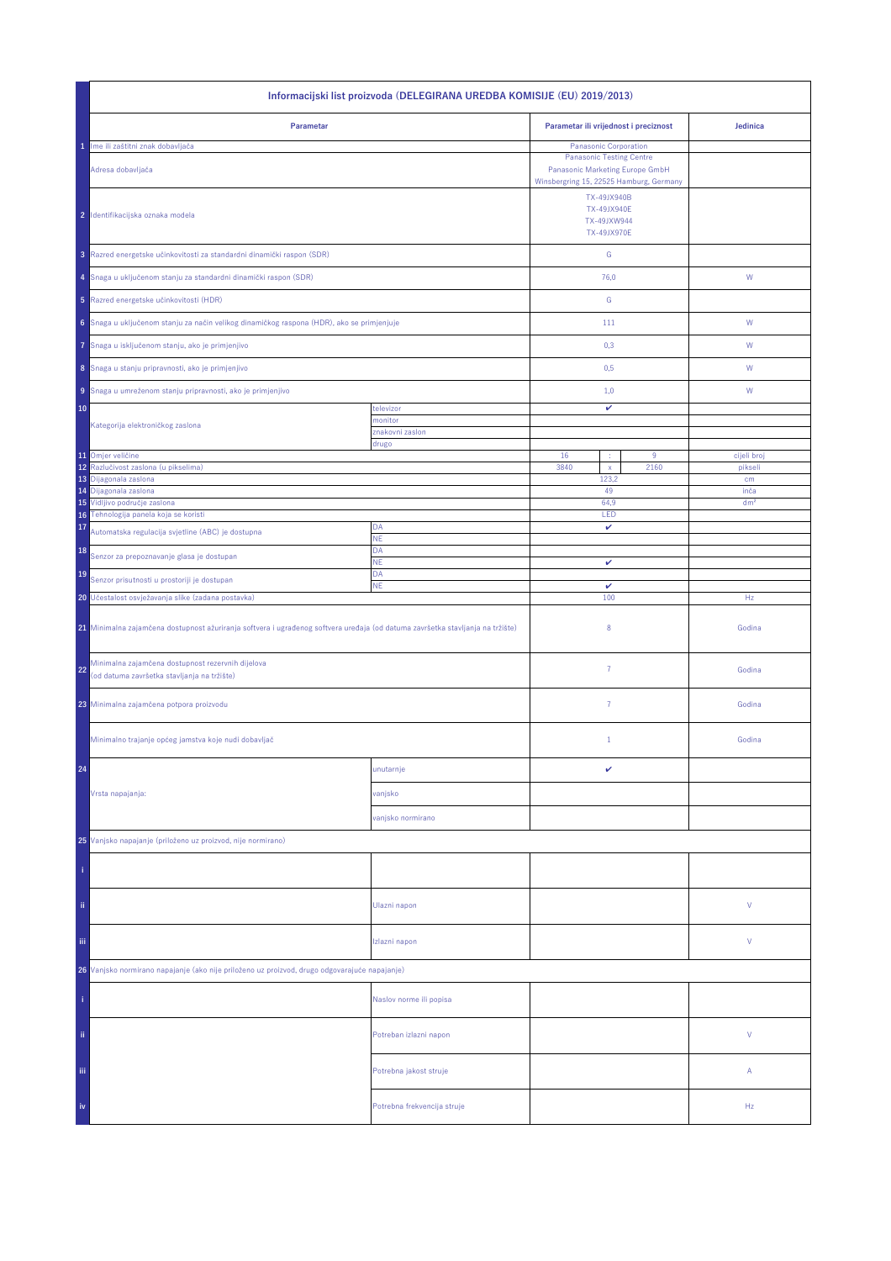| Informacijski list proizvoda (DELEGIRANA UREDBA KOMISIJE (EU) 2019/2013)                                                       |                             |                                      |                                                                                                                                        |                 |  |
|--------------------------------------------------------------------------------------------------------------------------------|-----------------------------|--------------------------------------|----------------------------------------------------------------------------------------------------------------------------------------|-----------------|--|
| Parametar                                                                                                                      |                             |                                      | Parametar ili vrijednost i preciznost                                                                                                  | Jedinica        |  |
| Ime ili zaštitni znak dobavljača<br>Adresa dobavljača                                                                          |                             |                                      | Panasonic Corporation<br><b>Panasonic Testing Centre</b><br>Panasonic Marketing Europe GmbH<br>Winsbergring 15, 22525 Hamburg, Germany |                 |  |
| 2 Identifikacijska oznaka modela                                                                                               |                             |                                      | TX-49JX940B<br><b>TX-49JX940E</b><br>TX-49JXW944<br><b>TX-49JX970E</b>                                                                 |                 |  |
| 3 Razred energetske učinkovitosti za standardni dinamički raspon (SDR)                                                         |                             | ${\mathsf G}$                        |                                                                                                                                        |                 |  |
| 4 Snaga u uključenom stanju za standardni dinamički raspon (SDR)                                                               |                             | 76,0                                 |                                                                                                                                        | W               |  |
| 5 Razred energetske učinkovitosti (HDR)                                                                                        |                             | G                                    |                                                                                                                                        |                 |  |
| 6 Snaga u uključenom stanju za način velikog dinamičkog raspona (HDR), ako se primjenjuje                                      |                             | 111                                  |                                                                                                                                        | W               |  |
| Snaga u isključenom stanju, ako je primjenjivo<br>7                                                                            |                             | 0,3                                  |                                                                                                                                        | W               |  |
| 8 Snaga u stanju pripravnosti, ako je primjenjivo                                                                              |                             | 0,5                                  |                                                                                                                                        | W               |  |
| 9 Snaga u umreženom stanju pripravnosti, ako je primjenjivo                                                                    |                             | 1,0                                  |                                                                                                                                        | W               |  |
| 10                                                                                                                             | televizor<br>monitor        | v                                    |                                                                                                                                        |                 |  |
| Kategorija elektroničkog zaslona                                                                                               | znakovni zaslon<br>drugo    |                                      |                                                                                                                                        |                 |  |
| 11 Omjer veličine                                                                                                              |                             | 16<br>÷                              | 9                                                                                                                                      | cijeli broj     |  |
| 12<br>Razlučivost zaslona (u pikselima)<br>13<br>Dijagonala zaslona                                                            |                             | 3840<br>2160<br>$\mathsf X$<br>123,2 |                                                                                                                                        | pikseli<br>cm   |  |
| 14 Dijagonala zaslona                                                                                                          |                             | 49                                   |                                                                                                                                        | inča            |  |
| 15 Vidljivo područje zaslona<br>16 Tehnologija panela koja se koristi                                                          |                             | 64,9                                 |                                                                                                                                        | dm <sup>2</sup> |  |
| 17<br>Automatska regulacija svjetline (ABC) je dostupna                                                                        | DA                          | LED<br>v                             |                                                                                                                                        |                 |  |
| 18                                                                                                                             | <b>NE</b><br>DA             |                                      |                                                                                                                                        |                 |  |
| Senzor za prepoznavanje glasa je dostupan<br>19                                                                                | <b>NE</b><br>DA             | v                                    |                                                                                                                                        |                 |  |
| Senzor prisutnosti u prostoriji je dostupan<br>20 Učestalost osvježavanja slike (zadana postavka)                              | <b>NE</b>                   | $\checkmark$<br>100                  |                                                                                                                                        | Hz              |  |
| 21 Minimalna zajamčena dostupnost ažuriranja softvera i ugrađenog softvera uređaja (od datuma završetka stavljanja na tržište) |                             | 8                                    |                                                                                                                                        | Godina          |  |
| Minimalna zajamčena dostupnost rezervnih dijelova<br>22<br>(od datuma završetka stavljanja na tržište)                         |                             | $\overline{7}$                       |                                                                                                                                        | Godina          |  |
| 23 Minimalna zajamčena potpora proizvodu                                                                                       |                             | $\overline{7}$                       |                                                                                                                                        | Godina          |  |
| Minimalno trajanje općeg jamstva koje nudi dobavljač                                                                           |                             | $1\,$                                |                                                                                                                                        | Godina          |  |
| 24                                                                                                                             | unutarnje                   | v                                    |                                                                                                                                        |                 |  |
| Vrsta napajanja:                                                                                                               | vanjsko                     |                                      |                                                                                                                                        |                 |  |
|                                                                                                                                | vanjsko normirano           |                                      |                                                                                                                                        |                 |  |
| 25 Vanjsko napajanje (priloženo uz proizvod, nije normirano)                                                                   |                             |                                      |                                                                                                                                        |                 |  |
|                                                                                                                                |                             |                                      |                                                                                                                                        |                 |  |
| ii.                                                                                                                            | Ulazni napon                |                                      |                                                                                                                                        | ٧               |  |
| Ϊij                                                                                                                            | Izlazni napon               |                                      |                                                                                                                                        | V               |  |
| 26 Vanjsko normirano napajanje (ako nije priloženo uz proizvod, drugo odgovarajuće napajanje)                                  |                             |                                      |                                                                                                                                        |                 |  |
|                                                                                                                                | Naslov norme ili popisa     |                                      |                                                                                                                                        |                 |  |
| ii.                                                                                                                            | Potreban izlazni napon      |                                      |                                                                                                                                        | V               |  |
| iii,                                                                                                                           | Potrebna jakost struje      |                                      |                                                                                                                                        | Α               |  |
| iv                                                                                                                             | Potrebna frekvencija struje |                                      |                                                                                                                                        | Hz              |  |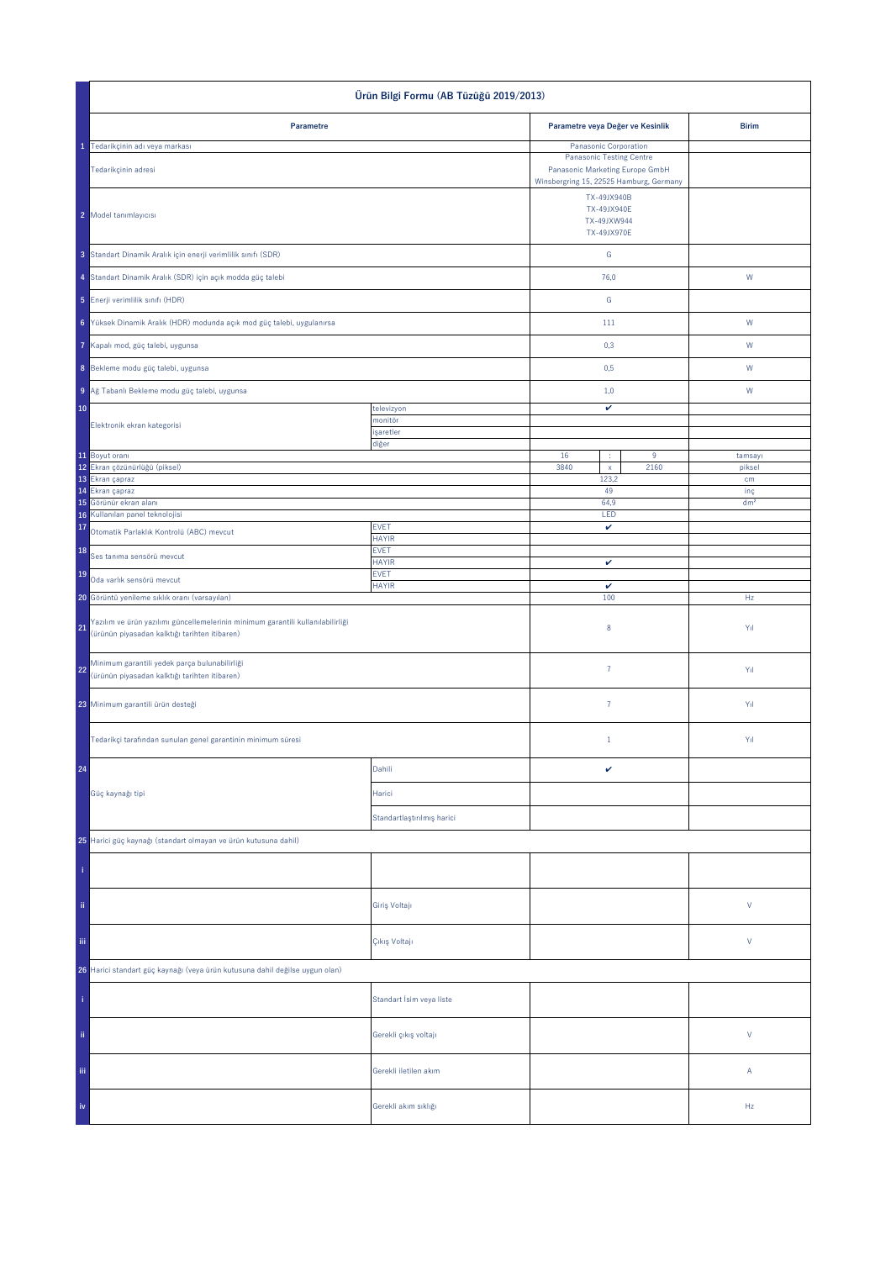| Ürün Bilgi Formu (AB Tüzüğü 2019/2013)                                                                                                 |                             |                                                                                                                                                            |  |                        |
|----------------------------------------------------------------------------------------------------------------------------------------|-----------------------------|------------------------------------------------------------------------------------------------------------------------------------------------------------|--|------------------------|
| Parametre                                                                                                                              |                             | Parametre veya Değer ve Kesinlik                                                                                                                           |  | <b>Birim</b>           |
| 1 Tedarikçinin adı veya markası                                                                                                        |                             | Panasonic Corporation                                                                                                                                      |  |                        |
| Tedarikçinin adresi<br>2 Model tanımlayıcısı                                                                                           |                             | <b>Panasonic Testing Centre</b><br>Panasonic Marketing Europe GmbH<br>Winsbergring 15, 22525 Hamburg, Germany<br>TX-49JX940B<br>TX-49JX940E<br>TX-49JXW944 |  |                        |
| 3 Standart Dinamik Aralık için enerji verimlilik sınıfı (SDR)                                                                          |                             | TX-49JX970E<br>G                                                                                                                                           |  |                        |
| 4 Standart Dinamik Aralık (SDR) için açık modda güç talebi                                                                             |                             | 76,0                                                                                                                                                       |  | ${\sf W}$              |
| 5 Enerji verimlilik sınıfı (HDR)                                                                                                       |                             | ${\mathbb G}$                                                                                                                                              |  |                        |
| 6 Yüksek Dinamik Aralık (HDR) modunda açık mod güç talebi, uygulanırsa                                                                 |                             | 111                                                                                                                                                        |  | W                      |
| Kapalı mod, güç talebi, uygunsa                                                                                                        |                             | 0,3                                                                                                                                                        |  | W                      |
| 8 Bekleme modu güç talebi, uygunsa                                                                                                     |                             | 0,5                                                                                                                                                        |  | W                      |
| 9 Ağ Tabanlı Bekleme modu güç talebi, uygunsa                                                                                          |                             | 1,0                                                                                                                                                        |  | W                      |
| 10                                                                                                                                     | televizyon                  | v                                                                                                                                                          |  |                        |
| Elektronik ekran kategorisi                                                                                                            | monitör<br>işaretler        |                                                                                                                                                            |  |                        |
| 11 Boyut oranı                                                                                                                         | diğer                       |                                                                                                                                                            |  | tamsayı                |
| 12 Ekran çözünürlüğü (piksel)<br>13 Ekran çapraz<br>14 Ekran çapraz                                                                    |                             | 16<br>$\boldsymbol{9}$<br>÷<br>3840<br>$\mathsf{x}$<br>2160<br>123,2                                                                                       |  | piksel<br>cm           |
| 15 Görünür ekran alanı                                                                                                                 |                             | 49<br>64,9                                                                                                                                                 |  | inç<br>dm <sup>2</sup> |
| Kullanılan panel teknolojisi<br>16<br>17                                                                                               | <b>EVET</b>                 | LED<br>$\checkmark$                                                                                                                                        |  |                        |
| Otomatik Parlaklık Kontrolü (ABC) mevcut<br>18                                                                                         | <b>HAYIR</b><br><b>EVET</b> |                                                                                                                                                            |  |                        |
| Ses tanıma sensörü mevcut<br>19                                                                                                        | <b>HAYIR</b><br><b>EVET</b> | $\checkmark$                                                                                                                                               |  |                        |
| Oda varlık sensörü mevcut<br>20 Görüntü yenileme sıklık oranı (varsayılan)                                                             | <b>HAYIR</b>                | v<br>100                                                                                                                                                   |  | Hz                     |
| Yazılım ve ürün yazılımı güncellemelerinin minimum garantili kullanılabilirliği<br>21<br>(ürünün piyasadan kalktığı tarihten itibaren) |                             | $\bf 8$                                                                                                                                                    |  | Yıl                    |
| Minimum garantili yedek parça bulunabilirliği<br>22<br>(ürünün piyasadan kalktığı tarihten itibaren)                                   |                             | $\bf 7$                                                                                                                                                    |  | Yıl                    |
| 23 Minimum garantili ürün desteği                                                                                                      |                             | $\bf 7$                                                                                                                                                    |  | Yıl                    |
| Tedarikçi tarafından sunulan genel garantinin minimum süresi                                                                           |                             | $1\,$                                                                                                                                                      |  | Yıl                    |
| 24                                                                                                                                     | Dahili                      | $\checkmark$                                                                                                                                               |  |                        |
| Güç kaynağı tipi                                                                                                                       | Harici                      |                                                                                                                                                            |  |                        |
|                                                                                                                                        | Standartlaştırılmış harici  |                                                                                                                                                            |  |                        |
| 25 Harici güç kaynağı (standart olmayan ve ürün kutusuna dahil)                                                                        |                             |                                                                                                                                                            |  |                        |
|                                                                                                                                        |                             |                                                                                                                                                            |  |                        |
| ii.                                                                                                                                    | Giriş Voltajı               |                                                                                                                                                            |  | $\mathsf{V}$           |
| iii.                                                                                                                                   | Çıkış Voltajı               |                                                                                                                                                            |  | $\mathsf{V}$           |
| 26 Harici standart güç kaynağı (veya ürün kutusuna dahil değilse uygun olan)                                                           |                             |                                                                                                                                                            |  |                        |
|                                                                                                                                        | Standart İsim veya liste    |                                                                                                                                                            |  |                        |
| ii.                                                                                                                                    | Gerekli çıkış voltajı       |                                                                                                                                                            |  | $\mathsf{V}$           |
| Ϊij                                                                                                                                    | Gerekli iletilen akım       |                                                                                                                                                            |  | Α                      |
|                                                                                                                                        | Gerekli akım sıklığı        |                                                                                                                                                            |  | Hz                     |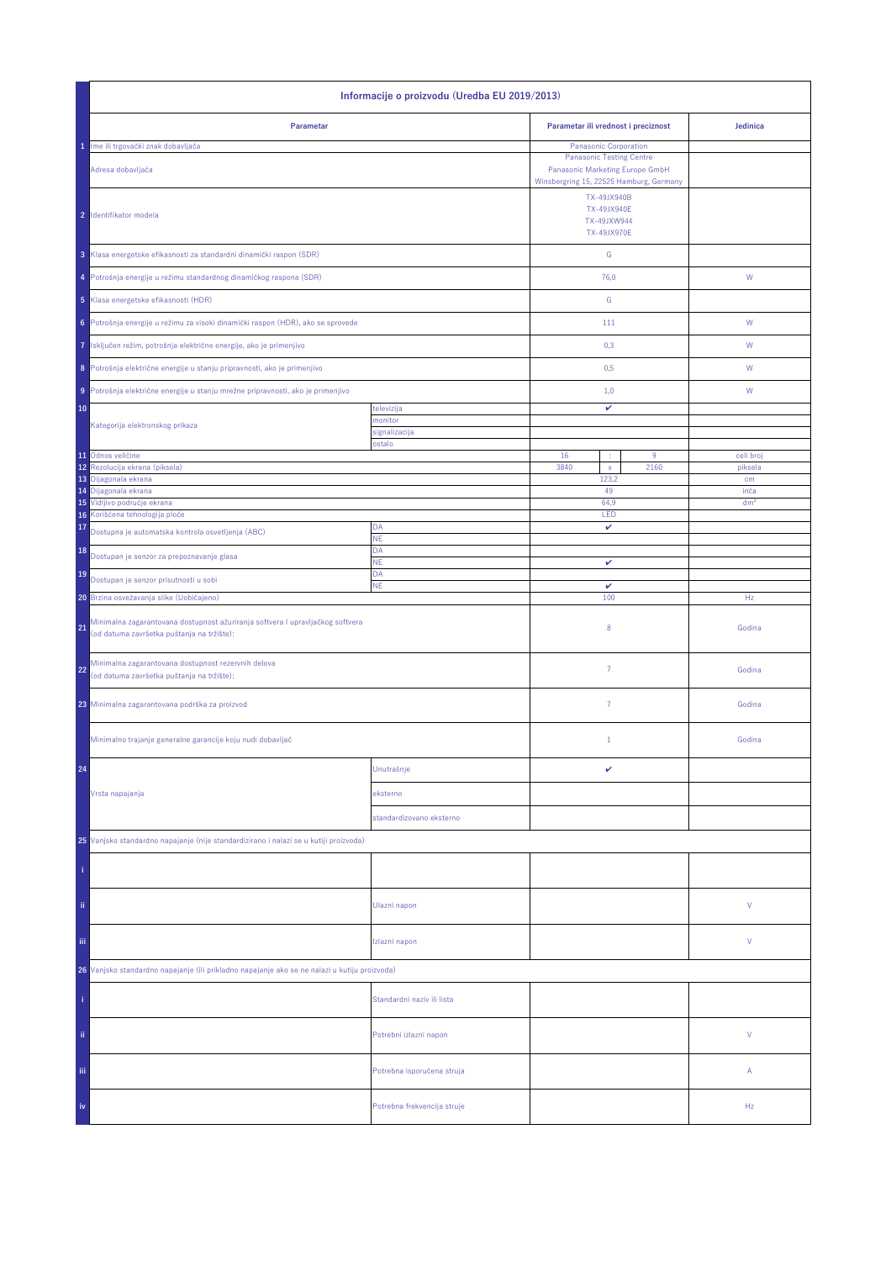| Informacije o proizvodu (Uredba EU 2019/2013)                                                                                      |                             |                                                                 |                                         |  |
|------------------------------------------------------------------------------------------------------------------------------------|-----------------------------|-----------------------------------------------------------------|-----------------------------------------|--|
| Parametar                                                                                                                          |                             | Parametar ili vrednost i preciznost                             | Jedinica                                |  |
| 1 Ime ili trgovački znak dobavljača                                                                                                |                             | Panasonic Corporation                                           |                                         |  |
| Adresa dobavljača                                                                                                                  |                             |                                                                 | Winsbergring 15, 22525 Hamburg, Germany |  |
| 2 Identifikator modela                                                                                                             |                             | TX-49JX940B<br>TX-49JX940E<br>TX-49JXW944<br><b>TX-49JX970E</b> |                                         |  |
| 3 Klasa energetske efikasnosti za standardni dinamički raspon (SDR)                                                                |                             | G                                                               |                                         |  |
| 4 Potrošnja energije u režimu standardnog dinamičkog raspona (SDR)                                                                 |                             | 76,0                                                            | W                                       |  |
| 5 Klasa energetske efikasnosti (HDR)                                                                                               |                             | G                                                               |                                         |  |
| Potrošnja energije u režimu za visoki dinamički raspon (HDR), ako se sprovede<br>6                                                 |                             | 111                                                             | W                                       |  |
| Isključen režim, potrošnja električne energije, ako je primenjivo<br>7                                                             |                             | 0,3                                                             | W                                       |  |
| 8 Potrošnja električne energije u stanju pripravnosti, ako je primenjivo                                                           |                             | 0,5                                                             | W                                       |  |
| Potrošnja električne energije u stanju mrežne pripravnosti, ako je primenjivo<br>9 <sup>1</sup>                                    |                             | 1,0                                                             | W                                       |  |
| 10                                                                                                                                 | televizija                  | v                                                               |                                         |  |
| Kategorija elektronskog prikaza                                                                                                    | nonitor<br>signalizacija    |                                                                 |                                         |  |
|                                                                                                                                    | ostalo                      |                                                                 |                                         |  |
| 11 Odnos veličine<br>Rezolucija ekrana (piksela)<br>12                                                                             |                             | 16<br>9<br>÷<br>3840<br>2160<br>$\mathsf X$                     | celi broj<br>piksela                    |  |
| 13 Dijagonala ekrana                                                                                                               |                             | 123,2<br>49                                                     | cm<br>inča                              |  |
| 14 Dijagonala ekrana<br>15 Vidljivo područje ekrana                                                                                |                             | 64,9                                                            | dm <sup>2</sup>                         |  |
| 16 Korišćena tehnologija ploče                                                                                                     |                             | LED                                                             |                                         |  |
| 17<br>Dostupna je automatska kontrola osvetljenja (ABC)                                                                            | DA<br><b>NE</b>             | $\checkmark$                                                    |                                         |  |
| 18<br>Dostupan je senzor za prepoznavanje glasa                                                                                    | DA<br>NE                    | $\checkmark$                                                    |                                         |  |
| 19<br>Dostupan je senzor prisutnosti u sobi                                                                                        | DA<br><b>NE</b>             | v                                                               |                                         |  |
| 20 Brzina osvežavanja slike (Uobičajeno)                                                                                           |                             | 100                                                             | Hz                                      |  |
| Minimalna zagarantovana dostupnost ažuriranja softvera I upravljačkog softvera<br>21<br>(od datuma završetka puštanja na tržište): |                             | 8                                                               | Godina                                  |  |
| Minimalna zagarantovana dostupnost rezervnih delova<br>22<br>(od datuma završetka puštanja na tržište):                            |                             | $\overline{7}$                                                  | Godina                                  |  |
| 23 Minimalna zagarantovana podrška za proizvod                                                                                     |                             | $\overline{7}$                                                  | Godina                                  |  |
| Minimalno trajanje generalne garancije koju nudi dobavljač                                                                         |                             | $1\,$                                                           | Godina                                  |  |
| 24                                                                                                                                 | Unutrašnje                  | v                                                               |                                         |  |
| Vrsta napajanja                                                                                                                    | eksterno                    |                                                                 |                                         |  |
|                                                                                                                                    | standardizovano eksterno    |                                                                 |                                         |  |
| 25 Vanjsko standardno napajanje (nije standardizirano i nalazi se u kutiji proizvoda)                                              |                             |                                                                 |                                         |  |
|                                                                                                                                    |                             |                                                                 |                                         |  |
| ii.                                                                                                                                | Ulazni napon                |                                                                 | V                                       |  |
| iii.                                                                                                                               | Izlazni napon               |                                                                 | V                                       |  |
| 26 Vanjsko standardno napajanje (ili prikladno napajanje ako se ne nalazi u kutiju proizvoda)                                      |                             |                                                                 |                                         |  |
|                                                                                                                                    | Standardni naziv ili lista  |                                                                 |                                         |  |
| ii.                                                                                                                                | Potrebni izlazni napon      |                                                                 | V                                       |  |
| Ϊij                                                                                                                                | Potrebna isporučena struja  |                                                                 | А                                       |  |
| iv                                                                                                                                 | Potrebna frekvencija struje |                                                                 | Hz                                      |  |